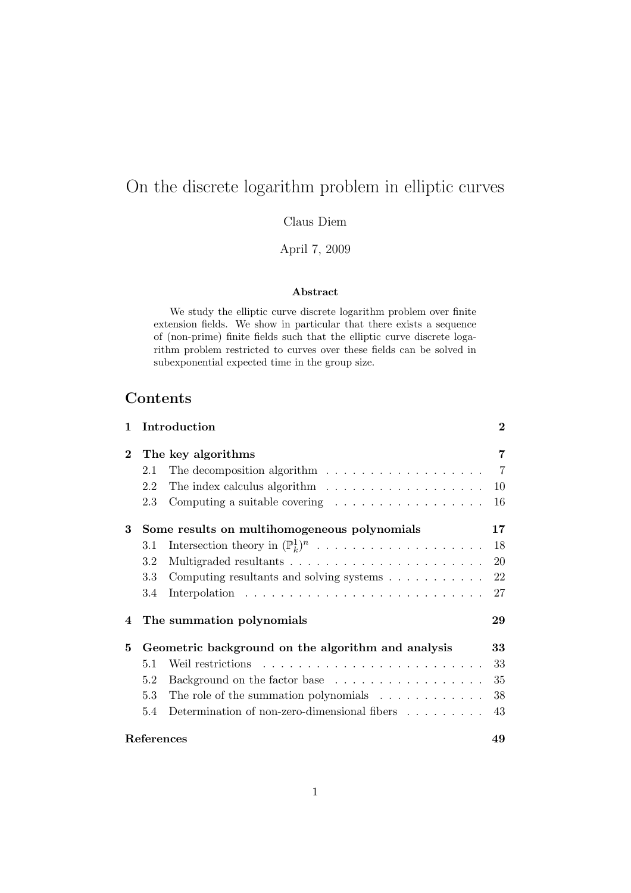# On the discrete logarithm problem in elliptic curves

Claus Diem

April 7, 2009

# Abstract

We study the elliptic curve discrete logarithm problem over finite extension fields. We show in particular that there exists a sequence of (non-prime) finite fields such that the elliptic curve discrete logarithm problem restricted to curves over these fields can be solved in subexponential expected time in the group size.

# Contents

| 1        |                                                    | Introduction                                                             | $\bf{2}$       |
|----------|----------------------------------------------------|--------------------------------------------------------------------------|----------------|
| $\bf{2}$ | The key algorithms                                 |                                                                          | 7              |
|          | 2.1                                                | The decomposition algorithm $\dots \dots \dots \dots \dots \dots$        | $\overline{7}$ |
|          | 2.2                                                | The index calculus algorithm $\ldots \ldots \ldots \ldots \ldots \ldots$ | 10             |
|          | 2.3                                                | Computing a suitable covering $\ldots \ldots \ldots \ldots \ldots$       | 16             |
| 3        |                                                    | Some results on multihomogeneous polynomials                             | 17             |
|          | 3.1                                                | Intersection theory in $(\mathbb{P}_k^1)^n$                              | 18             |
|          | 3.2                                                |                                                                          | 20             |
|          | 3.3                                                | Computing resultants and solving systems                                 | 22             |
|          | 3.4                                                |                                                                          | 27             |
| 4        |                                                    | The summation polynomials                                                | 29             |
| 5        | Geometric background on the algorithm and analysis |                                                                          | 33             |
|          | 5.1                                                |                                                                          | 33             |
|          | 5.2                                                | Background on the factor base                                            | 35             |
|          | 5.3                                                | The role of the summation polynomials $\ldots \ldots \ldots \ldots$      | 38             |
|          | 5.4                                                | Determination of non-zero-dimensional fibers $\ldots \ldots \ldots$      | 43             |
|          | References                                         |                                                                          |                |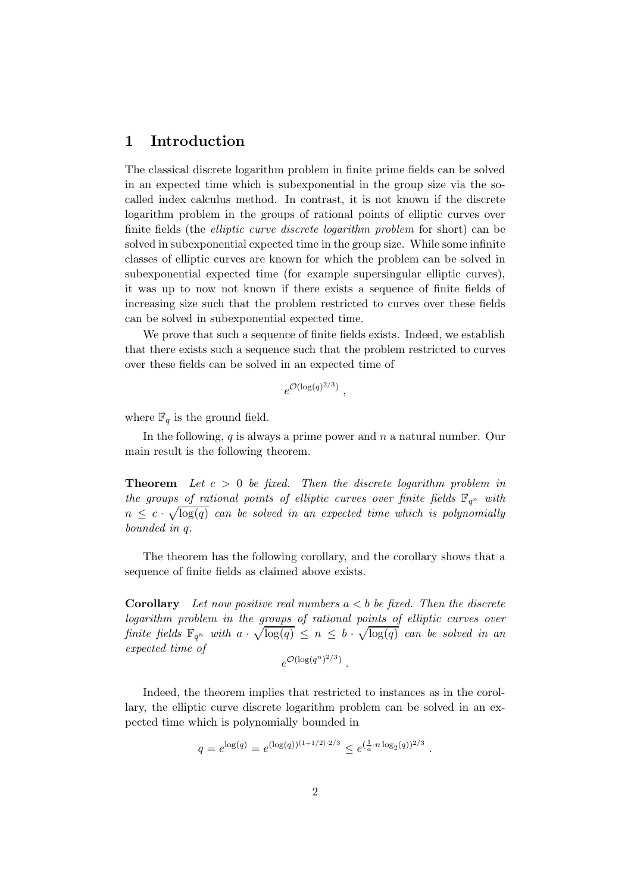# 1 Introduction

The classical discrete logarithm problem in finite prime fields can be solved in an expected time which is subexponential in the group size via the socalled index calculus method. In contrast, it is not known if the discrete logarithm problem in the groups of rational points of elliptic curves over finite fields (the elliptic curve discrete logarithm problem for short) can be solved in subexponential expected time in the group size. While some infinite classes of elliptic curves are known for which the problem can be solved in subexponential expected time (for example supersingular elliptic curves), it was up to now not known if there exists a sequence of finite fields of increasing size such that the problem restricted to curves over these fields can be solved in subexponential expected time.

We prove that such a sequence of finite fields exists. Indeed, we establish that there exists such a sequence such that the problem restricted to curves over these fields can be solved in an expected time of

$$
e^{\mathcal{O}(\log(q)^{2/3})},
$$

where  $\mathbb{F}_q$  is the ground field.

In the following,  $q$  is always a prime power and  $n$  a natural number. Our main result is the following theorem.

**Theorem** Let  $c > 0$  be fixed. Then the discrete logarithm problem in the groups of rational points of elliptic curves over finite fields  $\mathbb{F}_{q^n}$  with  $n \leq c \cdot \sqrt{\log(q)}$  can be solved in an expected time which is polynomially bounded in q.

The theorem has the following corollary, and the corollary shows that a sequence of finite fields as claimed above exists.

**Corollary** Let now positive real numbers  $a < b$  be fixed. Then the discrete logarithm problem in the groups of rational points of elliptic curves over finite fields  $\mathbb{F}_{q^n}$  with  $a \cdot \sqrt{\log(q)} \leq n \leq b \cdot \sqrt{\log(q)}$  can be solved in an expected time of  $e^{\mathcal{O}(\log(q^n)^{2/3})}$ .

Indeed, the theorem implies that restricted to instances as in the corollary, the elliptic curve discrete logarithm problem can be solved in an expected time which is polynomially bounded in

$$
q = e^{\log(q)} = e^{(\log(q))^{(1+1/2)\cdot 2/3}} \le e^{(\frac{1}{a} \cdot n \log_2(q))^{2/3}}.
$$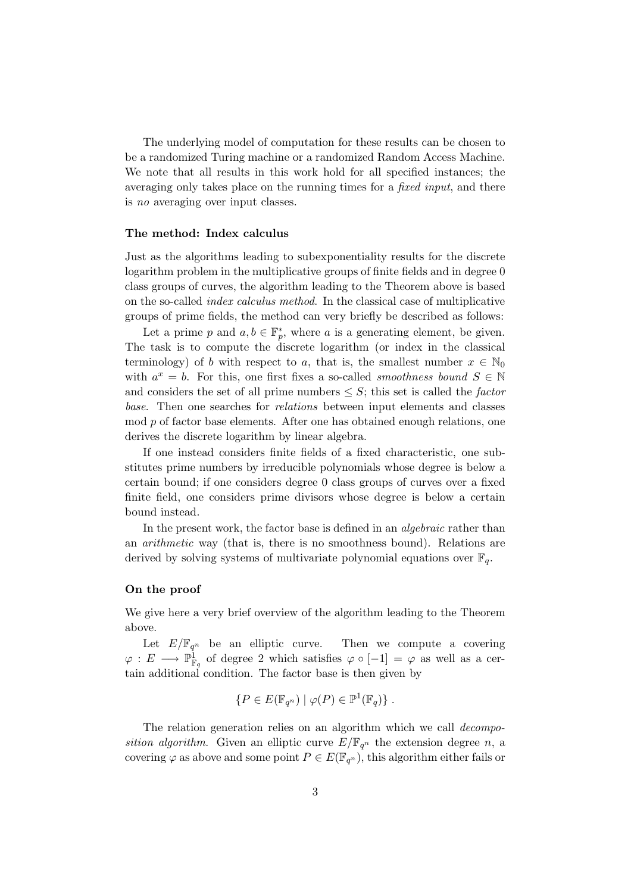The underlying model of computation for these results can be chosen to be a randomized Turing machine or a randomized Random Access Machine. We note that all results in this work hold for all specified instances; the averaging only takes place on the running times for a fixed input, and there is no averaging over input classes.

# The method: Index calculus

Just as the algorithms leading to subexponentiality results for the discrete logarithm problem in the multiplicative groups of finite fields and in degree 0 class groups of curves, the algorithm leading to the Theorem above is based on the so-called index calculus method. In the classical case of multiplicative groups of prime fields, the method can very briefly be described as follows:

Let a prime p and  $a, b \in \mathbb{F}_p^*$ , where a is a generating element, be given. The task is to compute the discrete logarithm (or index in the classical terminology) of b with respect to a, that is, the smallest number  $x \in \mathbb{N}_0$ with  $a^x = b$ . For this, one first fixes a so-called *smoothness bound*  $S \in \mathbb{N}$ and considers the set of all prime numbers  $\leq S$ ; this set is called the *factor* base. Then one searches for relations between input elements and classes mod p of factor base elements. After one has obtained enough relations, one derives the discrete logarithm by linear algebra.

If one instead considers finite fields of a fixed characteristic, one substitutes prime numbers by irreducible polynomials whose degree is below a certain bound; if one considers degree 0 class groups of curves over a fixed finite field, one considers prime divisors whose degree is below a certain bound instead.

In the present work, the factor base is defined in an *algebraic* rather than an arithmetic way (that is, there is no smoothness bound). Relations are derived by solving systems of multivariate polynomial equations over  $\mathbb{F}_q$ .

# On the proof

We give here a very brief overview of the algorithm leading to the Theorem above.

Let  $E/\mathbb{F}_{q^n}$  be an elliptic curve. Then we compute a covering  $\varphi: E \longrightarrow \mathbb{P}^1_{\mathbb{F}_q}$  of degree 2 which satisfies  $\varphi \circ [-1] = \varphi$  as well as a certain additional condition. The factor base is then given by

$$
\{P \in E(\mathbb{F}_{q^n}) \mid \varphi(P) \in \mathbb{P}^1(\mathbb{F}_q)\} .
$$

The relation generation relies on an algorithm which we call *decompo*sition algorithm. Given an elliptic curve  $E/\mathbb{F}_{q^n}$  the extension degree n, a covering  $\varphi$  as above and some point  $P \in E(\mathbb{F}_{q^n})$ , this algorithm either fails or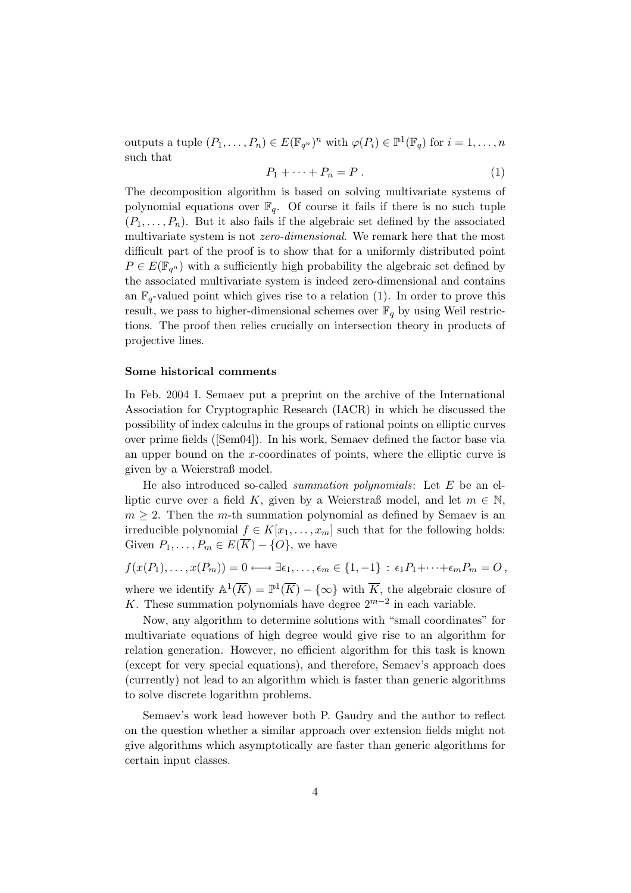outputs a tuple  $(P_1, \ldots, P_n) \in E(\mathbb{F}_{q^n})^n$  with  $\varphi(P_i) \in \mathbb{P}^1(\mathbb{F}_q)$  for  $i = 1, \ldots, n$ such that

$$
P_1 + \dots + P_n = P \tag{1}
$$

The decomposition algorithm is based on solving multivariate systems of polynomial equations over  $\mathbb{F}_q$ . Of course it fails if there is no such tuple  $(P_1, \ldots, P_n)$ . But it also fails if the algebraic set defined by the associated multivariate system is not zero-dimensional. We remark here that the most difficult part of the proof is to show that for a uniformly distributed point  $P \in E(\mathbb{F}_{q^n})$  with a sufficiently high probability the algebraic set defined by the associated multivariate system is indeed zero-dimensional and contains an  $\mathbb{F}_q$ -valued point which gives rise to a relation (1). In order to prove this result, we pass to higher-dimensional schemes over  $\mathbb{F}_q$  by using Weil restrictions. The proof then relies crucially on intersection theory in products of projective lines.

#### Some historical comments

In Feb. 2004 I. Semaev put a preprint on the archive of the International Association for Cryptographic Research (IACR) in which he discussed the possibility of index calculus in the groups of rational points on elliptic curves over prime fields ([Sem04]). In his work, Semaev defined the factor base via an upper bound on the x-coordinates of points, where the elliptic curve is given by a Weierstraß model.

He also introduced so-called *summation polynomials*: Let  $E$  be an elliptic curve over a field K, given by a Weierstraß model, and let  $m \in \mathbb{N}$ ,  $m \geq 2$ . Then the m-th summation polynomial as defined by Semaev is an irreducible polynomial  $f \in K[x_1, \ldots, x_m]$  such that for the following holds: Given  $P_1, \ldots, P_m \in E(\overline{K}) - \{O\}$ , we have

 $f(x(P_1), \ldots, x(P_m)) = 0 \longleftrightarrow \exists \epsilon_1, \ldots, \epsilon_m \in \{1, -1\} : \epsilon_1 P_1 + \cdots + \epsilon_m P_m = O$ , where we identify  $\mathbb{A}^1(\overline{K}) = \mathbb{P}^1(\overline{K}) - \{\infty\}$  with  $\overline{K}$ , the algebraic closure of K. These summation polynomials have degree  $2^{m-2}$  in each variable.

Now, any algorithm to determine solutions with "small coordinates" for multivariate equations of high degree would give rise to an algorithm for relation generation. However, no efficient algorithm for this task is known (except for very special equations), and therefore, Semaev's approach does (currently) not lead to an algorithm which is faster than generic algorithms to solve discrete logarithm problems.

Semaev's work lead however both P. Gaudry and the author to reflect on the question whether a similar approach over extension fields might not give algorithms which asymptotically are faster than generic algorithms for certain input classes.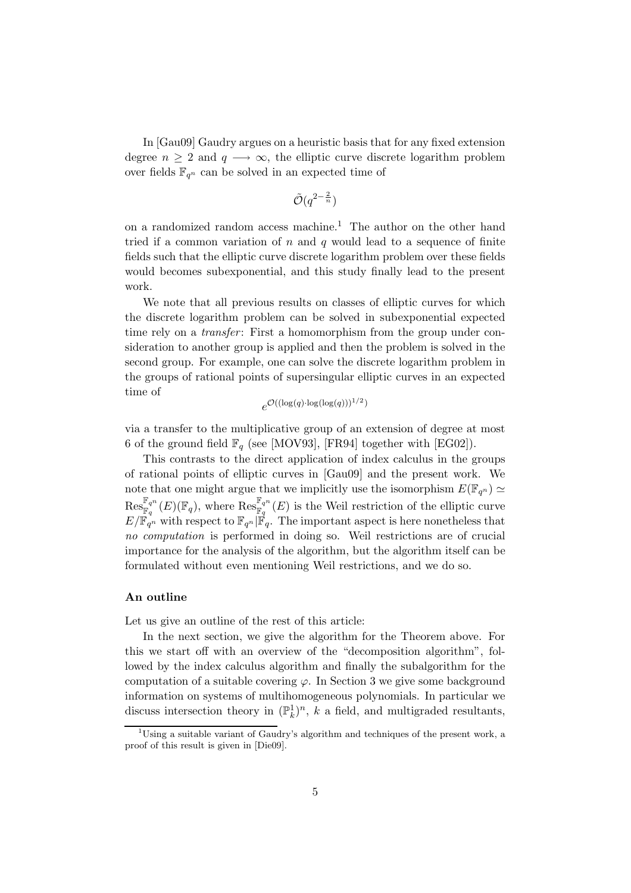In [Gau09] Gaudry argues on a heuristic basis that for any fixed extension degree  $n \geq 2$  and  $q \longrightarrow \infty$ , the elliptic curve discrete logarithm problem over fields  $\mathbb{F}_{q^n}$  can be solved in an expected time of

$$
\tilde{\mathcal{O}}(q^{2-\frac{2}{n}})
$$

on a randomized random access machine.<sup>1</sup> The author on the other hand tried if a common variation of  $n$  and  $q$  would lead to a sequence of finite fields such that the elliptic curve discrete logarithm problem over these fields would becomes subexponential, and this study finally lead to the present work.

We note that all previous results on classes of elliptic curves for which the discrete logarithm problem can be solved in subexponential expected time rely on a *transfer*: First a homomorphism from the group under consideration to another group is applied and then the problem is solved in the second group. For example, one can solve the discrete logarithm problem in the groups of rational points of supersingular elliptic curves in an expected time of

$$
e^{\mathcal{O}((\log(q)\cdot\log(\log(q)))^{1/2})}
$$

via a transfer to the multiplicative group of an extension of degree at most 6 of the ground field  $\mathbb{F}_q$  (see [MOV93], [FR94] together with [EG02]).

This contrasts to the direct application of index calculus in the groups of rational points of elliptic curves in [Gau09] and the present work. We note that one might argue that we implicitly use the isomorphism  $E(\mathbb{F}_{q^n}) \simeq$  $\mathrm{Res}_{\mathbb{F}_q}^{\mathbb{F}_{q^n}}(E)(\mathbb{F}_q)$ , where  $\mathrm{Res}_{\mathbb{F}_q}^{\mathbb{F}_{q^n}}(E)$  is the Weil restriction of the elliptic curve  $E/\mathbb{F}_{q^n}$  with respect to  $\mathbb{F}_{q^n}|\mathbb{F}_{q}$ . The important aspect is here nonetheless that no computation is performed in doing so. Weil restrictions are of crucial importance for the analysis of the algorithm, but the algorithm itself can be formulated without even mentioning Weil restrictions, and we do so.

#### An outline

Let us give an outline of the rest of this article:

In the next section, we give the algorithm for the Theorem above. For this we start off with an overview of the "decomposition algorithm", followed by the index calculus algorithm and finally the subalgorithm for the computation of a suitable covering  $\varphi$ . In Section 3 we give some background information on systems of multihomogeneous polynomials. In particular we discuss intersection theory in  $(\mathbb{P}_k^1)^n$ , k a field, and multigraded resultants,

<sup>&</sup>lt;sup>1</sup>Using a suitable variant of Gaudry's algorithm and techniques of the present work, a proof of this result is given in [Die09].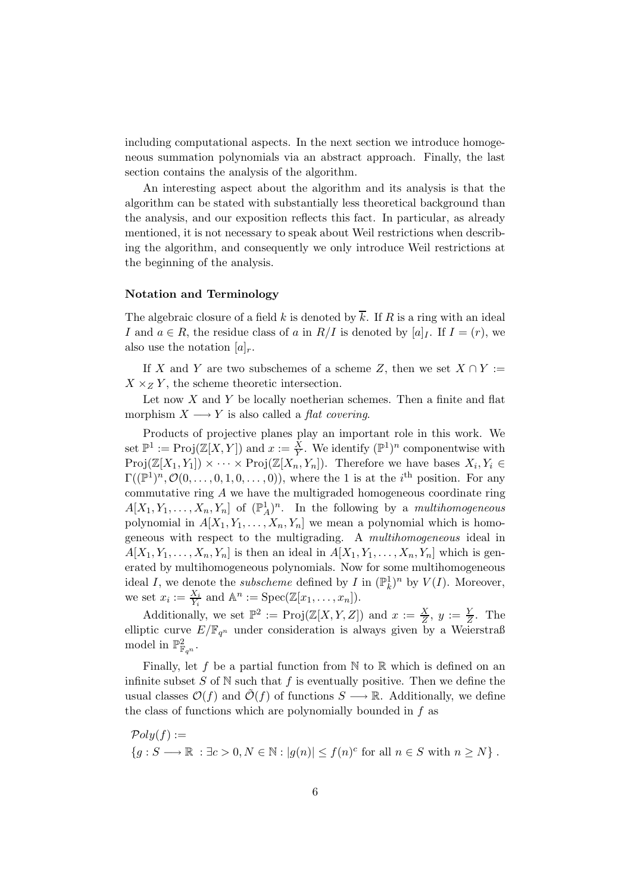including computational aspects. In the next section we introduce homogeneous summation polynomials via an abstract approach. Finally, the last section contains the analysis of the algorithm.

An interesting aspect about the algorithm and its analysis is that the algorithm can be stated with substantially less theoretical background than the analysis, and our exposition reflects this fact. In particular, as already mentioned, it is not necessary to speak about Weil restrictions when describing the algorithm, and consequently we only introduce Weil restrictions at the beginning of the analysis.

#### Notation and Terminology

The algebraic closure of a field k is denoted by  $\overline{k}$ . If R is a ring with an ideal I and  $a \in R$ , the residue class of a in  $R/I$  is denoted by  $[a]_I$ . If  $I = (r)$ , we also use the notation  $[a]_r$ .

If X and Y are two subschemes of a scheme Z, then we set  $X \cap Y :=$  $X \times_Z Y$ , the scheme theoretic intersection.

Let now  $X$  and  $Y$  be locally noetherian schemes. Then a finite and flat morphism  $X \longrightarrow Y$  is also called a *flat covering*.

Products of projective planes play an important role in this work. We set  $\mathbb{P}^1 := \text{Proj}(\mathbb{Z}[X, Y])$  and  $x := \frac{X}{Y}$ . We identify  $(\mathbb{P}^1)^n$  componentwise with  $Proj(\mathbb{Z}[X_1,Y_1]) \times \cdots \times Proj(\mathbb{Z}[X_n,Y_n])$ . Therefore we have bases  $X_i, Y_i \in$  $\Gamma((\mathbb{P}^1)^n, \mathcal{O}(0,\ldots,0,1,0,\ldots,0)),$  where the 1 is at the *i*<sup>th</sup> position. For any commutative ring  $A$  we have the multigraded homogeneous coordinate ring  $A[X_1, Y_1, \ldots, X_n, Y_n]$  of  $(\mathbb{P}_A^1)^n$ . In the following by a *multihomogeneous* polynomial in  $A[X_1, Y_1, \ldots, X_n, Y_n]$  we mean a polynomial which is homogeneous with respect to the multigrading. A multihomogeneous ideal in  $A[X_1, Y_1, \ldots, X_n, Y_n]$  is then an ideal in  $A[X_1, Y_1, \ldots, X_n, Y_n]$  which is generated by multihomogeneous polynomials. Now for some multihomogeneous ideal I, we denote the *subscheme* defined by I in  $(\mathbb{P}_k^1)^n$  by  $V(I)$ . Moreover, we set  $x_i := \frac{X_i}{Y_i}$  and  $\mathbb{A}^n := \text{Spec}(\mathbb{Z}[x_1,\ldots,x_n]).$ 

Additionally, we set  $\mathbb{P}^2 := \text{Proj}(\mathbb{Z}[X, Y, Z])$  and  $x := \frac{X}{Z}, y := \frac{Y}{Z}$ . The elliptic curve  $E/\mathbb{F}_{q^n}$  under consideration is always given by a Weierstraß model in  $\mathbb{P}^2_{\mathbb{F}_{q^n}}$ .

Finally, let f be a partial function from  $\mathbb N$  to  $\mathbb R$  which is defined on an infinite subset S of  $\mathbb N$  such that f is eventually positive. Then we define the usual classes  $\mathcal{O}(f)$  and  $\mathcal{O}(f)$  of functions  $S \longrightarrow \mathbb{R}$ . Additionally, we define the class of functions which are polynomially bounded in  $f$  as

 $Poly(f) :=$  ${g : S \longrightarrow \mathbb{R} : \exists c > 0, N \in \mathbb{N} : |g(n)| \le f(n)^c \text{ for all } n \in S \text{ with } n \ge N}.$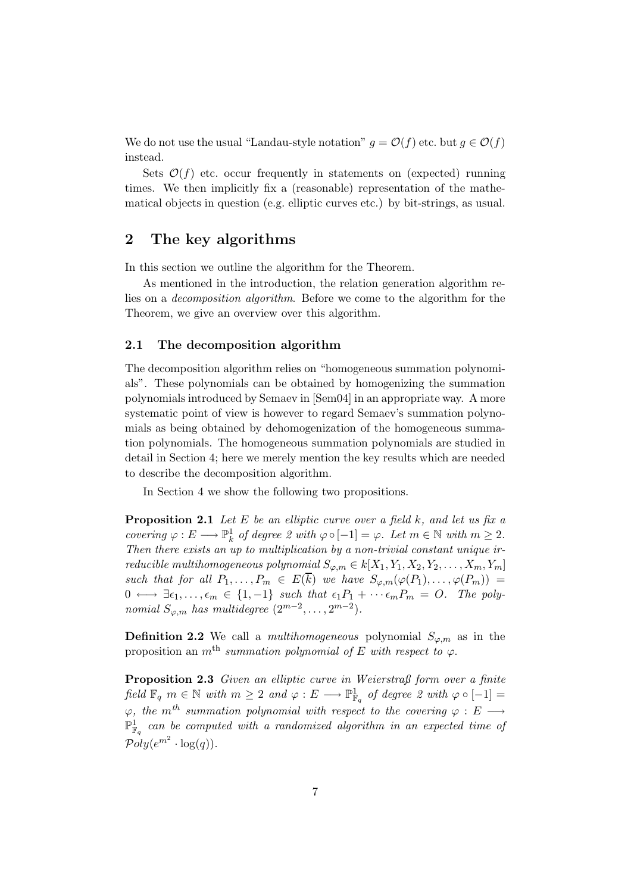We do not use the usual "Landau-style notation"  $g = \mathcal{O}(f)$  etc. but  $g \in \mathcal{O}(f)$ instead.

Sets  $\mathcal{O}(f)$  etc. occur frequently in statements on (expected) running times. We then implicitly fix a (reasonable) representation of the mathematical objects in question (e.g. elliptic curves etc.) by bit-strings, as usual.

# 2 The key algorithms

In this section we outline the algorithm for the Theorem.

As mentioned in the introduction, the relation generation algorithm relies on a decomposition algorithm. Before we come to the algorithm for the Theorem, we give an overview over this algorithm.

# 2.1 The decomposition algorithm

The decomposition algorithm relies on "homogeneous summation polynomials". These polynomials can be obtained by homogenizing the summation polynomials introduced by Semaev in [Sem04] in an appropriate way. A more systematic point of view is however to regard Semaev's summation polynomials as being obtained by dehomogenization of the homogeneous summation polynomials. The homogeneous summation polynomials are studied in detail in Section 4; here we merely mention the key results which are needed to describe the decomposition algorithm.

In Section 4 we show the following two propositions.

**Proposition 2.1** Let E be an elliptic curve over a field  $k$ , and let us fix a covering  $\varphi: E \longrightarrow \mathbb{P}^1_k$  of degree 2 with  $\varphi \circ [-1] = \varphi$ . Let  $m \in \mathbb{N}$  with  $m \geq 2$ . Then there exists an up to multiplication by a non-trivial constant unique irreducible multihomogeneous polynomial  $S_{\varphi,m} \in k[X_1, Y_1, X_2, Y_2, \ldots, X_m, Y_m]$ such that for all  $P_1, \ldots, P_m \in E(\overline{k})$  we have  $S_{\varphi,m}(\varphi(P_1), \ldots, \varphi(P_m)) =$  $0 \longleftrightarrow \exists \epsilon_1, \ldots, \epsilon_m \in \{1, -1\}$  such that  $\epsilon_1 P_1 + \cdots + \epsilon_m P_m = O$ . The polynomial  $S_{\varphi,m}$  has multidegree  $(2^{m-2}, \ldots, 2^{m-2})$ .

**Definition 2.2** We call a *multihomogeneous* polynomial  $S_{\varphi,m}$  as in the proposition an m<sup>th</sup> summation polynomial of E with respect to  $\varphi$ .

Proposition 2.3 Given an elliptic curve in Weierstraß form over a finite  $\text{field } \mathbb{F}_q \ m \in \mathbb{N} \ \text{with} \ m \geq 2 \ \text{and} \ \varphi : E \longrightarrow \mathbb{P}^1_{\mathbb{F}_q} \ \text{of degree} \ 2 \ \text{with} \ \varphi \circ [-1] =$  $\varphi$ , the m<sup>th</sup> summation polynomial with respect to the covering  $\varphi : E \longrightarrow$  $\mathbb{P}^1_{\mathbb{F}_q}$  can be computed with a randomized algorithm in an expected time of  $\mathcal{P}oly(e^{m^2} \cdot \log(q)).$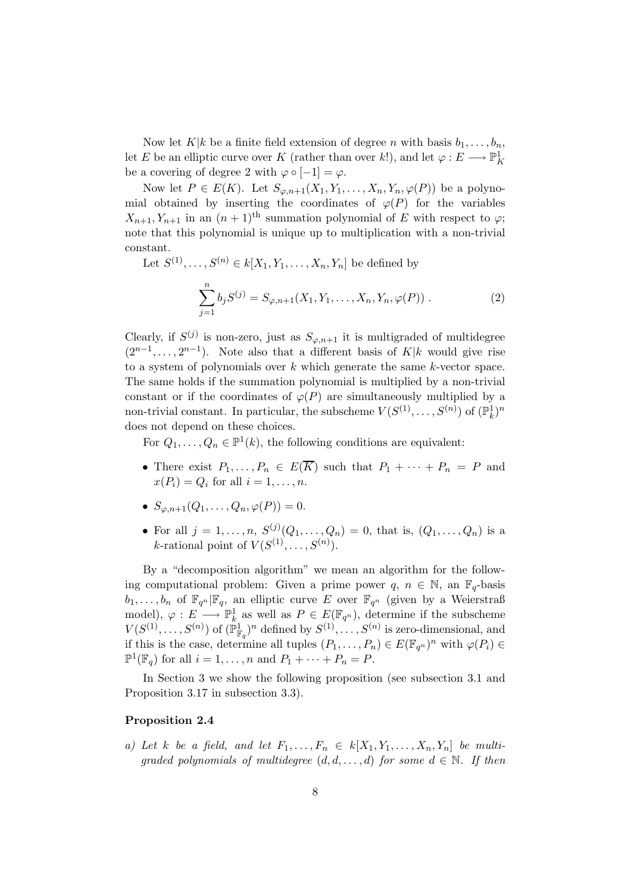Now let  $K|k$  be a finite field extension of degree n with basis  $b_1, \ldots, b_n$ , let E be an elliptic curve over K (rather than over k!), and let  $\varphi : E \longrightarrow \mathbb{P}^1_K$ be a covering of degree 2 with  $\varphi \circ [-1] = \varphi$ .

Now let  $P \in E(K)$ . Let  $S_{\varphi,n+1}(X_1,Y_1,\ldots,X_n,Y_n,\varphi(P))$  be a polynomial obtained by inserting the coordinates of  $\varphi(P)$  for the variables  $X_{n+1}, Y_{n+1}$  in an  $(n+1)$ <sup>th</sup> summation polynomial of E with respect to  $\varphi$ ; note that this polynomial is unique up to multiplication with a non-trivial constant.

Let  $S^{(1)}, \ldots, S^{(n)} \in k[X_1, Y_1, \ldots, X_n, Y_n]$  be defined by

$$
\sum_{j=1}^{n} b_j S^{(j)} = S_{\varphi, n+1}(X_1, Y_1, \dots, X_n, Y_n, \varphi(P)) . \tag{2}
$$

Clearly, if  $S^{(j)}$  is non-zero, just as  $S_{\varphi,n+1}$  it is multigraded of multidegree  $(2^{n-1}, \ldots, 2^{n-1})$ . Note also that a different basis of K|k would give rise to a system of polynomials over  $k$  which generate the same  $k$ -vector space. The same holds if the summation polynomial is multiplied by a non-trivial constant or if the coordinates of  $\varphi(P)$  are simultaneously multiplied by a non-trivial constant. In particular, the subscheme  $V(S^{(1)}, \ldots, S^{(n)})$  of  $(\mathbb{P}_k^1)^n$ does not depend on these choices.

For  $Q_1, \ldots, Q_n \in \mathbb{P}^1(k)$ , the following conditions are equivalent:

- There exist  $P_1, \ldots, P_n \in E(\overline{K})$  such that  $P_1 + \cdots + P_n = P$  and  $x(P_i) = Q_i$  for all  $i = 1, \ldots, n$ .
- $S_{(a,n+1}(Q_1,\ldots,Q_n,\varphi(P))=0.$
- For all  $j = 1, ..., n$ ,  $S^{(j)}(Q_1, ..., Q_n) = 0$ , that is,  $(Q_1, ..., Q_n)$  is a *k*-rational point of  $V(S^{(1)}, \ldots, S^{(n)})$ .

By a "decomposition algorithm" we mean an algorithm for the following computational problem: Given a prime power  $q, n \in \mathbb{N}$ , an  $\mathbb{F}_q$ -basis  $b_1, \ldots, b_n$  of  $\mathbb{F}_{q^n}|\mathbb{F}_q$ , an elliptic curve E over  $\mathbb{F}_{q^n}$  (given by a Weierstraß model),  $\varphi: E \longrightarrow \mathbb{P}^1_k$  as well as  $P \in E(\mathbb{F}_{q^n})$ , determine if the subscheme  $V(S^{(1)}, \ldots, S^{(n)})$  of  $(\mathbb{P}^1_{\mathbb{F}_q})^n$  defined by  $S^{(1)}, \ldots, S^{(n)}$  is zero-dimensional, and if this is the case, determine all tuples  $(P_1, \ldots, P_n) \in E(\mathbb{F}_{q^n})^n$  with  $\varphi(P_i) \in$  $\mathbb{P}^1(\mathbb{F}_q)$  for all  $i = 1, \ldots, n$  and  $P_1 + \cdots + P_n = P$ .

In Section 3 we show the following proposition (see subsection 3.1 and Proposition 3.17 in subsection 3.3).

# Proposition 2.4

a) Let k be a field, and let  $F_1, \ldots, F_n \in k[X_1, Y_1, \ldots, X_n, Y_n]$  be multiqraded polynomials of multidegree  $(d, d, \ldots, d)$  for some  $d \in \mathbb{N}$ . If then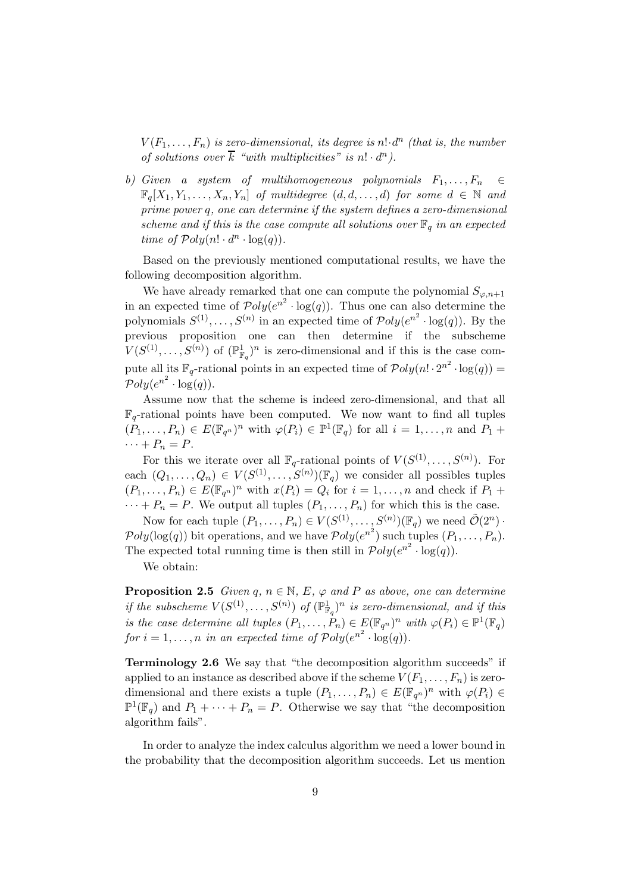$V(F_1, \ldots, F_n)$  is zero-dimensional, its degree is  $n! \cdot d^n$  (that is, the number of solutions over  $\overline{k}$  "with multiplicities" is  $n! \cdot d^n$ ).

b) Given a system of multihomogeneous polynomials  $F_1, \ldots, F_n \in$  $\mathbb{F}_q[X_1, Y_1, \ldots, X_n, Y_n]$  of multidegree  $(d, d, \ldots, d)$  for some  $d \in \mathbb{N}$  and prime power q, one can determine if the system defines a zero-dimensional scheme and if this is the case compute all solutions over  $\mathbb{F}_q$  in an expected time of  $Poly(n! \cdot d^n \cdot \log(q)).$ 

Based on the previously mentioned computational results, we have the following decomposition algorithm.

We have already remarked that one can compute the polynomial  $S_{\varphi,n+1}$ in an expected time of  $\mathcal{P}oly(e^{n^2} \cdot \log(q))$ . Thus one can also determine the polynomials  $S^{(1)}, \ldots, S^{(n)}$  in an expected time of  $\mathcal{P}oly(e^{n^2} \cdot \log(q))$ . By the previous proposition one can then determine if the subscheme  $V(S^{(1)}, \ldots, S^{(n)})$  of  $(\mathbb{P}^1_{\mathbb{F}_q})^n$  is zero-dimensional and if this is the case compute all its  $\mathbb{F}_q$ -rational points in an expected time of  $\mathcal{P}oly(n! \cdot 2^{n^2} \cdot \log(q)) =$  $\mathcal{P}oly(e^{n^2} \cdot \log(q)).$ 

Assume now that the scheme is indeed zero-dimensional, and that all  $\mathbb{F}_q$ -rational points have been computed. We now want to find all tuples  $(P_1,\ldots,P_n) \in E(\mathbb{F}_{q^n})^n$  with  $\varphi(P_i) \in \mathbb{P}^1(\mathbb{F}_q)$  for all  $i=1,\ldots,n$  and  $P_1 +$  $\cdots + P_n = P$ .

For this we iterate over all  $\mathbb{F}_q$ -rational points of  $V(S^{(1)}, \ldots, S^{(n)})$ . For each  $(Q_1, \ldots, Q_n) \in V(S^{(1)}, \ldots, S^{(n)})(\mathbb{F}_q)$  we consider all possibles tuples  $(P_1, \ldots, P_n) \in E(\mathbb{F}_{q^n})^n$  with  $x(P_i) = Q_i$  for  $i = 1, \ldots, n$  and check if  $P_1 +$  $\cdots + P_n = P$ . We output all tuples  $(P_1, \ldots, P_n)$  for which this is the case.

Now for each tuple  $(P_1, \ldots, P_n) \in V(S^{(1)}, \ldots, S^{(n)})(\mathbb{F}_q)$  we need  $\tilde{\mathcal{O}}(2^n)$ .  $Poly(log(q))$  bit operations, and we have  $Poly(e^{n^2})$  such tuples  $(P_1, \ldots, P_n)$ . The expected total running time is then still in  $\mathcal{P}oly(e^{n^2} \cdot \log(q)).$ 

We obtain:

**Proposition 2.5** Given  $q, n \in \mathbb{N}, E, \varphi$  and P as above, one can determine if the subscheme  $V(S^{(1)}, \ldots, S^{(n)})$  of  $(\mathbb{P}^1_{\mathbb{F}_q})^n$  is zero-dimensional, and if this is the case determine all tuples  $(P_1, \ldots, P_n) \in E(\mathbb{F}_{q^n})^n$  with  $\varphi(P_i) \in \mathbb{P}^1(\mathbb{F}_q)$ for  $i = 1, ..., n$  in an expected time of  $Poly(e^{n^2} \cdot \log(q)).$ 

Terminology 2.6 We say that "the decomposition algorithm succeeds" if applied to an instance as described above if the scheme  $V(F_1, \ldots, F_n)$  is zerodimensional and there exists a tuple  $(P_1, \ldots, P_n) \in E(\mathbb{F}_{q^n})^n$  with  $\varphi(P_i) \in$  $\mathbb{P}^1(\mathbb{F}_q)$  and  $P_1 + \cdots + P_n = P$ . Otherwise we say that "the decomposition" algorithm fails".

In order to analyze the index calculus algorithm we need a lower bound in the probability that the decomposition algorithm succeeds. Let us mention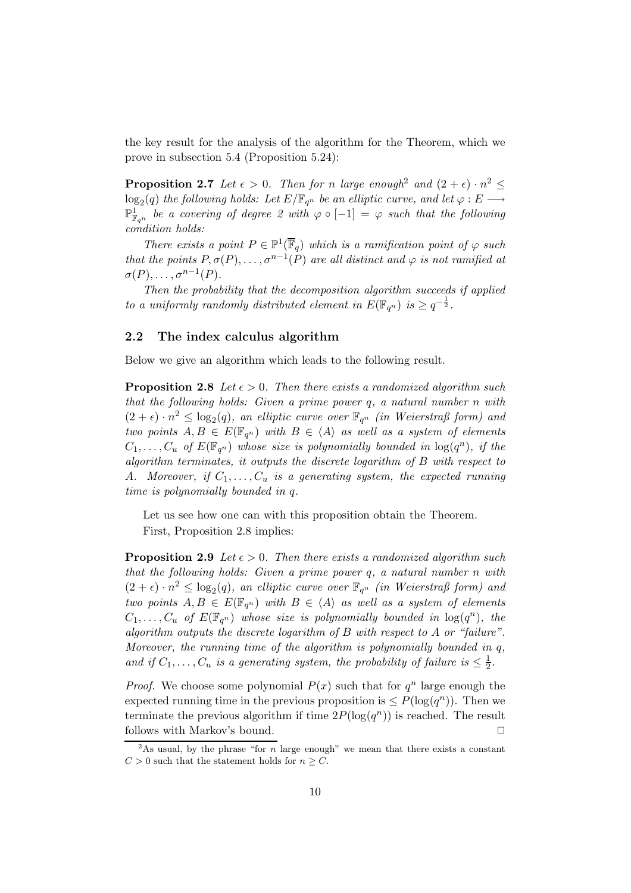the key result for the analysis of the algorithm for the Theorem, which we prove in subsection 5.4 (Proposition 5.24):

**Proposition 2.7** Let  $\epsilon > 0$ . Then for n large enough<sup>2</sup> and  $(2 + \epsilon) \cdot n^2 \leq$  $\log_2(q)$  the following holds: Let  $E/\mathbb{F}_{q^n}$  be an elliptic curve, and let  $\varphi : E \longrightarrow$  $\mathbb{P}^1_{\mathbb{F}_{q^n}}$  be a covering of degree 2 with  $\varphi \circ [-1] = \varphi$  such that the following condition holds:

There exists a point  $P \in \mathbb{P}^1(\overline{\mathbb{F}}_q)$  which is a ramification point of  $\varphi$  such that the points  $P, \sigma(P), \ldots, \sigma^{n-1}(P)$  are all distinct and  $\varphi$  is not ramified at  $\sigma(P), \ldots, \sigma^{n-1}(P).$ 

Then the probability that the decomposition algorithm succeeds if applied to a uniformly randomly distributed element in  $E(\mathbb{F}_{q^n})$  is  $\geq q^{-\frac{1}{2}}$ .

# 2.2 The index calculus algorithm

Below we give an algorithm which leads to the following result.

**Proposition 2.8** Let  $\epsilon > 0$ . Then there exists a randomized algorithm such that the following holds: Given a prime power q, a natural number n with  $(2 + \epsilon) \cdot n^2 \leq \log_2(q)$ , an elliptic curve over  $\mathbb{F}_{q^n}$  (in Weierstraß form) and two points  $A, B \in E(\mathbb{F}_{q^n})$  with  $B \in \langle A \rangle$  as well as a system of elements  $C_1, \ldots, C_u$  of  $E(\mathbb{F}_{q^n})$  whose size is polynomially bounded in  $\log(q^n)$ , if the algorithm terminates, it outputs the discrete logarithm of B with respect to A. Moreover, if  $C_1, \ldots, C_u$  is a generating system, the expected running time is polynomially bounded in q.

Let us see how one can with this proposition obtain the Theorem. First, Proposition 2.8 implies:

**Proposition 2.9** Let  $\epsilon > 0$ . Then there exists a randomized algorithm such that the following holds: Given a prime power q, a natural number n with  $(2 + \epsilon) \cdot n^2 \leq \log_2(q)$ , an elliptic curve over  $\mathbb{F}_{q^n}$  (in Weierstraß form) and two points  $A, B \in E(\mathbb{F}_{q^n})$  with  $B \in \langle A \rangle$  as well as a system of elements  $C_1, \ldots, C_u$  of  $E(\mathbb{F}_{q^n})$  whose size is polynomially bounded in  $\log(q^n)$ , the algorithm outputs the discrete logarithm of B with respect to A or "failure". Moreover, the running time of the algorithm is polynomially bounded in  $q$ , and if  $C_1, \ldots, C_u$  is a generating system, the probability of failure is  $\leq \frac{1}{2}$ .

*Proof.* We choose some polynomial  $P(x)$  such that for  $q^n$  large enough the expected running time in the previous proposition is  $\leq P(\log(q^n))$ . Then we terminate the previous algorithm if time  $2P(\log(q^n))$  is reached. The result follows with Markov's bound.  $\Box$ 

<sup>&</sup>lt;sup>2</sup>As usual, by the phrase "for n large enough" we mean that there exists a constant  $C > 0$  such that the statement holds for  $n \geq C$ .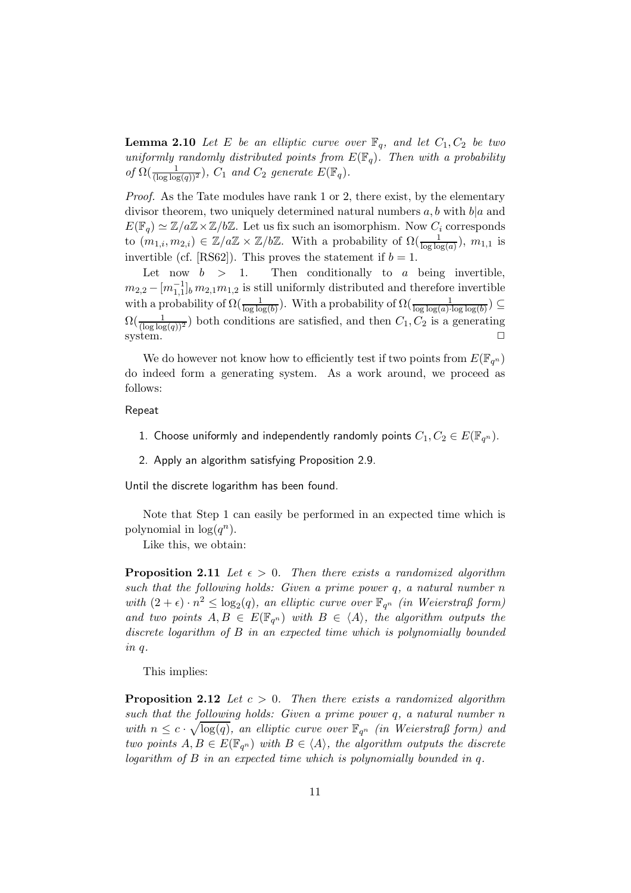**Lemma 2.10** Let E be an elliptic curve over  $\mathbb{F}_q$ , and let  $C_1, C_2$  be two uniformly randomly distributed points from  $E(\mathbb{F}_q)$ . Then with a probability of  $\Omega(\frac{1}{(\log \log(q))^2})$ ,  $C_1$  and  $C_2$  generate  $E(\mathbb{F}_q)$ .

Proof. As the Tate modules have rank 1 or 2, there exist, by the elementary divisor theorem, two uniquely determined natural numbers  $a, b$  with  $b|a$  and  $E(\mathbb{F}_q) \simeq \mathbb{Z}/a\mathbb{Z} \times \mathbb{Z}/b\mathbb{Z}$ . Let us fix such an isomorphism. Now  $C_i$  corresponds to  $(m_{1,i}, m_{2,i}) \in \mathbb{Z}/a\mathbb{Z} \times \mathbb{Z}/b\mathbb{Z}$ . With a probability of  $\Omega(\frac{1}{\log \log(a)})$ ,  $m_{1,1}$  is invertible (cf. [RS62]). This proves the statement if  $b = 1$ .

Let now  $b > 1$ . Then conditionally to a being invertible,  $m_{2,2} - [m_{1,1}^{-1}]_b \, m_{2,1} m_{1,2}$  is still uniformly distributed and therefore invertible with a probability of  $\Omega(\frac{1}{\log \log(b)})$ . With a probability of  $\Omega(\frac{1}{\log \log(a) \cdot \log \log(b)}) \subseteq$  $\Omega(\frac{1}{(\log \log(q))^2})$  both conditions are satisfied, and then  $C_1, C_2$  is a generating  $system.$ 

We do however not know how to efficiently test if two points from  $E(\mathbb{F}_{q^n})$ do indeed form a generating system. As a work around, we proceed as follows:

Repeat

- 1. Choose uniformly and independently randomly points  $C_1, C_2 \in E(\mathbb{F}_{q^n})$ .
- 2. Apply an algorithm satisfying Proposition 2.9.

Until the discrete logarithm has been found.

Note that Step 1 can easily be performed in an expected time which is polynomial in  $\log(q^n)$ .

Like this, we obtain:

**Proposition 2.11** Let  $\epsilon > 0$ . Then there exists a randomized algorithm such that the following holds: Given a prime power  $q$ , a natural number  $n$ with  $(2 + \epsilon) \cdot n^2 \leq \log_2(q)$ , an elliptic curve over  $\mathbb{F}_{q^n}$  (in Weierstraß form) and two points  $A, B \in E(\mathbb{F}_{q^n})$  with  $B \in \langle A \rangle$ , the algorithm outputs the discrete logarithm of B in an expected time which is polynomially bounded in q.

This implies:

**Proposition 2.12** Let  $c > 0$ . Then there exists a randomized algorithm such that the following holds: Given a prime power q, a natural number  $n$ with  $n \leq c \cdot \sqrt{\log(q)}$ , an elliptic curve over  $\mathbb{F}_{q^n}$  (in Weierstraß form) and two points  $A, B \in E(\mathbb{F}_{q^n})$  with  $B \in \langle A \rangle$ , the algorithm outputs the discrete logarithm of B in an expected time which is polynomially bounded in q.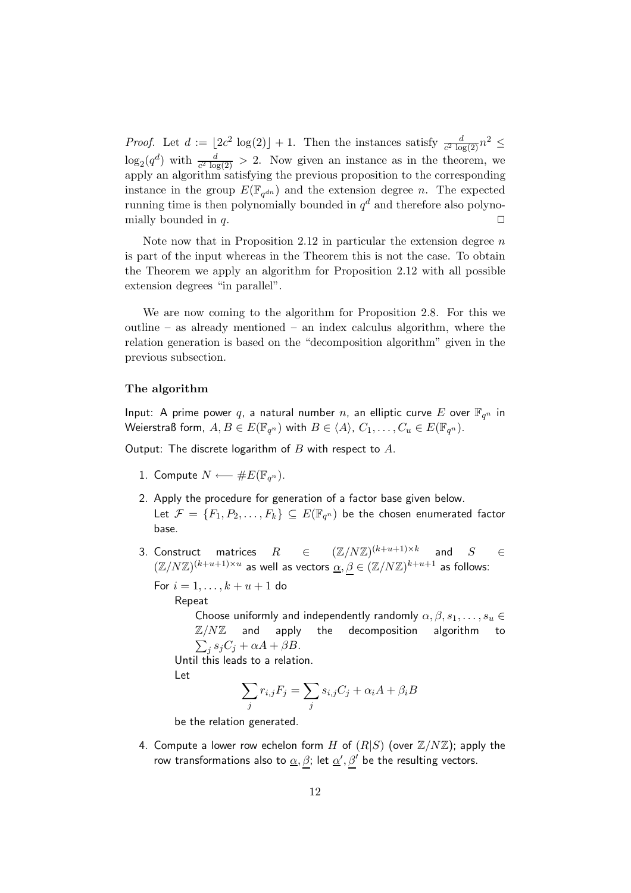*Proof.* Let  $d := \lfloor 2c^2 \log(2) \rfloor + 1$ . Then the instances satisfy  $\frac{d}{c^2 \log(2)} n^2 \leq$  $\log_2(q^d)$  with  $\frac{d}{c^2 \log(2)} > 2$ . Now given an instance as in the theorem, we apply an algorithm satisfying the previous proposition to the corresponding instance in the group  $E(\mathbb{F}_{q^{dn}})$  and the extension degree n. The expected running time is then polynomially bounded in  $q^d$  and therefore also polynomially bounded in q.

Note now that in Proposition 2.12 in particular the extension degree  $n$ is part of the input whereas in the Theorem this is not the case. To obtain the Theorem we apply an algorithm for Proposition 2.12 with all possible extension degrees "in parallel".

We are now coming to the algorithm for Proposition 2.8. For this we outline – as already mentioned – an index calculus algorithm, where the relation generation is based on the "decomposition algorithm" given in the previous subsection.

# The algorithm

Input: A prime power  $q$ , a natural number  $n$ , an elliptic curve  $E$  over  $\mathbb{F}_{q^n}$  in Weierstraß form,  $A,B\in E(\mathbb{F}_{q^n})$  with  $B\in \langle A \rangle$ ,  $C_1,\ldots,C_u\in E(\mathbb{F}_{q^n}).$ 

Output: The discrete logarithm of  $B$  with respect to  $A$ .

- 1. Compute  $N \longleftarrow \#E(\mathbb{F}_{q^n})$ .
- 2. Apply the procedure for generation of a factor base given below. Let  $\mathcal{F}=\{F_1,P_2,\ldots,F_k\}\subseteq E(\mathbb{F}_{q^n})$  be the chosen enumerated factor base.
- 3. Construct matrices  $R$   $\in$   $(\mathbb{Z}/N\mathbb{Z})^{(k+u+1)\times k}$  and  $S$   $\in$  $(\mathbb{Z}/N\mathbb{Z})^{(k+u+1)\times u}$  as well as vectors  $\underline{\alpha}, \beta \in (\mathbb{Z}/N\mathbb{Z})^{k+u+1}$  as follows:

For  $i = 1, ..., k + u + 1$  do

Repeat

Choose uniformly and independently randomly  $\alpha, \beta, s_1, \ldots, s_u \in$  $\mathbb{Z}/N\mathbb{Z}$  and apply the decomposition algorithm to  $\sum_j s_j C_j + \alpha A + \beta B.$ Until this leads to a relation.

Let

$$
\sum_{j} r_{i,j} F_j = \sum_{j} s_{i,j} C_j + \alpha_i A + \beta_i B
$$

be the relation generated.

4. Compute a lower row echelon form H of  $(R|S)$  (over  $\mathbb{Z}/N\mathbb{Z}$ ); apply the row transformations also to  $\alpha$ ,  $\beta$ ; let  $\alpha'$ ,  $\beta'$  be the resulting vectors.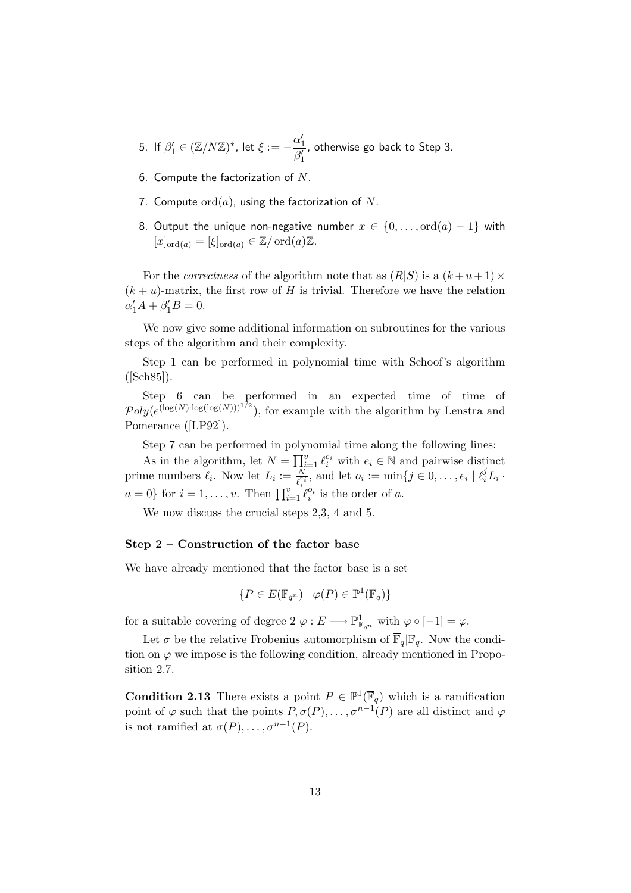- 5. If  $\beta'_1 \in (\mathbb{Z}/N\mathbb{Z})^*$ , let  $\xi := -\frac{\alpha'_1}{\beta'}$  $\beta'_1$ , otherwise go back to Step 3.
- 6. Compute the factorization of  $N$ .
- 7. Compute  $\text{ord}(a)$ , using the factorization of N.
- 8. Output the unique non-negative number  $x \in \{0, \ldots, \text{ord}(a) 1\}$  with  $[x]_{\text{ord}(a)} = [\xi]_{\text{ord}(a)} \in \mathbb{Z}/\text{ord}(a)\mathbb{Z}.$

For the *correctness* of the algorithm note that as  $(R|S)$  is a  $(k+u+1) \times$  $(k + u)$ -matrix, the first row of H is trivial. Therefore we have the relation  $\alpha'_1 A + \beta'_1 B = 0.$ 

We now give some additional information on subroutines for the various steps of the algorithm and their complexity.

Step 1 can be performed in polynomial time with Schoof's algorithm  $([Sch85]).$ 

Step 6 can be performed in an expected time of time of  $Poly(e^{(\log(N)\cdot \log(\log(N)))^{1/2}})$ , for example with the algorithm by Lenstra and Pomerance ([LP92]).

Step 7 can be performed in polynomial time along the following lines:

As in the algorithm, let  $N = \prod_{i=1}^{v} \ell_i^{e_i}$  with  $e_i \in \mathbb{N}$  and pairwise distinct prime numbers  $\ell_i$ . Now let  $L_i := \frac{N}{\ell_i^{\varepsilon_i}}$ , and let  $o_i := \min\{j \in 0, \ldots, e_i \mid \ell_i^j L_i \cdot$  $a = 0$ } for  $i = 1, \ldots, v$ . Then  $\prod_{i=1}^{v} \ell_i^{o_i}$  is the order of a.

We now discuss the crucial steps 2,3, 4 and 5.

#### Step 2 – Construction of the factor base

We have already mentioned that the factor base is a set

$$
\{P \in E(\mathbb{F}_{q^n}) \mid \varphi(P) \in \mathbb{P}^1(\mathbb{F}_q)\}
$$

for a suitable covering of degree  $2 \varphi : E \longrightarrow \mathbb{P}^1_{\mathbb{F}_{q^n}}$  with  $\varphi \circ [-1] = \varphi$ .

Let  $\sigma$  be the relative Frobenius automorphism of  $\overline{\mathbb{F}}_q|\mathbb{F}_q$ . Now the condition on  $\varphi$  we impose is the following condition, already mentioned in Proposition 2.7.

**Condition 2.13** There exists a point  $P \in \mathbb{P}^1(\overline{\mathbb{F}}_q)$  which is a ramification point of  $\varphi$  such that the points  $P, \sigma(P), \ldots, \sigma^{n-1}(P)$  are all distinct and  $\varphi$ is not ramified at  $\sigma(P), \ldots, \sigma^{n-1}(P)$ .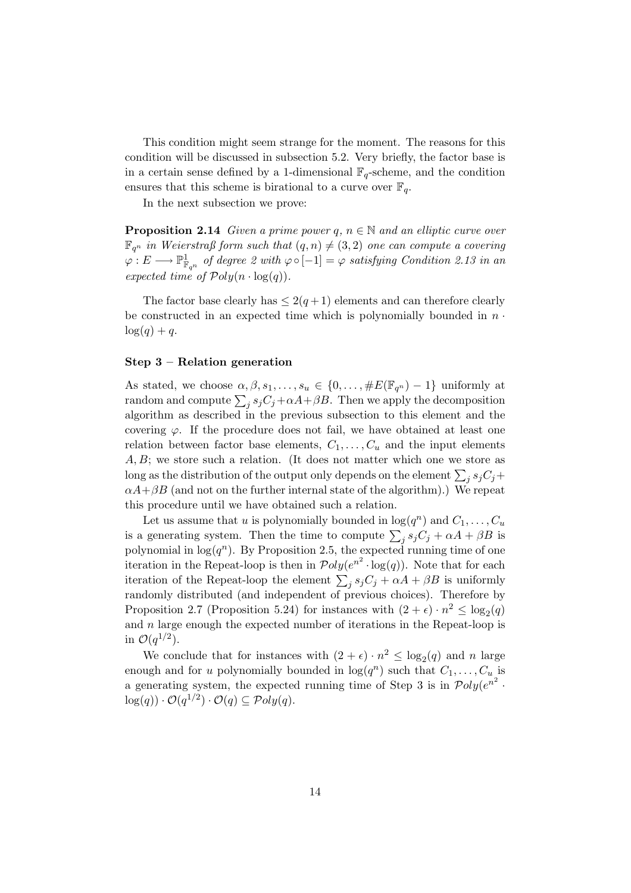This condition might seem strange for the moment. The reasons for this condition will be discussed in subsection 5.2. Very briefly, the factor base is in a certain sense defined by a 1-dimensional  $\mathbb{F}_q$ -scheme, and the condition ensures that this scheme is birational to a curve over  $\mathbb{F}_q$ .

In the next subsection we prove:

**Proposition 2.14** Given a prime power q,  $n \in \mathbb{N}$  and an elliptic curve over  $\mathbb{F}_{q^n}$  in Weierstraß form such that  $(q,n) \neq (3,2)$  one can compute a covering  $\varphi: E \longrightarrow \mathbb{P}^1_{\mathbb{F}_{q^n}}$  of degree 2 with  $\varphi \circ [-1] = \varphi$  satisfying Condition 2.13 in an expected time of  $\mathcal{P}oly(n \cdot \log(a)).$ 

The factor base clearly has  $\leq 2(q+1)$  elements and can therefore clearly be constructed in an expected time which is polynomially bounded in  $n \cdot$  $\log(q) + q$ .

#### Step 3 – Relation generation

As stated, we choose  $\alpha, \beta, s_1, \ldots, s_u \in \{0, \ldots, \#E(\mathbb{F}_{q^n})-1\}$  uniformly at random and compute  $\sum_j s_j C_j + \alpha A + \beta B$ . Then we apply the decomposition algorithm as described in the previous subsection to this element and the covering  $\varphi$ . If the procedure does not fail, we have obtained at least one relation between factor base elements,  $C_1, \ldots, C_u$  and the input elements  $A, B$ ; we store such a relation. (It does not matter which one we store as long as the distribution of the output only depends on the element  $\sum_j s_j C_j +$  $\alpha A+\beta B$  (and not on the further internal state of the algorithm).) We repeat this procedure until we have obtained such a relation.

Let us assume that u is polynomially bounded in  $log(q^n)$  and  $C_1, \ldots, C_u$ is a generating system. Then the time to compute  $\sum_j s_j C_j + \alpha A + \beta B$  is polynomial in  $log(q^n)$ . By Proposition 2.5, the expected running time of one iteration in the Repeat-loop is then in  $\mathcal{P}oly(e^{n^2} \cdot \log(q))$ . Note that for each iteration of the Repeat-loop the element  $\sum_j s_j C_j + \alpha A + \beta B$  is uniformly randomly distributed (and independent of previous choices). Therefore by Proposition 2.7 (Proposition 5.24) for instances with  $(2 + \epsilon) \cdot n^2 \le \log_2(q)$ and  $n$  large enough the expected number of iterations in the Repeat-loop is in  $\mathcal{O}(q^{1/2})$ .

We conclude that for instances with  $(2 + \epsilon) \cdot n^2 \leq \log_2(q)$  and n large enough and for u polynomially bounded in  $log(q^n)$  such that  $C_1, \ldots, C_u$  is a generating system, the expected running time of Step 3 is in  $\mathcal{P}oly(e^{n^2} \cdot$  $log(q)) \cdot \mathcal{O}(q^{1/2}) \cdot \mathcal{O}(q) \subseteq \mathcal{P}oly(q).$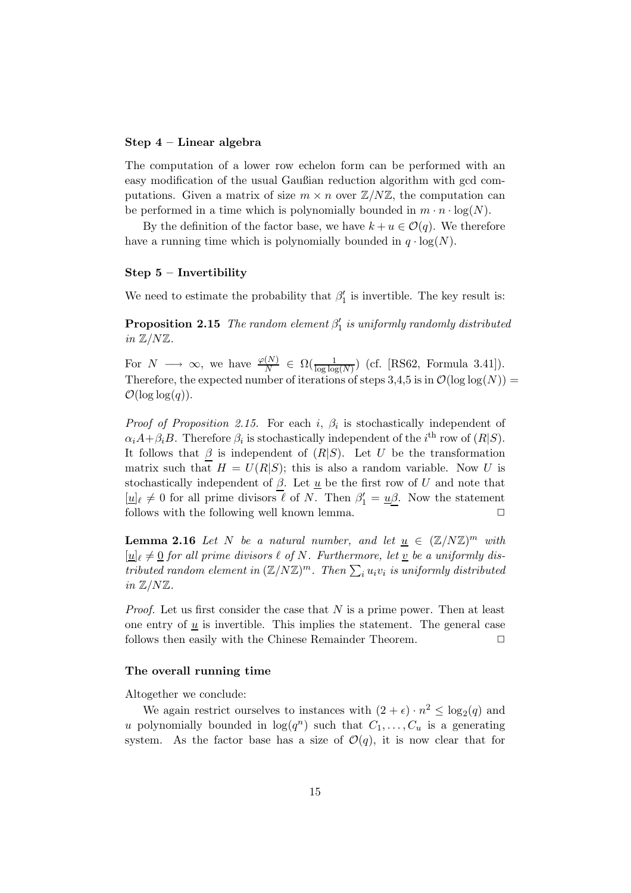#### Step 4 – Linear algebra

The computation of a lower row echelon form can be performed with an easy modification of the usual Gaußian reduction algorithm with gcd computations. Given a matrix of size  $m \times n$  over  $\mathbb{Z}/N\mathbb{Z}$ , the computation can be performed in a time which is polynomially bounded in  $m \cdot n \cdot \log(N)$ .

By the definition of the factor base, we have  $k + u \in \mathcal{O}(q)$ . We therefore have a running time which is polynomially bounded in  $q \cdot \log(N)$ .

## Step 5 – Invertibility

We need to estimate the probability that  $\beta'_1$  is invertible. The key result is:

**Proposition 2.15** The random element  $\beta'_1$  is uniformly randomly distributed in  $\mathbb{Z}/N\mathbb{Z}$ .

For  $N \longrightarrow \infty$ , we have  $\frac{\varphi(N)}{N} \in \Omega(\frac{1}{\log \log(N)})$  (cf. [RS62, Formula 3.41]). Therefore, the expected number of iterations of steps 3,4,5 is in  $\mathcal{O}(\log \log(N))$  =  $\mathcal{O}(\log \log(q)).$ 

*Proof of Proposition 2.15.* For each i,  $\beta_i$  is stochastically independent of  $\alpha_i A + \beta_i B$ . Therefore  $\beta_i$  is stochastically independent of the *i*<sup>th</sup> row of  $(R|S)$ . It follows that  $\beta$  is independent of  $(R|S)$ . Let U be the transformation matrix such that  $H = U(R|S)$ ; this is also a random variable. Now U is stochastically independent of  $\beta$ . Let  $\underline{u}$  be the first row of U and note that  $[\underline{u}]_{\ell} \neq 0$  for all prime divisors  $\ell$  of N. Then  $\beta'_1 = \underline{u}\underline{\beta}$ . Now the statement follows with the following well known lemma.  $\Box$ 

**Lemma 2.16** Let N be a natural number, and let  $\underline{u} \in (\mathbb{Z}/N\mathbb{Z})^m$  with  $[\underline{u}]_{\ell} \neq \underline{0}$  for all prime divisors  $\ell$  of N. Furthermore, let  $\underline{v}$  be a uniformly distributed random element in  $(\mathbb{Z}/N\mathbb{Z})^m$ . Then  $\sum_i u_i v_i$  is uniformly distributed in  $\mathbb{Z}/N\mathbb{Z}$ .

*Proof.* Let us first consider the case that  $N$  is a prime power. Then at least one entry of  $u$  is invertible. This implies the statement. The general case follows then easily with the Chinese Remainder Theorem.  $\Box$ 

# The overall running time

Altogether we conclude:

We again restrict ourselves to instances with  $(2 + \epsilon) \cdot n^2 \le \log_2(q)$  and u polynomially bounded in  $log(q^n)$  such that  $C_1, \ldots, C_u$  is a generating system. As the factor base has a size of  $\mathcal{O}(q)$ , it is now clear that for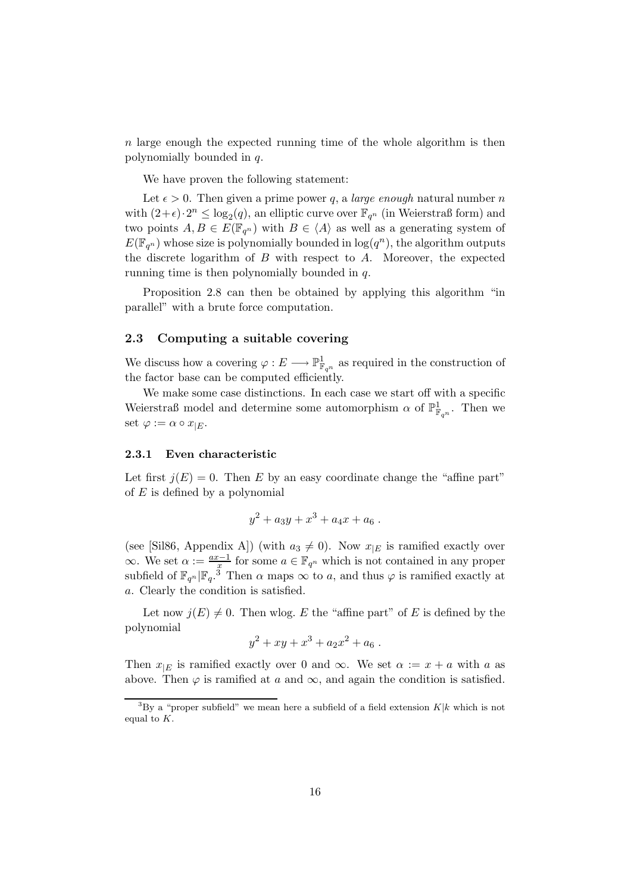n large enough the expected running time of the whole algorithm is then polynomially bounded in q.

We have proven the following statement:

Let  $\epsilon > 0$ . Then given a prime power q, a *large enough* natural number n with  $(2+\epsilon) \cdot 2^n \leq \log_2(q)$ , an elliptic curve over  $\mathbb{F}_{q^n}$  (in Weierstraß form) and two points  $A, B \in E(\mathbb{F}_{q^n})$  with  $B \in \langle A \rangle$  as well as a generating system of  $E(\mathbb{F}_{q^n})$  whose size is polynomially bounded in  $\log(q^n)$ , the algorithm outputs the discrete logarithm of  $B$  with respect to  $A$ . Moreover, the expected running time is then polynomially bounded in q.

Proposition 2.8 can then be obtained by applying this algorithm "in parallel" with a brute force computation.

# 2.3 Computing a suitable covering

We discuss how a covering  $\varphi: E \longrightarrow \mathbb{P}^1_{\mathbb{F}_{q^n}}$  as required in the construction of the factor base can be computed efficiently.

We make some case distinctions. In each case we start off with a specific Weierstraß model and determine some automorphism  $\alpha$  of  $\mathbb{P}^1_{\mathbb{F}_{q^n}}$ . Then we set  $\varphi := \alpha \circ x_{|E}$ .

#### 2.3.1 Even characteristic

Let first  $j(E) = 0$ . Then E by an easy coordinate change the "affine part" of  $E$  is defined by a polynomial

$$
y^2 + a_3y + x^3 + a_4x + a_6.
$$

(see [Sil86, Appendix A]) (with  $a_3 \neq 0$ ). Now  $x_{|E}$  is ramified exactly over  $\infty$ . We set  $\alpha := \frac{ax-1}{x}$  for some  $a \in \mathbb{F}_{q^n}$  which is not contained in any proper subfield of  $\mathbb{F}_{q^n}|\mathbb{F}_q$ .<sup>3</sup> Then  $\alpha$  maps  $\infty$  to a, and thus  $\varphi$  is ramified exactly at a. Clearly the condition is satisfied.

Let now  $j(E) \neq 0$ . Then wlog. E the "affine part" of E is defined by the polynomial

$$
y^2 + xy + x^3 + a_2x^2 + a_6.
$$

Then  $x_{|E}$  is ramified exactly over 0 and ∞. We set  $\alpha := x + a$  with a as above. Then  $\varphi$  is ramified at a and  $\infty$ , and again the condition is satisfied.

<sup>&</sup>lt;sup>3</sup>By a "proper subfield" we mean here a subfield of a field extension  $K|k$  which is not equal to K.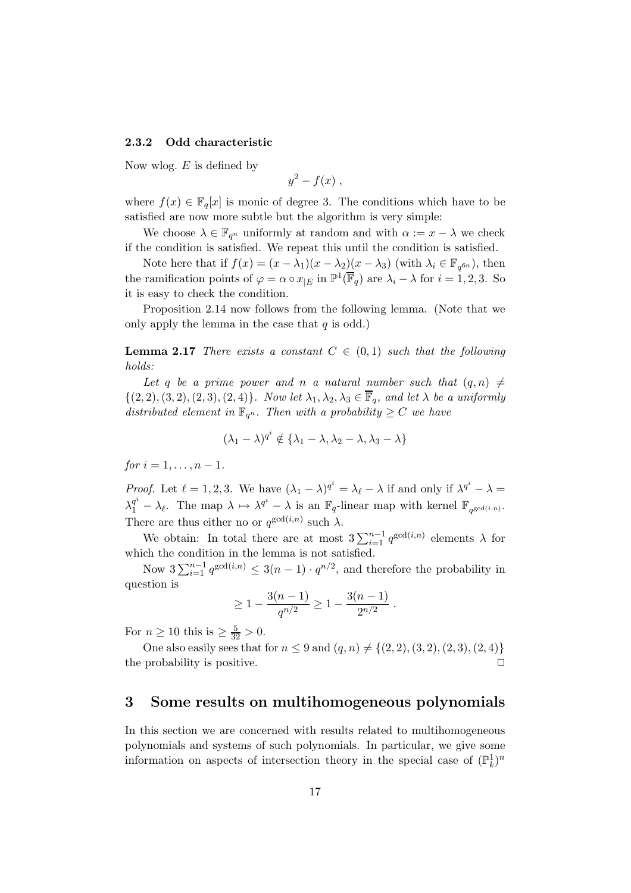#### 2.3.2 Odd characteristic

Now wlog.  $E$  is defined by

$$
y^2-f(x)\;
$$

where  $f(x) \in \mathbb{F}_q[x]$  is monic of degree 3. The conditions which have to be satisfied are now more subtle but the algorithm is very simple:

We choose  $\lambda \in \mathbb{F}_{q^n}$  uniformly at random and with  $\alpha := x - \lambda$  we check if the condition is satisfied. We repeat this until the condition is satisfied.

Note here that if  $f(x) = (x - \lambda_1)(x - \lambda_2)(x - \lambda_3)$  (with  $\lambda_i \in \mathbb{F}_{q^{6n}}$ ), then the ramification points of  $\varphi = \alpha \circ x_{|E}$  in  $\mathbb{P}^1(\overline{\mathbb{F}}_q)$  are  $\lambda_i - \lambda$  for  $i = 1, 2, 3$ . So it is easy to check the condition.

Proposition 2.14 now follows from the following lemma. (Note that we only apply the lemma in the case that  $q$  is odd.)

**Lemma 2.17** There exists a constant  $C \in (0,1)$  such that the following holds:

Let q be a prime power and n a natural number such that  $(q, n) \neq$  $\{(2, 2), (3, 2), (2, 3), (2, 4)\}.$  Now let  $\lambda_1, \lambda_2, \lambda_3 \in \overline{\mathbb{F}}_q$ , and let  $\lambda$  be a uniformly distributed element in  $\mathbb{F}_{q^n}$ . Then with a probability  $\geq C$  we have

$$
(\lambda_1 - \lambda)^{q^i} \notin {\lambda_1 - \lambda, \lambda_2 - \lambda, \lambda_3 - \lambda}
$$

for  $i = 1, ..., n - 1$ .

*Proof.* Let  $\ell = 1, 2, 3$ . We have  $(\lambda_1 - \lambda)^{q^i} = \lambda_{\ell} - \lambda$  if and only if  $\lambda^{q^i} - \lambda =$  $\lambda_1^{q^i} - \lambda_{\ell}$ . The map  $\lambda \mapsto \lambda^{q^i} - \lambda$  is an  $\mathbb{F}_q$ -linear map with kernel  $\mathbb{F}_{q^{\gcd(i,n)}}$ . There are thus either no or  $q^{\gcd(i,n)}$  such  $\lambda$ .

We obtain: In total there are at most  $3\sum_{i=1}^{n-1} q^{\gcd(i,n)}$  elements  $\lambda$  for which the condition in the lemma is not satisfied.

Now  $3\sum_{i=1}^{n-1} q^{\gcd(i,n)} \leq 3(n-1) \cdot q^{n/2}$ , and therefore the probability in question is

$$
\geq 1 - \frac{3(n-1)}{q^{n/2}} \geq 1 - \frac{3(n-1)}{2^{n/2}}.
$$

For  $n \geq 10$  this is  $\geq \frac{5}{32} > 0$ .

One also easily sees that for  $n \leq 9$  and  $(q, n) \neq \{(2, 2), (3, 2), (2, 3), (2, 4)\}\$ the probability is positive.  $\Box$ 

# 3 Some results on multihomogeneous polynomials

In this section we are concerned with results related to multihomogeneous polynomials and systems of such polynomials. In particular, we give some information on aspects of intersection theory in the special case of  $(\mathbb{P}_k^1)^n$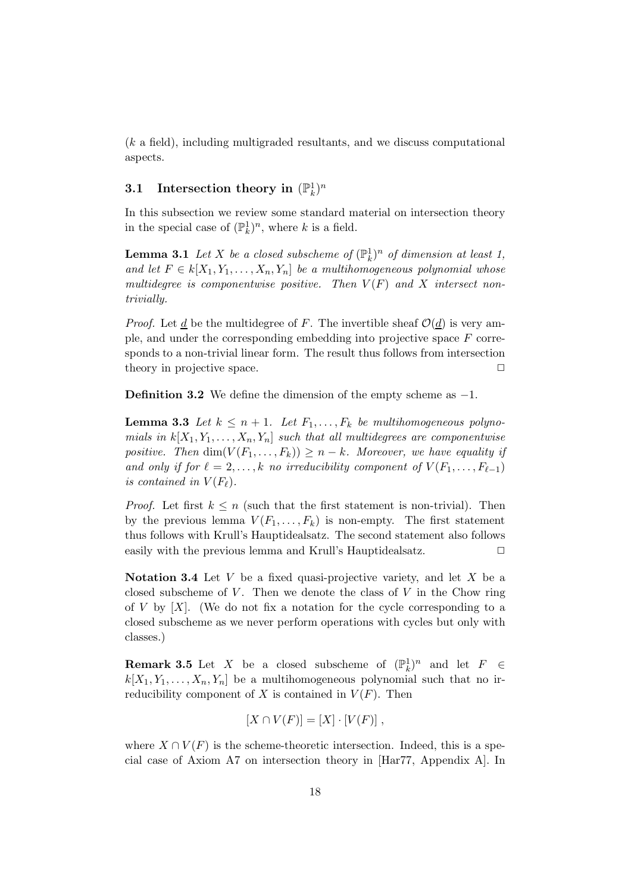(k a field), including multigraded resultants, and we discuss computational aspects.

# $3.1$  Intersection theory in  $(\mathbb{P}^1_k)^n$

In this subsection we review some standard material on intersection theory in the special case of  $(\mathbb{P}_k^1)^n$ , where k is a field.

**Lemma 3.1** Let X be a closed subscheme of  $(\mathbb{P}_k^1)^n$  of dimension at least 1, and let  $F \in k[X_1, Y_1, \ldots, X_n, Y_n]$  be a multihomogeneous polynomial whose multidegree is componentwise positive. Then  $V(F)$  and X intersect nontrivially.

*Proof.* Let <u>d</u> be the multidegree of F. The invertible sheaf  $\mathcal{O}(\underline{d})$  is very ample, and under the corresponding embedding into projective space F corresponds to a non-trivial linear form. The result thus follows from intersection theory in projective space.  $\Box$ 

Definition 3.2 We define the dimension of the empty scheme as −1.

**Lemma 3.3** Let  $k \leq n+1$ . Let  $F_1, \ldots, F_k$  be multihomogeneous polynomials in  $k[X_1, Y_1, \ldots, X_n, Y_n]$  such that all multidegrees are componentwise positive. Then  $\dim(V(F_1,\ldots,F_k)) \geq n-k$ . Moreover, we have equality if and only if for  $\ell = 2, \ldots, k$  no irreducibility component of  $V(F_1, \ldots, F_{\ell-1})$ is contained in  $V(F_{\ell})$ .

*Proof.* Let first  $k \leq n$  (such that the first statement is non-trivial). Then by the previous lemma  $V(F_1, \ldots, F_k)$  is non-empty. The first statement thus follows with Krull's Hauptidealsatz. The second statement also follows easily with the previous lemma and Krull's Hauptidealsatz.  $\Box$ 

Notation 3.4 Let V be a fixed quasi-projective variety, and let X be a closed subscheme of  $V$ . Then we denote the class of  $V$  in the Chow ring of  $V$  by  $[X]$ . (We do not fix a notation for the cycle corresponding to a closed subscheme as we never perform operations with cycles but only with classes.)

**Remark 3.5** Let X be a closed subscheme of  $(\mathbb{P}_k^1)^n$  and let  $F \in$  $k[X_1, Y_1, \ldots, X_n, Y_n]$  be a multihomogeneous polynomial such that no irreducibility component of X is contained in  $V(F)$ . Then

$$
[X \cap V(F)] = [X] \cdot [V(F)],
$$

where  $X \cap V(F)$  is the scheme-theoretic intersection. Indeed, this is a special case of Axiom A7 on intersection theory in [Har77, Appendix A]. In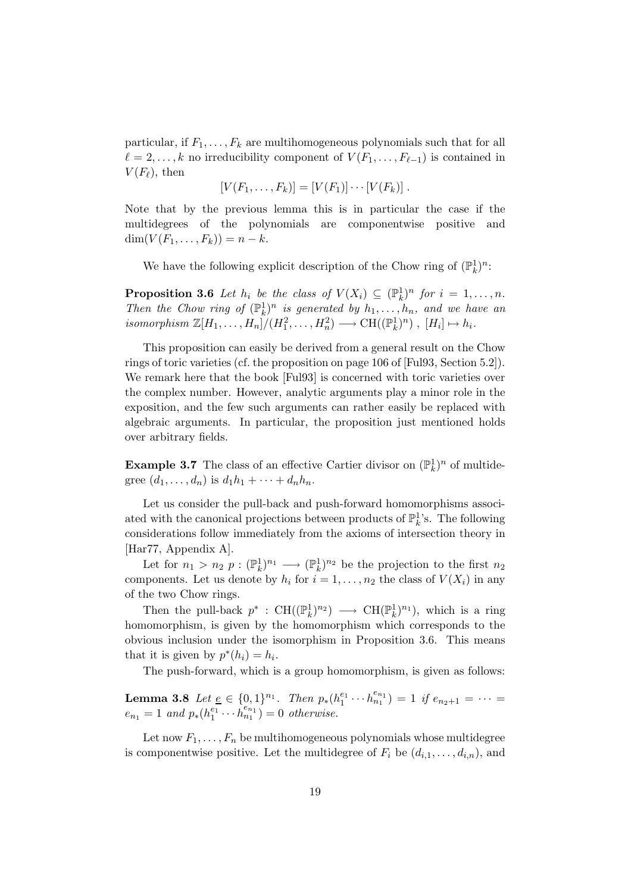particular, if  $F_1, \ldots, F_k$  are multihomogeneous polynomials such that for all  $\ell = 2, \ldots, k$  no irreducibility component of  $V(F_1, \ldots, F_{\ell-1})$  is contained in  $V(F_{\ell}),$  then

$$
[V(F_1,\ldots,F_k)]=[V(F_1)]\cdots[V(F_k)]\ .
$$

Note that by the previous lemma this is in particular the case if the multidegrees of the polynomials are componentwise positive and  $\dim(V(F_1, ..., F_k)) = n - k.$ 

We have the following explicit description of the Chow ring of  $(\mathbb{P}_k^1)^n$ :

**Proposition 3.6** Let  $h_i$  be the class of  $V(X_i) \subseteq (\mathbb{P}_k^1)^n$  for  $i = 1, ..., n$ . Then the Chow ring of  $(\mathbb{P}_k^1)^n$  is generated by  $h_1, \ldots, h_n$ , and we have an isomorphism  $\mathbb{Z}[H_1,\ldots,H_n]/(H_1^2,\ldots,H_n^2) \longrightarrow \mathrm{CH}((\mathbb{P}_k^1)^n)$ ,  $[H_i] \mapsto h_i$ .

This proposition can easily be derived from a general result on the Chow rings of toric varieties (cf. the proposition on page 106 of [Ful93, Section 5.2]). We remark here that the book [Ful93] is concerned with toric varieties over the complex number. However, analytic arguments play a minor role in the exposition, and the few such arguments can rather easily be replaced with algebraic arguments. In particular, the proposition just mentioned holds over arbitrary fields.

**Example 3.7** The class of an effective Cartier divisor on  $(\mathbb{P}_k^1)^n$  of multidegree  $(d_1, ..., d_n)$  is  $d_1h_1 + ... + d_nh_n$ .

Let us consider the pull-back and push-forward homomorphisms associated with the canonical projections between products of  $\mathbb{P}_k^1$ 's. The following considerations follow immediately from the axioms of intersection theory in [Har77, Appendix A].

Let for  $n_1 > n_2$   $p : (\mathbb{P}_k^1)^{n_1} \longrightarrow (\mathbb{P}_k^1)^{n_2}$  be the projection to the first  $n_2$ components. Let us denote by  $h_i$  for  $i = 1, \ldots, n_2$  the class of  $V(X_i)$  in any of the two Chow rings.

Then the pull-back  $p^*$ : CH( $(\mathbb{P}_k^1)^{n_2}$ )  $\longrightarrow$  CH( $(\mathbb{P}_k^1)^{n_1}$ ), which is a ring homomorphism, is given by the homomorphism which corresponds to the obvious inclusion under the isomorphism in Proposition 3.6. This means that it is given by  $p^*(h_i) = h_i$ .

The push-forward, which is a group homomorphism, is given as follows:

Lemma 3.8 Let  $\underline{e} \in \{0,1\}^{n_1}$ . Then  $p_*(h_1^{e_1} \cdots h_{n_1}^{e_{n_1}}) = 1$  if  $e_{n_2+1} = \cdots =$  $e_{n_1} = 1$  and  $p_*(h_1^{e_1} \cdots \hat{h}_{n_1}^{e_{n_1}}) = 0$  otherwise.

Let now  $F_1, \ldots, F_n$  be multihomogeneous polynomials whose multidegree is componentwise positive. Let the multidegree of  $F_i$  be  $(d_{i,1},\ldots,d_{i,n})$ , and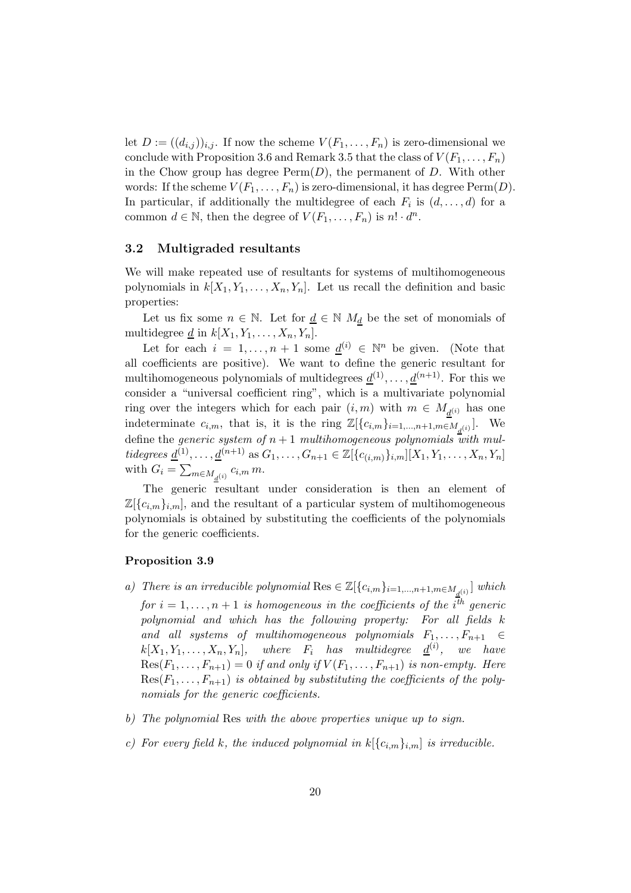let  $D := ((d_{i,j}))_{i,j}$ . If now the scheme  $V(F_1, \ldots, F_n)$  is zero-dimensional we conclude with Proposition 3.6 and Remark 3.5 that the class of  $V(F_1, \ldots, F_n)$ in the Chow group has degree  $\text{Perm}(D)$ , the permanent of D. With other words: If the scheme  $V(F_1, \ldots, F_n)$  is zero-dimensional, it has degree  $\text{Perm}(D)$ . In particular, if additionally the multidegree of each  $F_i$  is  $(d, \ldots, d)$  for a common  $d \in \mathbb{N}$ , then the degree of  $V(F_1, \ldots, F_n)$  is  $n! \cdot d^n$ .

# 3.2 Multigraded resultants

We will make repeated use of resultants for systems of multihomogeneous polynomials in  $k[X_1, Y_1, \ldots, X_n, Y_n]$ . Let us recall the definition and basic properties:

Let us fix some  $n \in \mathbb{N}$ . Let for  $\underline{d} \in \mathbb{N}$   $M_d$  be the set of monomials of multidegree  $\underline{d}$  in  $k[X_1, Y_1, \ldots, X_n, Y_n]$ .

Let for each  $i = 1, ..., n + 1$  some  $\underline{d}^{(i)} \in \mathbb{N}^n$  be given. (Note that all coefficients are positive). We want to define the generic resultant for multihomogeneous polynomials of multidegrees  $\underline{d}^{(1)}, \ldots, \underline{d}^{(n+1)}$ . For this we consider a "universal coefficient ring", which is a multivariate polynomial ring over the integers which for each pair  $(i, m)$  with  $m \in M_{\underline{d}^{(i)}}$  has one indeterminate  $c_{i,m}$ , that is, it is the ring  $\mathbb{Z}[\{c_{i,m}\}_{i=1,\ldots,n+1,m \in M_{\underline{d}}(i)}].$  We define the generic system of  $n+1$  multihomogeneous polynomials with multidegrees  $\underline{d}^{(1)}, \ldots, \underline{d}^{(n+1)}$  as  $G_1, \ldots, G_{n+1} \in \mathbb{Z}[\{c_{(i,m)}\}_{i,m}][X_1, Y_1, \ldots, X_n, Y_n]$ with  $G_i = \sum_{m \in M_{\underline{d}}(i)} c_{i,m} m$ .

The generic resultant under consideration is then an element of  $\mathbb{Z}[\{c_{i,m}\}_{i,m}]$ , and the resultant of a particular system of multihomogeneous polynomials is obtained by substituting the coefficients of the polynomials for the generic coefficients.

#### Proposition 3.9

- a) There is an irreducible polynomial Res  $\in \mathbb{Z}[\{c_{i,m}\}_{i=1,\ldots,n+1,m\in M_{\underline{d}^{(i)}}}]$  which for  $i=1,\ldots,n+1$  is homogeneous in the coefficients of the  $i^{\overline{t}h}$  generic polynomial and which has the following property: For all fields k and all systems of multihomogeneous polynomials  $F_1, \ldots, F_{n+1} \in$  $k[X_1, Y_1, \ldots, X_n, Y_n],$  where  $F_i$  has multidegree  $\underline{d}^{(i)}$ , we have  $Res(F_1, \ldots, F_{n+1}) = 0$  if and only if  $V(F_1, \ldots, F_{n+1})$  is non-empty. Here  $Res(F_1, \ldots, F_{n+1})$  is obtained by substituting the coefficients of the polynomials for the generic coefficients.
- b) The polynomial Res with the above properties unique up to sign.
- c) For every field k, the induced polynomial in  $k[\{c_{i,m}\}_{i,m}]$  is irreducible.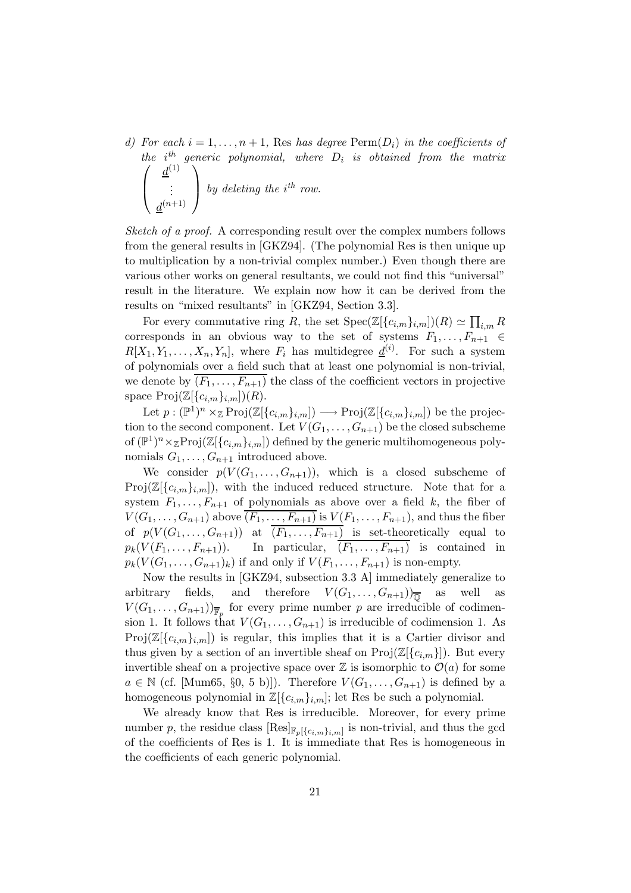d) For each  $i = 1, \ldots, n + 1$ , Res has degree  $\text{Perm}(D_i)$  in the coefficients of the  $i^{th}$  generic polynomial, where  $D_i$  is obtained from the matrix  $\sqrt{ }$  $\overline{\phantom{a}}$  $d^{(1)}$ . . .  $d^{(n+1)}$  $\setminus$ by deleting the  $i^{th}$  row.

Sketch of a proof. A corresponding result over the complex numbers follows from the general results in [GKZ94]. (The polynomial Res is then unique up to multiplication by a non-trivial complex number.) Even though there are various other works on general resultants, we could not find this "universal" result in the literature. We explain now how it can be derived from the results on "mixed resultants" in [GKZ94, Section 3.3].

For every commutative ring R, the set  $Spec(\mathbb{Z}[\{c_{i,m}\}_{i,m}])R) \simeq \prod_{i,m} R$ corresponds in an obvious way to the set of systems  $F_1, \ldots, F_{n+1} \in$  $R[X_1, Y_1, \ldots, X_n, Y_n],$  where  $F_i$  has multidegree  $\underline{d}^{(i)}$ . For such a system of polynomials over a field such that at least one polynomial is non-trivial, we denote by  $\overline{(F_1,\ldots,F_{n+1})}$  the class of the coefficient vectors in projective space  $\text{Proj}(\mathbb{Z}[\{c_{i,m}\}_{i,m}](R)).$ 

Let  $p: (\mathbb{P}^1)^n \times_{\mathbb{Z}} \mathrm{Proj}(\mathbb{Z}[\{c_{i,m}\}_{i,m}]) \longrightarrow \mathrm{Proj}(\mathbb{Z}[\{c_{i,m}\}_{i,m}])$  be the projection to the second component. Let  $V(G_1, \ldots, G_{n+1})$  be the closed subscheme of  $(\mathbb{P}^1)^n \times_{\mathbb{Z}} \mathrm{Proj}(\mathbb{Z}[\{c_{i,m}\}_{i,m}])$  defined by the generic multihomogeneous polynomials  $G_1, \ldots, G_{n+1}$  introduced above.

We consider  $p(V(G_1, \ldots, G_{n+1}))$ , which is a closed subscheme of  $Proj(\mathbb{Z}[\{c_{i,m}\}_{i,m}])$ , with the induced reduced structure. Note that for a system  $F_1, \ldots, F_{n+1}$  of polynomials as above over a field k, the fiber of  $V(G_1,\ldots,G_{n+1})$  above  $\overline{(F_1,\ldots,F_{n+1})}$  is  $V(F_1,\ldots,F_{n+1})$ , and thus the fiber of  $p(V(G_1, \ldots, G_{n+1}))$  at  $\overline{(F_1, \ldots, F_{n+1})}$  is set-theoretically equal to  $p_k(V(F_1,\ldots,F_{n+1}))$ . In particular,  $\overline{(F_1,\ldots,F_{n+1})}$  is contained in  $p_k(V(G_1,\ldots,G_{n+1})_k)$  if and only if  $V(F_1,\ldots,F_{n+1})$  is non-empty.

Now the results in [GKZ94, subsection 3.3 A] immediately generalize to arbitrary fields, and therefore  $V(G_1, \ldots, G_{n+1})_{\overline{\mathbb{Q}}}$  as well as  $V(G_1, \ldots, G_{n+1})_{\overline{\mathbb{F}}_p}$  for every prime number p are irreducible of codimension 1. It follows that  $V(G_1, \ldots, G_{n+1})$  is irreducible of codimension 1. As  $Proj(\mathbb{Z}[\{c_{i,m}\}_{i,m}])$  is regular, this implies that it is a Cartier divisor and thus given by a section of an invertible sheaf on  $\text{Proj}(\mathbb{Z}[\{c_{i,m}\}])$ . But every invertible sheaf on a projective space over  $\mathbb Z$  is isomorphic to  $\mathcal O(a)$  for some  $a \in \mathbb{N}$  (cf. [Mum65, §0, 5 b)]). Therefore  $V(G_1, \ldots, G_{n+1})$  is defined by a homogeneous polynomial in  $\mathbb{Z}[\{c_{i,m}\}_{i,m}]$ ; let Res be such a polynomial.

We already know that Res is irreducible. Moreover, for every prime number p, the residue class  $[\text{Res}]_{\mathbb{F}_p[\{c_{i,m}\}_{i,m}]}$  is non-trivial, and thus the gcd of the coefficients of Res is 1. It is immediate that Res is homogeneous in the coefficients of each generic polynomial.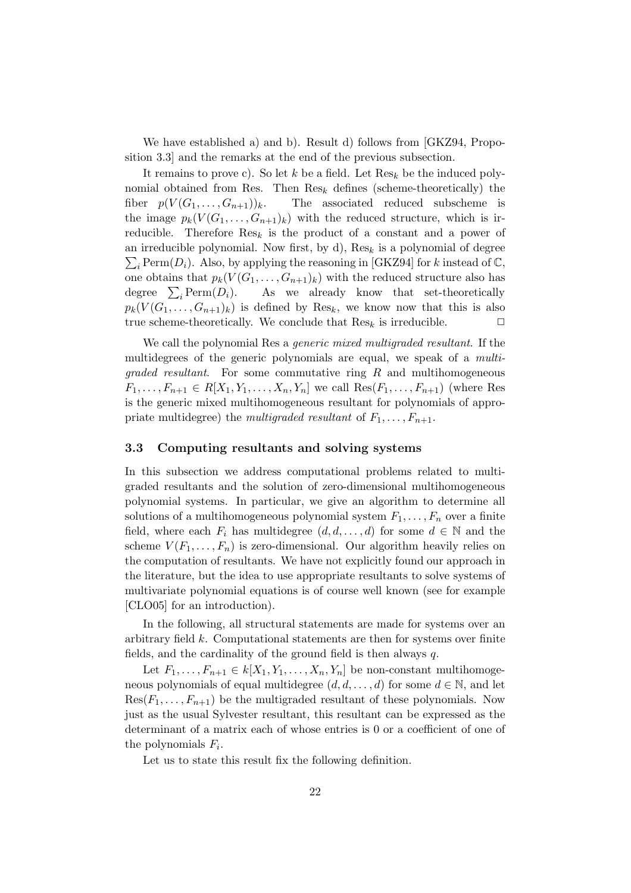We have established a) and b). Result d) follows from [GKZ94, Proposition 3.3] and the remarks at the end of the previous subsection.

It remains to prove c). So let k be a field. Let  $\text{Res}_k$  be the induced polynomial obtained from Res. Then  $\text{Res}_k$  defines (scheme-theoretically) the fiber  $p(V(G_1, \ldots, G_{n+1}))_k$ . The associated reduced subscheme is the image  $p_k(V(G_1,\ldots,G_{n+1})_k)$  with the reduced structure, which is irreducible. Therefore  $\text{Res}_k$  is the product of a constant and a power of an irreducible polynomial. Now first, by d),  $\text{Res}_k$  is a polynomial of degree  $\sum_i \text{Perm}(D_i)$ . Also, by applying the reasoning in [GKZ94] for k instead of  $\mathbb{C}$ , one obtains that  $p_k(V(G_1,\ldots,G_{n+1})_k)$  with the reduced structure also has degree  $\sum_i \text{Perm}(D_i)$ . As we already know that set-theoretically  $p_k(V(G_1,\ldots,G_{n+1})_k)$  is defined by Res<sub>k</sub>, we know now that this is also true scheme-theoretically. We conclude that  $\text{Res}_k$  is irreducible.  $\Box$ 

We call the polynomial Res a *generic mixed multigraded resultant*. If the multidegrees of the generic polynomials are equal, we speak of a multi $graded resultant$ . For some commutative ring R and multihomogeneous  $F_1, \ldots, F_{n+1} \in R[X_1, Y_1, \ldots, X_n, Y_n]$  we call  $\text{Res}(F_1, \ldots, F_{n+1})$  (where Res is the generic mixed multihomogeneous resultant for polynomials of appropriate multidegree) the multigraded resultant of  $F_1, \ldots, F_{n+1}$ .

## 3.3 Computing resultants and solving systems

In this subsection we address computational problems related to multigraded resultants and the solution of zero-dimensional multihomogeneous polynomial systems. In particular, we give an algorithm to determine all solutions of a multihomogeneous polynomial system  $F_1, \ldots, F_n$  over a finite field, where each  $F_i$  has multidegree  $(d, d, \ldots, d)$  for some  $d \in \mathbb{N}$  and the scheme  $V(F_1, \ldots, F_n)$  is zero-dimensional. Our algorithm heavily relies on the computation of resultants. We have not explicitly found our approach in the literature, but the idea to use appropriate resultants to solve systems of multivariate polynomial equations is of course well known (see for example [CLO05] for an introduction).

In the following, all structural statements are made for systems over an arbitrary field k. Computational statements are then for systems over finite fields, and the cardinality of the ground field is then always  $q$ .

Let  $F_1, \ldots, F_{n+1} \in k[X_1, Y_1, \ldots, X_n, Y_n]$  be non-constant multihomogeneous polynomials of equal multidegree  $(d, d, \ldots, d)$  for some  $d \in \mathbb{N}$ , and let  $Res(F_1, \ldots, F_{n+1})$  be the multigraded resultant of these polynomials. Now just as the usual Sylvester resultant, this resultant can be expressed as the determinant of a matrix each of whose entries is 0 or a coefficient of one of the polynomials  $F_i$ .

Let us to state this result fix the following definition.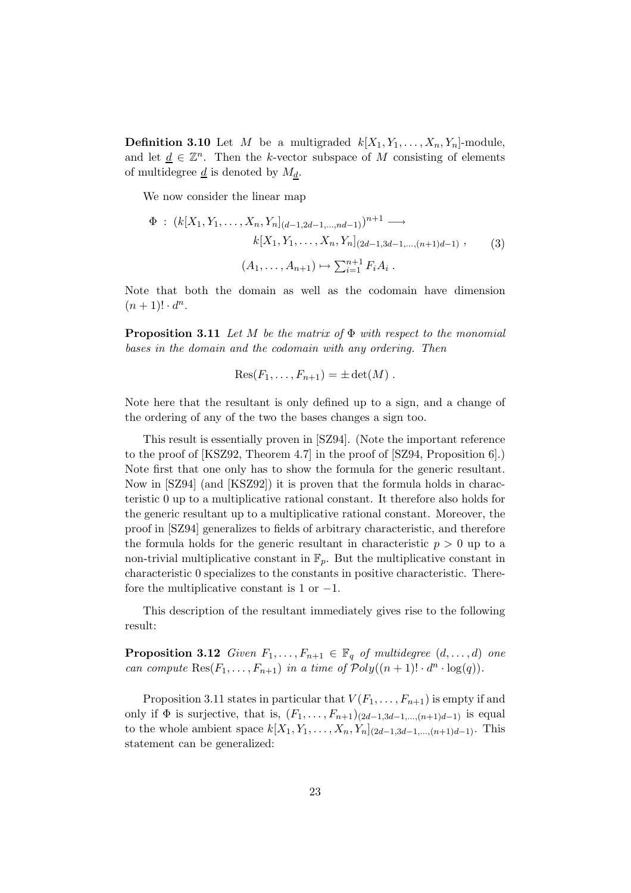**Definition 3.10** Let M be a multigraded  $k[X_1, Y_1, \ldots, X_n, Y_n]$ -module, and let  $\underline{d} \in \mathbb{Z}^n$ . Then the k-vector subspace of M consisting of elements of multidegree  $\underline{d}$  is denoted by  $M_d$ .

We now consider the linear map

$$
\Phi : (k[X_1, Y_1, \dots, X_n, Y_n]_{(d-1, 2d-1, \dots, nd-1)})^{n+1} \longrightarrow
$$
  
\n
$$
k[X_1, Y_1, \dots, X_n, Y_n]_{(2d-1, 3d-1, \dots, (n+1)d-1)},
$$
  
\n
$$
(A_1, \dots, A_{n+1}) \mapsto \sum_{i=1}^{n+1} F_i A_i.
$$
 (3)

Note that both the domain as well as the codomain have dimension  $(n+1)! \cdot d^n$ .

**Proposition 3.11** Let M be the matrix of  $\Phi$  with respect to the monomial bases in the domain and the codomain with any ordering. Then

$$
Res(F_1,\ldots,F_{n+1})=\pm det(M).
$$

Note here that the resultant is only defined up to a sign, and a change of the ordering of any of the two the bases changes a sign too.

This result is essentially proven in [SZ94]. (Note the important reference to the proof of [KSZ92, Theorem 4.7] in the proof of [SZ94, Proposition 6].) Note first that one only has to show the formula for the generic resultant. Now in [SZ94] (and [KSZ92]) it is proven that the formula holds in characteristic 0 up to a multiplicative rational constant. It therefore also holds for the generic resultant up to a multiplicative rational constant. Moreover, the proof in [SZ94] generalizes to fields of arbitrary characteristic, and therefore the formula holds for the generic resultant in characteristic  $p > 0$  up to a non-trivial multiplicative constant in  $\mathbb{F}_p$ . But the multiplicative constant in characteristic 0 specializes to the constants in positive characteristic. Therefore the multiplicative constant is 1 or  $-1$ .

This description of the resultant immediately gives rise to the following result:

**Proposition 3.12** Given  $F_1, \ldots, F_{n+1} \in \mathbb{F}_q$  of multidegree  $(d, \ldots, d)$  one can compute  $\text{Res}(F_1,\ldots,F_{n+1})$  in a time of  $\mathcal{P}oly((n+1)! \cdot d^n \cdot \log(q)).$ 

Proposition 3.11 states in particular that  $V(F_1, \ldots, F_{n+1})$  is empty if and only if  $\Phi$  is surjective, that is,  $(F_1, \ldots, F_{n+1})_{(2d-1,3d-1,\ldots,(n+1)d-1)}$  is equal to the whole ambient space  $k[X_1, Y_1, \ldots, X_n, Y_n]_{(2d-1,3d-1,\ldots,(n+1)d-1)}$ . This statement can be generalized: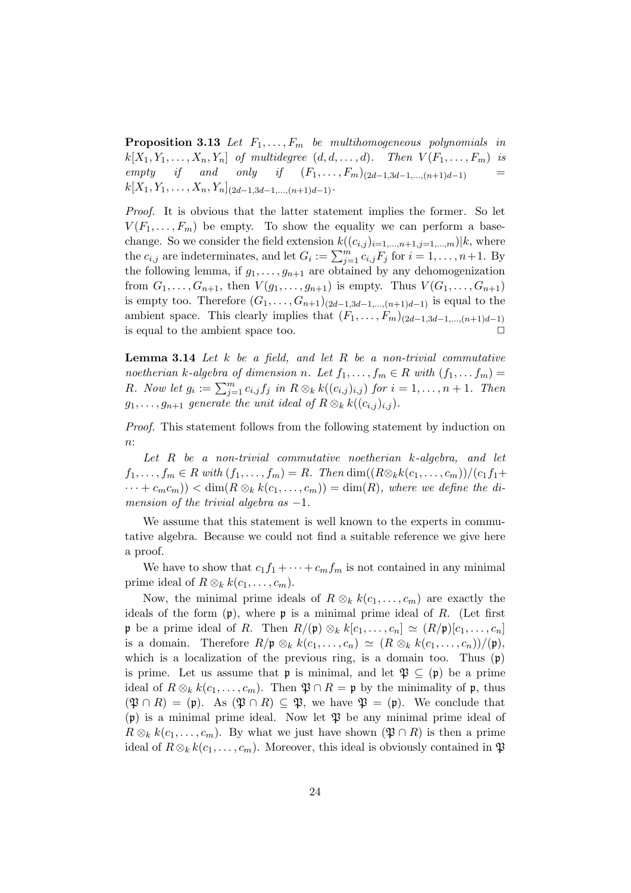**Proposition 3.13** Let  $F_1, \ldots, F_m$  be multihomogeneous polynomials in  $k[X_1, Y_1, \ldots, X_n, Y_n]$  of multidegree  $(d, d, \ldots, d)$ . Then  $V(F_1, \ldots, F_m)$  is empty if and only if  $(F_1, ..., F_m)_{(2d-1,3d-1,...,(n+1)d-1)}$  =  $k[X_1, Y_1, \ldots, X_n, Y_n]_{(2d-1,3d-1,\ldots,(n+1)d-1)}$ .

Proof. It is obvious that the latter statement implies the former. So let  $V(F_1, \ldots, F_m)$  be empty. To show the equality we can perform a basechange. So we consider the field extension  $k((c_{i,j})_{i=1,\dots,n+1,j=1,\dots,m})|k$ , where the  $c_{i,j}$  are indeterminates, and let  $G_i := \sum_{j=1}^m c_{i,j} F_j$  for  $i = 1, \ldots, n+1$ . By the following lemma, if  $g_1, \ldots, g_{n+1}$  are obtained by any dehomogenization from  $G_1, ..., G_{n+1}$ , then  $V(g_1, ..., g_{n+1})$  is empty. Thus  $V(G_1, ..., G_{n+1})$ is empty too. Therefore  $(G_1, ..., G_{n+1})_{(2d-1,3d-1,...,(n+1)d-1)}$  is equal to the ambient space. This clearly implies that  $(F_1, \ldots, F_m)_{(2d-1,3d-1,\ldots,(n+1)d-1)}$ is equal to the ambient space too.  $\Box$ 

**Lemma 3.14** Let  $k$  be a field, and let  $R$  be a non-trivial commutative noetherian k-algebra of dimension n. Let  $f_1, \ldots, f_m \in R$  with  $(f_1, \ldots, f_m) =$ R. Now let  $g_i := \sum_{j=1}^m c_{i,j} f_j$  in  $R \otimes_k k((c_{i,j})_{i,j})$  for  $i = 1, \ldots, n+1$ . Then  $g_1, \ldots, g_{n+1}$  generate the unit ideal of  $R \otimes_k k((c_{i,j})_{i,j}).$ 

Proof. This statement follows from the following statement by induction on  $n$ :

Let R be a non-trivial commutative noetherian k-algebra, and let  $f_1, \ldots, f_m \in R$  with  $(f_1, \ldots, f_m) = R$ . Then  $\dim((R \otimes_k k(c_1, \ldots, c_m))/(c_1f_1 +$  $\cdots + c_m c_m)$  <  $\dim(R \otimes_k k(c_1, \ldots, c_m)) = \dim(R)$ , where we define the dimension of the trivial algebra as  $-1$ .

We assume that this statement is well known to the experts in commutative algebra. Because we could not find a suitable reference we give here a proof.

We have to show that  $c_1f_1 + \cdots + c_mf_m$  is not contained in any minimal prime ideal of  $R \otimes_k k(c_1, \ldots, c_m)$ .

Now, the minimal prime ideals of  $R \otimes_k k(c_1, \ldots, c_m)$  are exactly the ideals of the form  $(p)$ , where p is a minimal prime ideal of R. (Let first **p** be a prime ideal of R. Then  $R/(\mathfrak{p}) \otimes_k k[c_1, \ldots, c_n] \simeq (R/\mathfrak{p})[c_1, \ldots, c_n]$ is a domain. Therefore  $R/\mathfrak{p} \otimes_k k(c_1, \ldots, c_n) \simeq (R \otimes_k k(c_1, \ldots, c_n))/(\mathfrak{p}),$ which is a localization of the previous ring, is a domain too. Thus  $(p)$ is prime. Let us assume that **p** is minimal, and let  $\mathfrak{P} \subseteq (\mathfrak{p})$  be a prime ideal of  $R \otimes_k k(c_1, \ldots, c_m)$ . Then  $\mathfrak{P} \cap R = \mathfrak{p}$  by the minimality of  $\mathfrak{p}$ , thus  $(\mathfrak{P} \cap R) = (\mathfrak{p})$ . As  $(\mathfrak{P} \cap R) \subseteq \mathfrak{P}$ , we have  $\mathfrak{P} = (\mathfrak{p})$ . We conclude that  $(p)$  is a minimal prime ideal. Now let  $\mathfrak P$  be any minimal prime ideal of  $R \otimes_k k(c_1, \ldots, c_m)$ . By what we just have shown  $(\mathfrak{P} \cap R)$  is then a prime ideal of  $R \otimes_k k(c_1, \ldots, c_m)$ . Moreover, this ideal is obviously contained in  $\mathfrak{P}$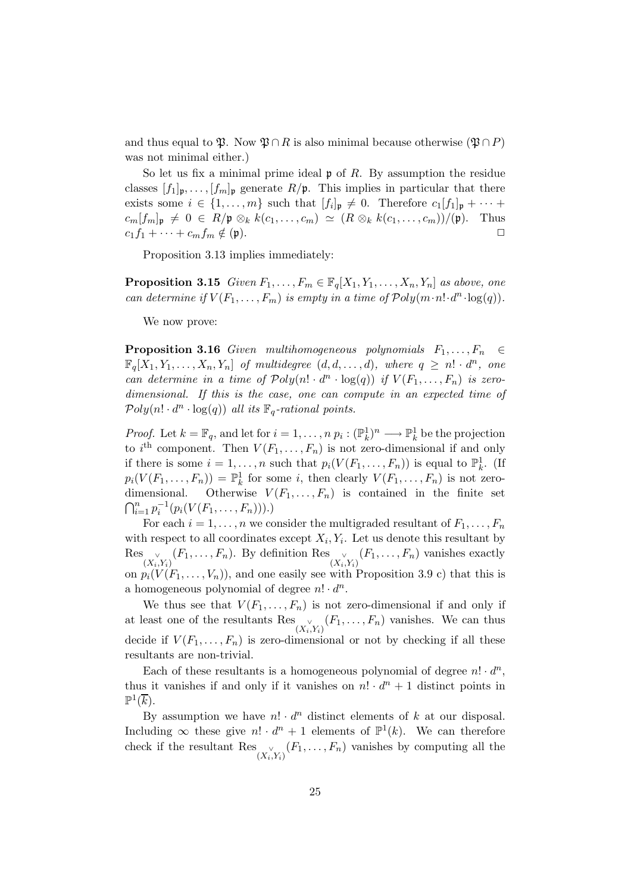and thus equal to  $\mathfrak{P}$ . Now  $\mathfrak{P} \cap R$  is also minimal because otherwise  $(\mathfrak{P} \cap P)$ was not minimal either.)

So let us fix a minimal prime ideal  $\mathfrak p$  of R. By assumption the residue classes  $[f_1]_{\mathfrak{p}}, \ldots, [f_m]_{\mathfrak{p}}$  generate  $R/\mathfrak{p}$ . This implies in particular that there exists some  $i \in \{1, \ldots, m\}$  such that  $[f_i]_{\mathfrak{p}} \neq 0$ . Therefore  $c_1[f_1]_{\mathfrak{p}} + \cdots$  $c_m[f_m]_{\mathfrak{p}} \neq 0 \in R/\mathfrak{p} \otimes_k k(c_1, \ldots, c_m) \simeq (R \otimes_k k(c_1, \ldots, c_m))/(\mathfrak{p}).$  Thus  $c_1f_1 + \cdots + c_mf_m \notin (\mathfrak{p}).$ 

Proposition 3.13 implies immediately:

**Proposition 3.15** Given  $F_1, \ldots, F_m \in \mathbb{F}_q[X_1, Y_1, \ldots, X_n, Y_n]$  as above, one can determine if  $V(F_1, \ldots, F_m)$  is empty in a time of  $\mathcal{P}oly(m \cdot n! \cdot d^n \cdot \log(q)).$ 

We now prove:

**Proposition 3.16** Given multihomogeneous polynomials  $F_1, \ldots, F_n \in$  $\mathbb{F}_q[X_1, Y_1, \ldots, X_n, Y_n]$  of multidegree  $(d, d, \ldots, d)$ , where  $q \geq n! \cdot d^n$ , one can determine in a time of  $Poly(n! \cdot d^n \cdot \log(q))$  if  $V(F_1, \ldots, F_n)$  is zerodimensional. If this is the case, one can compute in an expected time of  $Poly(n! \cdot d^n \cdot \log(q))$  all its  $\mathbb{F}_q$ -rational points.

*Proof.* Let  $k = \mathbb{F}_q$ , and let for  $i = 1, \ldots, n$   $p_i : (\mathbb{P}_k^1)^n \longrightarrow \mathbb{P}_k^1$  be the projection to i<sup>th</sup> component. Then  $V(F_1, \ldots, F_n)$  is not zero-dimensional if and only if there is some  $i = 1, ..., n$  such that  $p_i(V(F_1, ..., F_n))$  is equal to  $\mathbb{P}_k^1$ . (If  $p_i(V(F_1,\ldots,F_n)) = \mathbb{P}_k^1$  for some i, then clearly  $V(F_1,\ldots,F_n)$  is not zerodimensional. Otherwise  $V(F_1, \ldots, F_n)$  is contained in the finite set  $\bigcap_{i=1}^n p_i^{-1}(p_i(V(F_1,\ldots,F_n))).$ 

For each  $i = 1, ..., n$  we consider the multigraded resultant of  $F_1, ..., F_n$ with respect to all coordinates except  $X_i, Y_i$ . Let us denote this resultant by  ${\mathop{\mathrm{Res}}\nolimits}_{\mathbb{Z}}$  ∨  $\chi^{\vee}_{(X_i,Y_i)}(F_1,\ldots,F_n)$ . By definition Res  $\chi^{\vee}_{(X_i,Y_i)}(F_1,\ldots,F_n)$  vanishes exactly on  $p_i(V(F_1,\ldots,V_n))$ , and one easily see with Proposition 3.9 c) that this is a homogeneous polynomial of degree  $n! \cdot d^n$ .

We thus see that  $V(F_1, \ldots, F_n)$  is not zero-dimensional if and only if at least one of the resultants Res <sup>∨</sup>  $\chi^{\vee}_{(X_i,Y_i)}(F_1,\ldots,F_n)$  vanishes. We can thus decide if  $V(F_1, \ldots, F_n)$  is zero-dimensional or not by checking if all these resultants are non-trivial.

Each of these resultants is a homogeneous polynomial of degree  $n! \cdot d^n$ , thus it vanishes if and only if it vanishes on  $n! \cdot d^n + 1$  distinct points in  $\mathbb{P}^1(\overline{k}).$ 

By assumption we have  $n! \cdot d^n$  distinct elements of k at our disposal. Including  $\infty$  these give  $n! \cdot d^n + 1$  elements of  $\mathbb{P}^1(k)$ . We can therefore check if the resultant Res  $\vee$  $\big(X_i, Y_i\big)(F_1, \ldots, F_n)$  vanishes by computing all the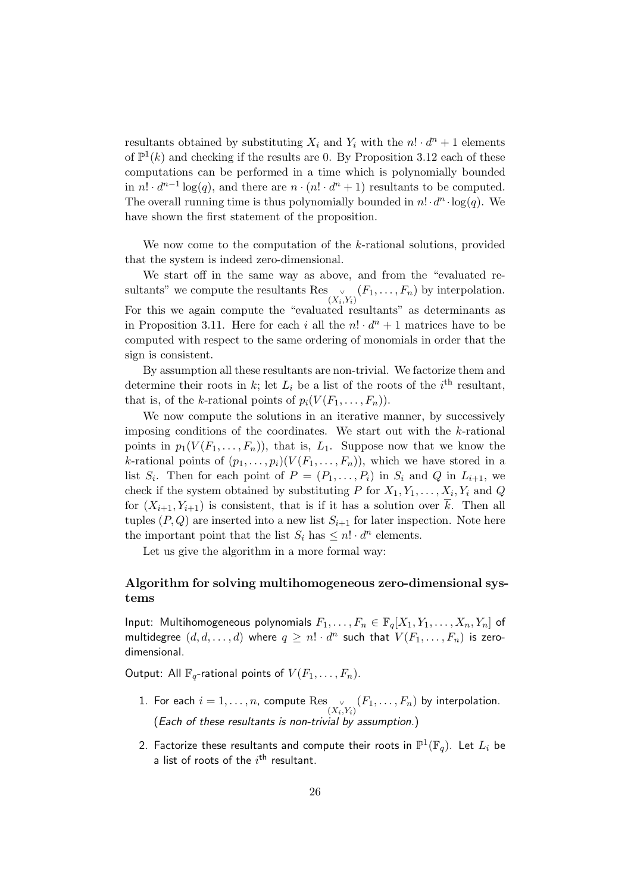resultants obtained by substituting  $X_i$  and  $Y_i$  with the  $n! \cdot d^n + 1$  elements of  $\mathbb{P}^1(k)$  and checking if the results are 0. By Proposition 3.12 each of these computations can be performed in a time which is polynomially bounded in  $n! \cdot d^{n-1} \log(q)$ , and there are  $n \cdot (n! \cdot d^n + 1)$  resultants to be computed. The overall running time is thus polynomially bounded in  $n! \cdot d^n \cdot \log(q)$ . We have shown the first statement of the proposition.

We now come to the computation of the k-rational solutions, provided that the system is indeed zero-dimensional.

We start off in the same way as above, and from the "evaluated resultants" we compute the resultants Res  $\vee$  $\big(X_i, Y_i\big)$   $(F_1, \ldots, F_n)$  by interpolation. For this we again compute the "evaluated resultants" as determinants as in Proposition 3.11. Here for each i all the  $n! \cdot d^n + 1$  matrices have to be computed with respect to the same ordering of monomials in order that the sign is consistent.

By assumption all these resultants are non-trivial. We factorize them and determine their roots in k; let  $L_i$  be a list of the roots of the  $i<sup>th</sup>$  resultant, that is, of the k-rational points of  $p_i(V(F_1,\ldots,F_n))$ .

We now compute the solutions in an iterative manner, by successively imposing conditions of the coordinates. We start out with the k-rational points in  $p_1(V(F_1,\ldots,F_n))$ , that is,  $L_1$ . Suppose now that we know the k-rational points of  $(p_1, \ldots, p_i)(V(F_1, \ldots, F_n))$ , which we have stored in a list  $S_i$ . Then for each point of  $P = (P_1, \ldots, P_i)$  in  $S_i$  and Q in  $L_{i+1}$ , we check if the system obtained by substituting P for  $X_1, Y_1, \ldots, X_i, Y_i$  and Q for  $(X_{i+1}, Y_{i+1})$  is consistent, that is if it has a solution over  $\overline{k}$ . Then all tuples  $(P, Q)$  are inserted into a new list  $S_{i+1}$  for later inspection. Note here the important point that the list  $S_i$  has  $\leq n! \cdot d^n$  elements.

Let us give the algorithm in a more formal way:

# Algorithm for solving multihomogeneous zero-dimensional systems

Input: Multihomogeneous polynomials  $F_1, \ldots, F_n \in \mathbb{F}_q[X_1, Y_1, \ldots, X_n, Y_n]$  of multidegree  $(d,d,\ldots,d)$  where  $q\,\geq\, n!\cdot d^n$  such that  $V(F_1,\ldots,F_n)$  is zerodimensional.

Output: All  $\mathbb{F}_q$ -rational points of  $V(F_1,\ldots,F_n)$ .

- 1. For each  $i=1,\ldots,n$ , compute  $\mathrm{Res}_{\mathbb{C}^{\times}}$  $\mathcal{C}_{(X_i,Y_i)}(F_1,\ldots,F_n)$  by interpolation. (Each of these resultants is non-trivial by assumption.)
- 2. Factorize these resultants and compute their roots in  $\mathbb{P}^1(\mathbb{F}_q).$  Let  $L_i$  be a list of roots of the  $i^{\text{th}}$  resultant.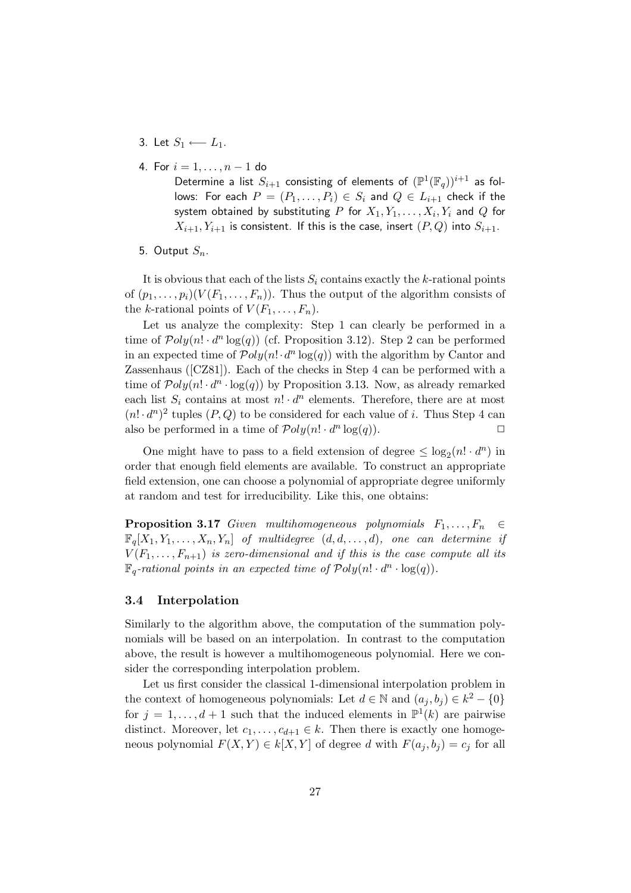- 3. Let  $S_1$  ←−  $L_1$ .
- 4. For  $i = 1, ..., n 1$  do

Determine a list  $S_{i+1}$  consisting of elements of  $(\mathbb{P}^1(\mathbb{F}_q))^{i+1}$  as follows: For each  $P = (P_1, \ldots, P_i) \in S_i$  and  $Q \in L_{i+1}$  check if the system obtained by substituting  $P$  for  $X_1,Y_1,\ldots,X_i,Y_i$  and  $Q$  for  $X_{i+1}, Y_{i+1}$  is consistent. If this is the case, insert  $(P, Q)$  into  $S_{i+1}$ .

5. Output  $S_n$ .

It is obvious that each of the lists  $S_i$  contains exactly the k-rational points of  $(p_1, \ldots, p_i)(V(F_1, \ldots, F_n))$ . Thus the output of the algorithm consists of the k-rational points of  $V(F_1, \ldots, F_n)$ .

Let us analyze the complexity: Step 1 can clearly be performed in a time of  $\mathcal{P}oly(n! \cdot d^n \log(q))$  (cf. Proposition 3.12). Step 2 can be performed in an expected time of  $\mathcal{P}oly(n! \cdot d^n \log(q))$  with the algorithm by Cantor and Zassenhaus ([CZ81]). Each of the checks in Step 4 can be performed with a time of  $Poly(n! \cdot d^n \cdot \log(q))$  by Proposition 3.13. Now, as already remarked each list  $S_i$  contains at most  $n! \cdot d^n$  elements. Therefore, there are at most  $(n! \cdot d^n)^2$  tuples  $(P, Q)$  to be considered for each value of i. Thus Step 4 can also be performed in a time of  $\mathcal{P}oly(n! \cdot d^n \log(q)).$ 

One might have to pass to a field extension of degree  $\leq \log_2(n! \cdot d^n)$  in order that enough field elements are available. To construct an appropriate field extension, one can choose a polynomial of appropriate degree uniformly at random and test for irreducibility. Like this, one obtains:

**Proposition 3.17** Given multihomogeneous polynomials  $F_1, \ldots, F_n \in$  $\mathbb{F}_q[X_1, Y_1, \ldots, X_n, Y_n]$  of multidegree  $(d, d, \ldots, d)$ , one can determine if  $V(F_1, \ldots, F_{n+1})$  is zero-dimensional and if this is the case compute all its  $\mathbb{F}_q$ -rational points in an expected time of  $\mathcal{P}oly(n! \cdot d^n \cdot \log(q)).$ 

# 3.4 Interpolation

Similarly to the algorithm above, the computation of the summation polynomials will be based on an interpolation. In contrast to the computation above, the result is however a multihomogeneous polynomial. Here we consider the corresponding interpolation problem.

Let us first consider the classical 1-dimensional interpolation problem in the context of homogeneous polynomials: Let  $d \in \mathbb{N}$  and  $(a_j, b_j) \in k^2 - \{0\}$ for  $j = 1, ..., d + 1$  such that the induced elements in  $\mathbb{P}^1(k)$  are pairwise distinct. Moreover, let  $c_1, \ldots, c_{d+1} \in k$ . Then there is exactly one homogeneous polynomial  $F(X, Y) \in k[X, Y]$  of degree d with  $F(a_j, b_j) = c_j$  for all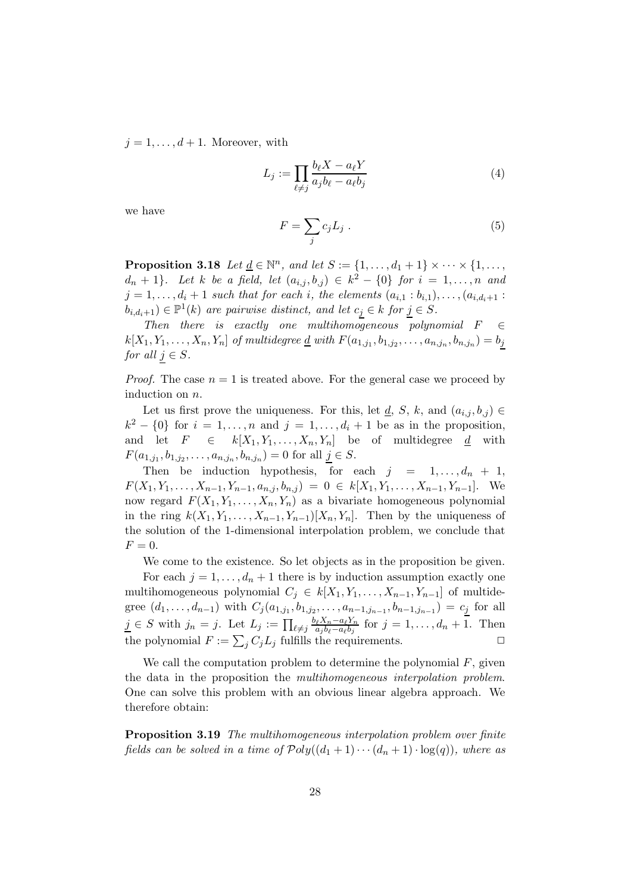$j = 1, \ldots, d + 1$ . Moreover, with

$$
L_j := \prod_{\ell \neq j} \frac{b_\ell X - a_\ell Y}{a_j b_\ell - a_\ell b_j} \tag{4}
$$

we have

$$
F = \sum_{j} c_j L_j \tag{5}
$$

**Proposition 3.18** Let  $\underline{d} \in \mathbb{N}^n$ , and let  $S := \{1, \ldots, d_1 + 1\} \times \cdots \times \{1, \ldots,$  $d_n + 1$ . Let k be a field, let  $(a_{i,j}, b_{,j}) \in k^2 - \{0\}$  for  $i = 1, \ldots, n$  and  $j = 1, \ldots, d_i + 1$  such that for each i, the elements  $(a_{i,1} : b_{i,1}), \ldots, (a_{i,d_i+1} :$  $(b_{i,d_i+1}) \in \mathbb{P}^1(k)$  are pairwise distinct, and let  $c_j \in k$  for  $j \in S$ .

Then there is exactly one multihomogeneous polynomial  $F \in \mathcal{E}$  $k[X_1, Y_1, \ldots, X_n, Y_n]$  of multidegree <u>d</u> with  $F(a_{1,j_1}, b_{1,j_2}, \ldots, a_{n,j_n}, b_{n,j_n}) = b_j$ for all  $j \in S$ .

*Proof.* The case  $n = 1$  is treated above. For the general case we proceed by induction on n.

Let us first prove the uniqueness. For this, let  $\underline{d}$ , S, k, and  $(a_{i,j}, b_{,j}) \in$  $k^2 - \{0\}$  for  $i = 1, \ldots, n$  and  $j = 1, \ldots, d_i + 1$  be as in the proposition, and let  $F \in k[X_1, Y_1, \ldots, X_n, Y_n]$  be of multidegree  $\underline{d}$  with  $F(a_{1,j_1}, b_{1,j_2}, \ldots, a_{n,j_n}, b_{n,j_n}) = 0$  for all  $\underline{j} \in S$ .

Then be induction hypothesis, for each  $j = 1, \ldots, d_n + 1$ ,  $F(X_1, Y_1, \ldots, X_{n-1}, Y_{n-1}, a_{n,j}, b_{n,j}) = 0 \in k[X_1, Y_1, \ldots, X_{n-1}, Y_{n-1}].$  We now regard  $F(X_1, Y_1, \ldots, X_n, Y_n)$  as a bivariate homogeneous polynomial in the ring  $k(X_1, Y_1, \ldots, X_{n-1}, Y_{n-1})[X_n, Y_n]$ . Then by the uniqueness of the solution of the 1-dimensional interpolation problem, we conclude that  $F=0.$ 

We come to the existence. So let objects as in the proposition be given.

For each  $j = 1, \ldots, d_n + 1$  there is by induction assumption exactly one multihomogeneous polynomial  $C_j \in k[X_1, Y_1, \ldots, X_{n-1}, Y_{n-1}]$  of multidegree  $(d_1, \ldots, d_{n-1})$  with  $C_j(a_{1,j_1}, b_{1,j_2}, \ldots, a_{n-1,j_{n-1}}, b_{n-1,j_{n-1}}) = c_j$  for all  $j \in S$  with  $j_n = j$ . Let  $L_j := \prod_{\ell \neq j} \frac{b_\ell X_n - a_\ell Y_n}{a_j b_\ell - a_\ell b_j}$  $\frac{\partial_{\ell}X_n - a_{\ell}Y_n}{\partial_{\ell}b_{\ell} - a_{\ell}b_j}$  for  $j = 1, \ldots, d_n + 1$ . Then the polynomial  $F := \sum_j C_j L_j$  fulfills the requirements.

We call the computation problem to determine the polynomial  $F$ , given the data in the proposition the multihomogeneous interpolation problem. One can solve this problem with an obvious linear algebra approach. We therefore obtain:

Proposition 3.19 The multihomogeneous interpolation problem over finite fields can be solved in a time of  $Poly((d_1 + 1) \cdots (d_n + 1) \cdot log(q))$ , where as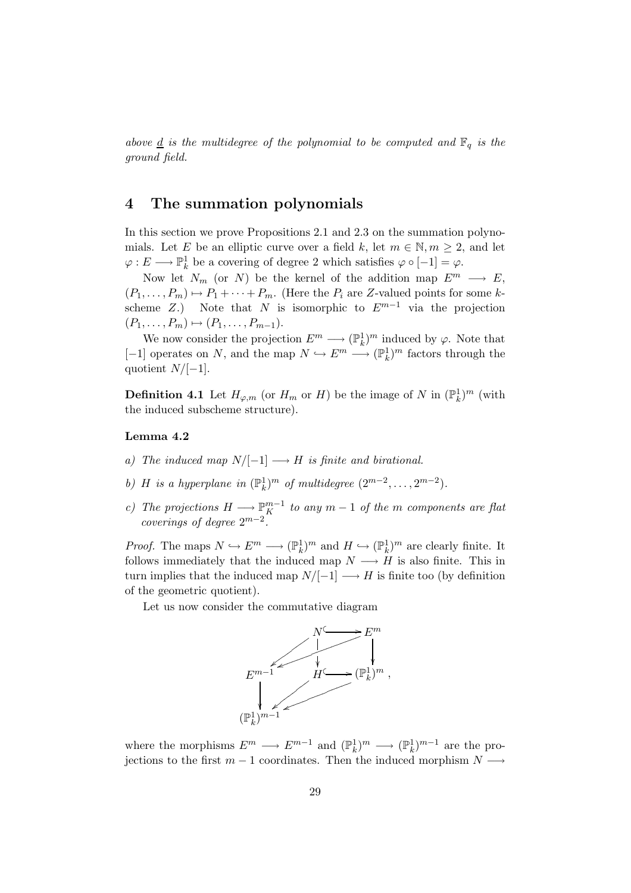above <u>d</u> is the multidegree of the polynomial to be computed and  $\mathbb{F}_q$  is the ground field.

# 4 The summation polynomials

In this section we prove Propositions 2.1 and 2.3 on the summation polynomials. Let E be an elliptic curve over a field k, let  $m \in \mathbb{N}, m \geq 2$ , and let  $\varphi: E \longrightarrow \mathbb{P}^1_k$  be a covering of degree 2 which satisfies  $\varphi \circ [-1] = \varphi$ .

Now let  $N_m$  (or N) be the kernel of the addition map  $E^m \longrightarrow E$ ,  $(P_1, \ldots, P_m) \mapsto P_1 + \cdots + P_m$ . (Here the  $P_i$  are Z-valued points for some kscheme Z.) Note that N is isomorphic to  $E^{m-1}$  via the projection  $(P_1, \ldots, P_m) \mapsto (P_1, \ldots, P_{m-1}).$ 

We now consider the projection  $E^m \longrightarrow (\mathbb{P}_k^1)^m$  induced by  $\varphi$ . Note that [-1] operates on N, and the map  $N \hookrightarrow E^m \longrightarrow (\mathbb{P}^1_k)^m$  factors through the quotient  $N/[-1]$ .

**Definition 4.1** Let  $H_{\varphi,m}$  (or  $H_m$  or  $H$ ) be the image of N in  $(\mathbb{P}_k^1)^m$  (with the induced subscheme structure).

# Lemma 4.2

- a) The induced map  $N/[-1] \longrightarrow H$  is finite and birational.
- b) H is a hyperplane in  $(\mathbb{P}_k^1)^m$  of multidegree  $(2^{m-2}, \ldots, 2^{m-2})$ .
- c) The projections  $H \longrightarrow \mathbb{P}_{K}^{m-1}$  to any  $m-1$  of the m components are flat coverings of degree  $2^{m-2}$ .

*Proof.* The maps  $N \hookrightarrow E^m \longrightarrow (\mathbb{P}_k^1)^m$  and  $H \hookrightarrow (\mathbb{P}_k^1)^m$  are clearly finite. It follows immediately that the induced map  $N \longrightarrow H$  is also finite. This in turn implies that the induced map  $N/[-1] \longrightarrow H$  is finite too (by definition of the geometric quotient).

Let us now consider the commutative diagram



where the morphisms  $E^m \longrightarrow E^{m-1}$  and  $(\mathbb{P}_k^1)^m \longrightarrow (\mathbb{P}_k^1)^{m-1}$  are the projections to the first  $m-1$  coordinates. Then the induced morphism  $N \longrightarrow$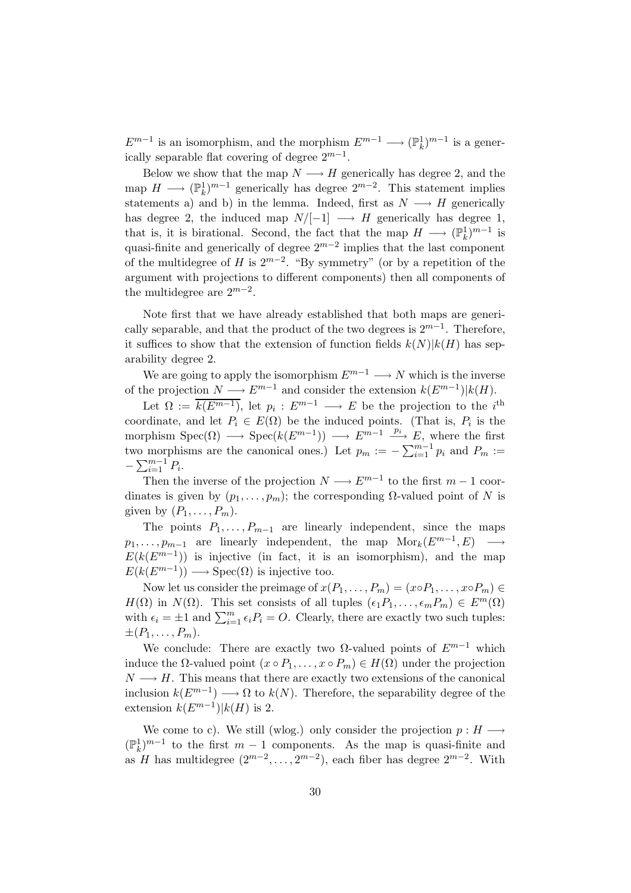$E^{m-1}$  is an isomorphism, and the morphism  $E^{m-1} \longrightarrow (\mathbb{P}_k^1)^{m-1}$  is a generically separable flat covering of degree  $2^{m-1}$ .

Below we show that the map  $N \longrightarrow H$  generically has degree 2, and the map  $H \longrightarrow (\mathbb{P}_k^1)^{m-1}$  generically has degree  $2^{m-2}$ . This statement implies statements a) and b) in the lemma. Indeed, first as  $N \longrightarrow H$  generically has degree 2, the induced map  $N/[-1] \longrightarrow H$  generically has degree 1, that is, it is birational. Second, the fact that the map  $H \longrightarrow (\mathbb{P}_k^1)^{m-1}$  is quasi-finite and generically of degree  $2^{m-2}$  implies that the last component of the multidegree of H is  $2^{m-2}$ . "By symmetry" (or by a repetition of the argument with projections to different components) then all components of the multidegree are  $2^{m-2}$ .

Note first that we have already established that both maps are generically separable, and that the product of the two degrees is  $2^{m-1}$ . Therefore, it suffices to show that the extension of function fields  $k(N)|k(H)$  has separability degree 2.

We are going to apply the isomorphism  $E^{m-1} \longrightarrow N$  which is the inverse of the projection  $N \longrightarrow E^{m-1}$  and consider the extension  $k(E^{m-1})|k(H)$ .

Let  $\Omega := \overline{k(E^{m-1})}$ , let  $p_i : E^{m-1} \longrightarrow E$  be the projection to the *i*<sup>th</sup> coordinate, and let  $P_i \in E(\Omega)$  be the induced points. (That is,  $P_i$  is the morphism  $Spec(\Omega) \longrightarrow Spec(k(E^{m-1})) \longrightarrow E^{m-1} \stackrel{p_i}{\longrightarrow} E$ , where the first two morphisms are the canonical ones.) Let  $p_m := -\sum_{i=1}^{m-1} p_i$  and  $P_m :=$  $-\sum_{i=1}^{m-1} P_i$ .

Then the inverse of the projection  $N \longrightarrow E^{m-1}$  to the first  $m-1$  coordinates is given by  $(p_1, \ldots, p_m)$ ; the corresponding  $\Omega$ -valued point of N is given by  $(P_1, \ldots, P_m)$ .

The points  $P_1, \ldots, P_{m-1}$  are linearly independent, since the maps  $p_1, \ldots, p_{m-1}$  are linearly independent, the map  $Mor_k(E^{m-1}, E) \longrightarrow$  $E(k(E^{m-1}))$  is injective (in fact, it is an isomorphism), and the map  $E(k(E^{m-1})) \longrightarrow \text{Spec}(\Omega)$  is injective too.

Now let us consider the preimage of  $x(P_1, \ldots, P_m) = (x \circ P_1, \ldots, x \circ P_m) \in$  $H(\Omega)$  in  $N(\Omega)$ . This set consists of all tuples  $(\epsilon_1 P_1, \ldots, \epsilon_m P_m) \in E^m(\Omega)$ with  $\epsilon_i = \pm 1$  and  $\sum_{i=1}^m \epsilon_i P_i = O$ . Clearly, there are exactly two such tuples:  $\pm (P_1, \ldots, P_m).$ 

We conclude: There are exactly two  $\Omega$ -valued points of  $E^{m-1}$  which induce the  $\Omega$ -valued point  $(x \circ P_1, \ldots, x \circ P_m) \in H(\Omega)$  under the projection  $N \longrightarrow H$ . This means that there are exactly two extensions of the canonical inclusion  $k(E^{m-1}) \longrightarrow \Omega$  to  $k(N)$ . Therefore, the separability degree of the extension  $k(E^{m-1})|k(H)$  is 2.

We come to c). We still (wlog.) only consider the projection  $p : H \longrightarrow$  $(\mathbb{P}_k^1)^{m-1}$  to the first  $m-1$  components. As the map is quasi-finite and as H has multidegree  $(2^{m-2}, \ldots, 2^{m-2})$ , each fiber has degree  $2^{m-2}$ . With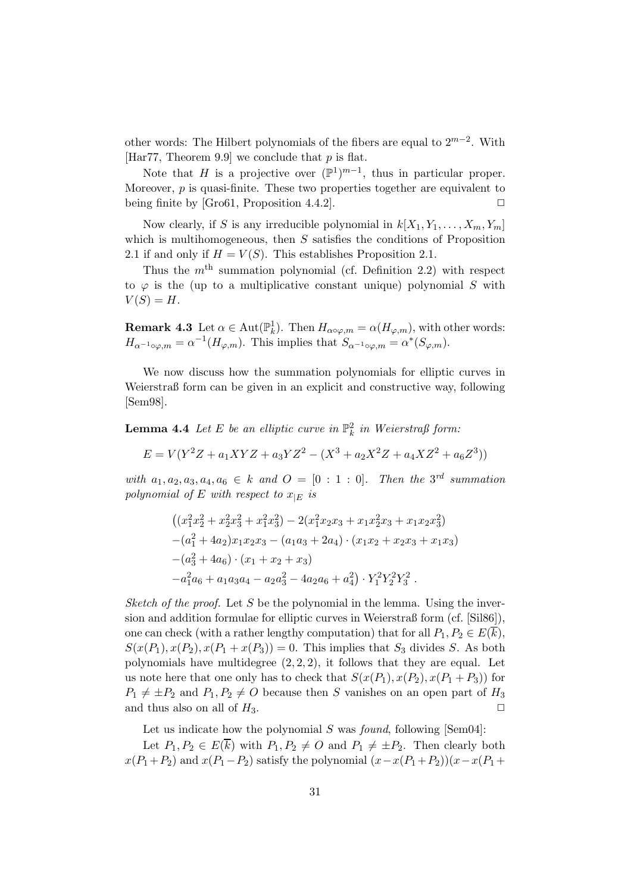other words: The Hilbert polynomials of the fibers are equal to  $2^{m-2}$ . With [Har77, Theorem 9.9] we conclude that  $p$  is flat.

Note that H is a projective over  $(\mathbb{P}^1)^{m-1}$ , thus in particular proper. Moreover,  $p$  is quasi-finite. These two properties together are equivalent to being finite by [Gro61, Proposition 4.4.2].  $\Box$ 

Now clearly, if S is any irreducible polynomial in  $k[X_1, Y_1, \ldots, X_m, Y_m]$ which is multihomogeneous, then  $S$  satisfies the conditions of Proposition 2.1 if and only if  $H = V(S)$ . This establishes Proposition 2.1.

Thus the  $m<sup>th</sup>$  summation polynomial (cf. Definition 2.2) with respect to  $\varphi$  is the (up to a multiplicative constant unique) polynomial S with  $V(S) = H$ .

**Remark 4.3** Let  $\alpha \in \text{Aut}(\mathbb{P}_k^1)$ . Then  $H_{\alpha \circ \varphi,m} = \alpha(H_{\varphi,m})$ , with other words:  $H_{\alpha^{-1}\circ\varphi,m} = \alpha^{-1}(H_{\varphi,m})$ . This implies that  $S_{\alpha^{-1}\circ\varphi,m} = \alpha^*(S_{\varphi,m})$ .

We now discuss how the summation polynomials for elliptic curves in Weierstraß form can be given in an explicit and constructive way, following [Sem98].

**Lemma 4.4** Let E be an elliptic curve in  $\mathbb{P}_k^2$  in Weierstraß form:

$$
E = V(Y^{2}Z + a_{1}XYZ + a_{3}YZ^{2} - (X^{3} + a_{2}X^{2}Z + a_{4}XZ^{2} + a_{6}Z^{3}))
$$

with  $a_1, a_2, a_3, a_4, a_6 \in k$  and  $O = [0 : 1 : 0]$ . Then the 3<sup>rd</sup> summation polynomial of E with respect to  $x_{|E}$  is

$$
((x_1^2x_2^2 + x_2^2x_3^2 + x_1^2x_3^2) - 2(x_1^2x_2x_3 + x_1x_2^2x_3 + x_1x_2x_3^2)
$$
  
\n
$$
-(a_1^2 + 4a_2)x_1x_2x_3 - (a_1a_3 + 2a_4) \cdot (x_1x_2 + x_2x_3 + x_1x_3)
$$
  
\n
$$
-(a_3^2 + 4a_6) \cdot (x_1 + x_2 + x_3)
$$
  
\n
$$
-a_1^2a_6 + a_1a_3a_4 - a_2a_3^2 - 4a_2a_6 + a_4^2) \cdot Y_1^2Y_2^2Y_3^2.
$$

Sketch of the proof. Let S be the polynomial in the lemma. Using the inversion and addition formulae for elliptic curves in Weierstraß form (cf. [Sil86]), one can check (with a rather lengthy computation) that for all  $P_1, P_2 \in E(\overline{k}),$  $S(x(P_1), x(P_2), x(P_1 + x(P_3)) = 0$ . This implies that  $S_3$  divides S. As both polynomials have multidegree  $(2, 2, 2)$ , it follows that they are equal. Let us note here that one only has to check that  $S(x(P_1), x(P_2), x(P_1 + P_3))$  for  $P_1 \neq \pm P_2$  and  $P_1, P_2 \neq O$  because then S vanishes on an open part of  $H_3$ and thus also on all of  $H_3$ .

Let us indicate how the polynomial  $S$  was *found*, following [Sem04]:

Let  $P_1, P_2 \in E(\overline{k})$  with  $P_1, P_2 \neq O$  and  $P_1 \neq \pm P_2$ . Then clearly both  $x(P_1+P_2)$  and  $x(P_1-P_2)$  satisfy the polynomial  $(x-x(P_1+P_2))(x-x(P_1+P_2))$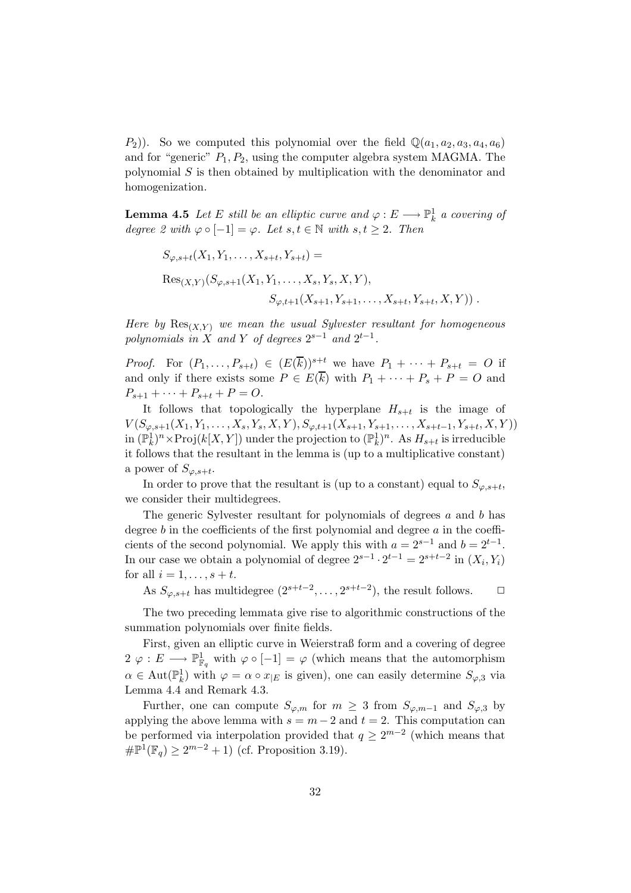$(P_2)$ ). So we computed this polynomial over the field  $\mathbb{Q}(a_1, a_2, a_3, a_4, a_6)$ and for "generic"  $P_1, P_2$ , using the computer algebra system MAGMA. The polynomial  $S$  is then obtained by multiplication with the denominator and homogenization.

**Lemma 4.5** Let E still be an elliptic curve and  $\varphi : E \longrightarrow \mathbb{P}^1_k$  a covering of degree 2 with  $\varphi \circ [-1] = \varphi$ . Let  $s, t \in \mathbb{N}$  with  $s, t \geq 2$ . Then

$$
S_{\varphi,s+t}(X_1, Y_1, \dots, X_{s+t}, Y_{s+t}) =
$$
  
\n
$$
Res_{(X,Y)}(S_{\varphi,s+1}(X_1, Y_1, \dots, X_s, Y_s, X, Y),
$$
  
\n
$$
S_{\varphi,t+1}(X_{s+1}, Y_{s+1}, \dots, X_{s+t}, Y_{s+t}, X, Y)).
$$

Here by  $\text{Res}_{(X,Y)}$  we mean the usual Sylvester resultant for homogeneous polynomials in X and Y of degrees  $2^{s-1}$  and  $2^{t-1}$ .

*Proof.* For  $(P_1, \ldots, P_{s+t}) \in (E(\overline{k}))^{s+t}$  we have  $P_1 + \cdots + P_{s+t} = O$  if and only if there exists some  $P \in E(\overline{k})$  with  $P_1 + \cdots + P_s + P = O$  and  $P_{s+1} + \cdots + P_{s+t} + P = O.$ 

It follows that topologically the hyperplane  $H_{s+t}$  is the image of  $V(S_{\varphi,s+1}(X_1,Y_1,\ldots,X_s,Y_s,X,Y),S_{\varphi,t+1}(X_{s+1},Y_{s+1},\ldots,X_{s+t-1},Y_{s+t},X,Y))$ in  $(\mathbb{P}_k^1)^n \times \text{Proj}(k[X, Y])$  under the projection to  $(\mathbb{P}_k^1)^n$ . As  $H_{s+t}$  is irreducible it follows that the resultant in the lemma is (up to a multiplicative constant) a power of  $S_{\varphi,s+t}$ .

In order to prove that the resultant is (up to a constant) equal to  $S_{\varphi,s+t}$ , we consider their multidegrees.

The generic Sylvester resultant for polynomials of degrees a and b has degree  $b$  in the coefficients of the first polynomial and degree  $a$  in the coefficients of the second polynomial. We apply this with  $a = 2^{s-1}$  and  $b = 2^{t-1}$ . In our case we obtain a polynomial of degree  $2^{s-1} \cdot 2^{t-1} = 2^{s+t-2}$  in  $(X_i, Y_i)$ for all  $i = 1, \ldots, s + t$ .

As  $S_{\varphi,s+t}$  has multidegree  $(2^{s+t-2}, \ldots, 2^{s+t-2})$ , the result follows.  $\Box$ 

The two preceding lemmata give rise to algorithmic constructions of the summation polynomials over finite fields.

First, given an elliptic curve in Weierstraß form and a covering of degree  $2 \varphi : E \longrightarrow \mathbb{P}^1_{\mathbb{F}_q}$  with  $\varphi \circ [-1] = \varphi$  (which means that the automorphism  $\alpha \in \text{Aut}(\mathbb{P}^1_k)$  with  $\varphi = \alpha \circ x_{|E}$  is given), one can easily determine  $S_{\varphi,3}$  via Lemma 4.4 and Remark 4.3.

Further, one can compute  $S_{\varphi,m}$  for  $m \geq 3$  from  $S_{\varphi,m-1}$  and  $S_{\varphi,3}$  by applying the above lemma with  $s = m - 2$  and  $t = 2$ . This computation can be performed via interpolation provided that  $q \geq 2^{m-2}$  (which means that  $\# \mathbb{P}^1(\mathbb{F}_q) \ge 2^{m-2} + 1$  (cf. Proposition 3.19).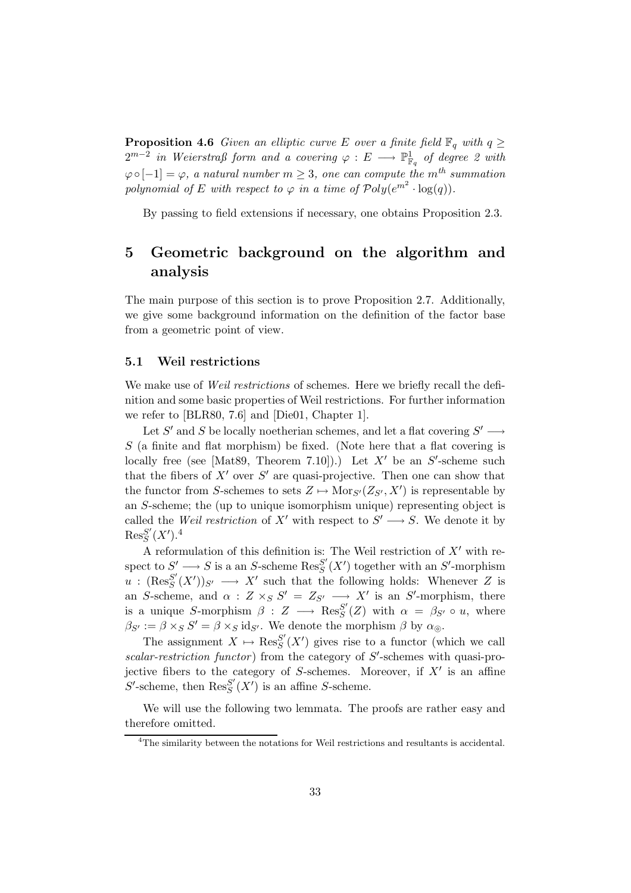**Proposition 4.6** Given an elliptic curve E over a finite field  $\mathbb{F}_q$  with  $q \geq$  $2^{m-2}$  in Weierstraß form and a covering  $\varphi\,:\,E\,\longrightarrow\,\mathbb{P}^1_{{\mathbb F}_q}$  of degree 2 with  $\varphi \circ [-1] = \varphi$ , a natural number  $m \geq 3$ , one can compute the m<sup>th</sup> summation polynomial of E with respect to  $\varphi$  in a time of  $\mathcal{P}oly(e^{m^2} \cdot \log(q)).$ 

By passing to field extensions if necessary, one obtains Proposition 2.3.

# 5 Geometric background on the algorithm and analysis

The main purpose of this section is to prove Proposition 2.7. Additionally, we give some background information on the definition of the factor base from a geometric point of view.

# 5.1 Weil restrictions

We make use of *Weil restrictions* of schemes. Here we briefly recall the definition and some basic properties of Weil restrictions. For further information we refer to [BLR80, 7.6] and [Die01, Chapter 1].

Let S' and S be locally noetherian schemes, and let a flat covering  $S' \longrightarrow$  $S$  (a finite and flat morphism) be fixed. (Note here that a flat covering is locally free (see [Mat89, Theorem 7.10]).) Let  $X'$  be an  $S'$ -scheme such that the fibers of  $X'$  over  $S'$  are quasi-projective. Then one can show that the functor from S-schemes to sets  $Z \mapsto \text{Mor}_{S'}(Z_{S'}, X')$  is representable by an S-scheme; the (up to unique isomorphism unique) representing object is called the *Weil restriction* of X' with respect to  $S' \longrightarrow S$ . We denote it by  ${\mathop{\mathrm{Res}}\nolimits}_S^{S'}$  $_{S}^{S^{\prime}}(X^{\prime}).^{4}$ 

A reformulation of this definition is: The Weil restriction of  $X'$  with respect to  $S' \longrightarrow S$  is a an S-scheme  $\text{Res}_{S}^{S'}$  $S'_{S}(X')$  together with an S'-morphism  $u$  :  $(\text{Res}^{S'}_S)$  $S'_{S}(X')_{S'} \longrightarrow X'$  such that the following holds: Whenever Z is an S-scheme, and  $\alpha$  :  $Z \times_S S' = Z_{S'} \longrightarrow X'$  is an S'-morphism, there is a unique S-morphism  $\beta : Z \longrightarrow \operatorname{Res}^{S'}_S$  $S_{S}^{S}(Z)$  with  $\alpha = \beta_{S'} \circ u$ , where  $\beta_{S'} := \beta \times_S S' = \beta \times_S \text{id}_{S'}$ . We denote the morphism  $\beta$  by  $\alpha_{\odot}$ .

The assignment  $X \mapsto \operatorname{Res}^{S'}_S$  $S'_{S}(X')$  gives rise to a functor (which we call  $scalar-restruction\ function)$  from the category of  $S'$ -schemes with quasi-projective fibers to the category of  $S$ -schemes. Moreover, if  $X'$  is an affine  $S'$ -scheme, then  $\text{Res}_{S}^{S'}$  ${}_{S}^{S'}(X')$  is an affine S-scheme.

We will use the following two lemmata. The proofs are rather easy and therefore omitted.

<sup>&</sup>lt;sup>4</sup>The similarity between the notations for Weil restrictions and resultants is accidental.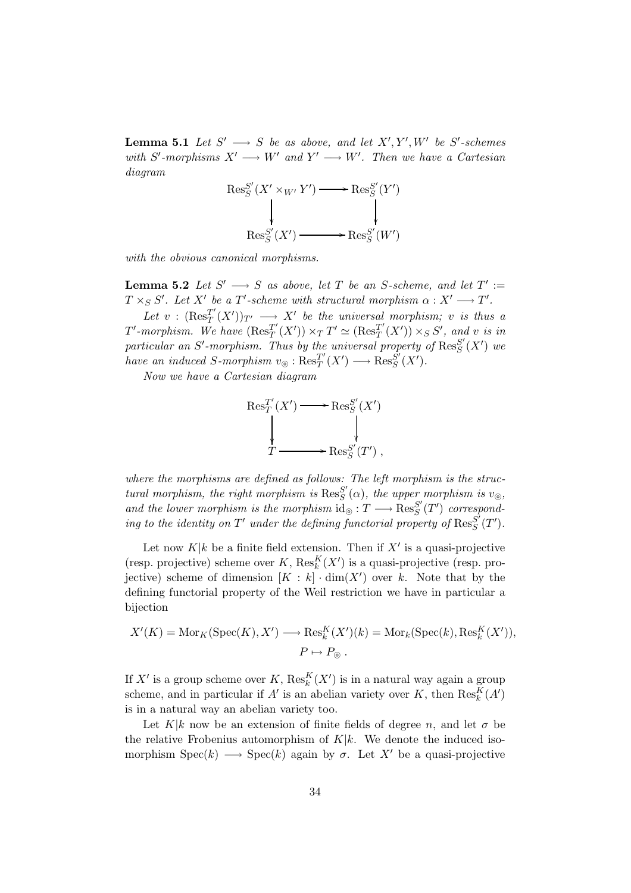**Lemma 5.1** Let  $S' \longrightarrow S$  be as above, and let  $X', Y', W'$  be  $S'$ -schemes with S'-morphisms  $X' \longrightarrow W'$  and  $Y' \longrightarrow W'$ . Then we have a Cartesian diagram

$$
\operatorname{Res}_{S}^{S'}(X' \times_{W'} Y') \longrightarrow \operatorname{Res}_{S}^{S'}(Y')
$$
  

$$
\downarrow \qquad \qquad \downarrow
$$
  

$$
\operatorname{Res}_{S}^{S'}(X') \longrightarrow \operatorname{Res}_{S}^{S'}(W')
$$

with the obvious canonical morphisms.

**Lemma 5.2** Let  $S' \longrightarrow S$  as above, let T be an S-scheme, and let  $T' :=$  $T \times_S S'$ . Let X' be a T'-scheme with structural morphism  $\alpha : X' \longrightarrow T'$ .

Let  $v : (\text{Res}_T^{T'}$  $T(T'(X'))_{T'} \longrightarrow X'$  be the universal morphism; v is thus a  $T'$ -morphism. We have  $(\operatorname{Res}^{T'}_T)$  $T'(X')$ ) ×  $T T' \simeq (\text{Res}_T^{T'}$  $T'(X')$  × s S', and v is in particular an S'-morphism. Thus by the universal property of  $\text{Res}^{S'}_S$  $_{S}^{S'}(X')$  we have an induced S-morphism  $v_{\odot}$  :  $\text{Res}_{T}^{T'}$  $T'(X') \longrightarrow \operatorname{Res}^{S'}_{S}$  ${}^{S'}_S(X')$ .

Now we have a Cartesian diagram

$$
\operatorname{Res}^{T'}_T(X') \longrightarrow \operatorname{Res}^{S'}_S(X')
$$
  
 
$$
\downarrow \qquad \qquad \downarrow
$$
  
 
$$
T \longrightarrow \operatorname{Res}^{S'}_S(T')
$$
,

where the morphisms are defined as follows: The left morphism is the structural morphism, the right morphism is  $\text{Res}_{S}^{S'}$  $S(S(\alpha))$ , the upper morphism is  $v_{\odot}$ , and the lower morphism is the morphism  $\mathrm{id}_{\odot} : T \longrightarrow \mathrm{Res}^{S'}_S$  $S'(T')$  corresponding to the identity on  $T'$  under the defining functorial property of  $\text{Res}^{S'}_S$  ${}_S^{S^\prime}(T^\prime).$ 

Let now  $K|k$  be a finite field extension. Then if  $X'$  is a quasi-projective (resp. projective) scheme over  $K$ ,  $\text{Res}_{k}^{K}(X')$  is a quasi-projective (resp. projective) scheme of dimension  $[K : k] \cdot \dim(X')$  over k. Note that by the defining functorial property of the Weil restriction we have in particular a bijection

$$
X'(K) = \text{Mor}_K(\text{Spec}(K), X') \longrightarrow \text{Res}_k^K(X')(k) = \text{Mor}_k(\text{Spec}(k), \text{Res}_k^K(X')),
$$
  

$$
P \mapsto P_{\odot}.
$$

If X' is a group scheme over K,  $\mathrm{Res}^K_k(X')$  is in a natural way again a group scheme, and in particular if  $A'$  is an abelian variety over K, then  $\text{Res}_{k}^{K}(A')$ is in a natural way an abelian variety too.

Let K|k now be an extension of finite fields of degree n, and let  $\sigma$  be the relative Frobenius automorphism of  $K|k$ . We denote the induced isomorphism  $Spec(k) \longrightarrow Spec(k)$  again by  $\sigma$ . Let X' be a quasi-projective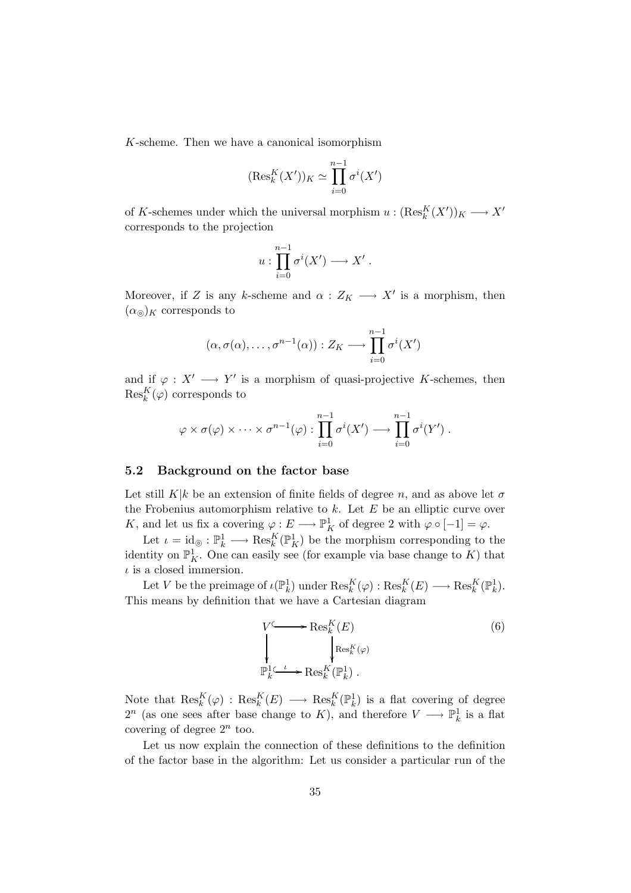K-scheme. Then we have a canonical isomorphism

$$
(\text{Res}_k^K(X'))_K \simeq \prod_{i=0}^{n-1} \sigma^i(X')
$$

of K-schemes under which the universal morphism  $u: (\text{Res}_{k}^{K}(X'))_{K} \longrightarrow X'$ corresponds to the projection

$$
u:\prod_{i=0}^{n-1}\sigma^i(X')\longrightarrow X'\;.
$$

Moreover, if Z is any k-scheme and  $\alpha: Z_K \longrightarrow X'$  is a morphism, then  $(\alpha_{\odot})_K$  corresponds to

$$
(\alpha, \sigma(\alpha), \dots, \sigma^{n-1}(\alpha)) : Z_K \longrightarrow \prod_{i=0}^{n-1} \sigma^i(X')
$$

and if  $\varphi: X' \longrightarrow Y'$  is a morphism of quasi-projective K-schemes, then  $\operatorname{Res}_k^K(\varphi)$  corresponds to

$$
\varphi \times \sigma(\varphi) \times \cdots \times \sigma^{n-1}(\varphi) : \prod_{i=0}^{n-1} \sigma^i(X') \longrightarrow \prod_{i=0}^{n-1} \sigma^i(Y') .
$$

# 5.2 Background on the factor base

Let still K|k be an extension of finite fields of degree n, and as above let  $\sigma$ the Frobenius automorphism relative to  $k$ . Let  $E$  be an elliptic curve over K, and let us fix a covering  $\varphi: E \longrightarrow \mathbb{P}^1_K$  of degree 2 with  $\varphi \circ [-1] = \varphi$ .

Let  $\iota = \mathrm{id}_{\odot} : \mathbb{P}^1_k \longrightarrow \mathrm{Res}^K_k(\mathbb{P}^1_K)$  be the morphism corresponding to the identity on  $\mathbb{P}^1_K$ . One can easily see (for example via base change to K) that  $\iota$  is a closed immersion.

Let V be the preimage of  $\iota(\mathbb{P}^1_k)$  under  $\mathrm{Res}_k^K(\varphi) : \mathrm{Res}_k^K(E) \longrightarrow \mathrm{Res}_k^K(\mathbb{P}^1_k)$ . This means by definition that we have a Cartesian diagram

$$
V \longrightarrow \text{Res}_{k}^{K}(E)
$$
\n
$$
\downarrow \qquad \qquad \downarrow \text{Res}_{k}^{K}(\varphi)
$$
\n
$$
\mathbb{P}_{k}^{1} \xrightarrow{L} \text{Res}_{k}^{K}(\mathbb{P}_{k}^{1}).
$$
\n
$$
(6)
$$

Note that  $\text{Res}_{k}^{K}(\varphi)$  :  $\text{Res}_{k}^{K}(E) \longrightarrow \text{Res}_{k}^{K}(\mathbb{P}_{k}^{1})$  is a flat covering of degree  $2^n$  (as one sees after base change to K), and therefore  $V \longrightarrow \mathbb{P}^1_k$  is a flat covering of degree  $2^n$  too.

Let us now explain the connection of these definitions to the definition of the factor base in the algorithm: Let us consider a particular run of the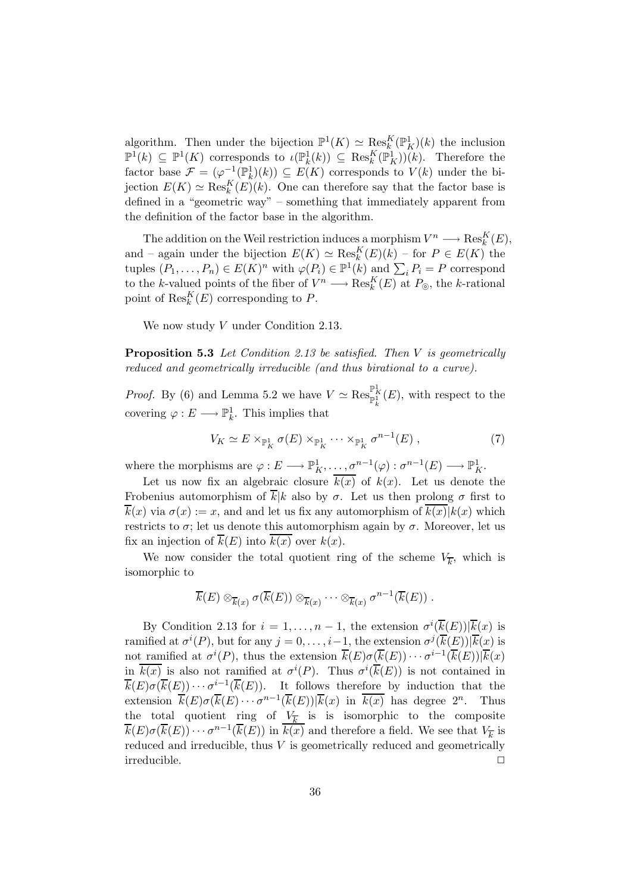algorithm. Then under the bijection  $\mathbb{P}^1(K) \simeq \text{Res}_k^K(\mathbb{P}_K^1)(k)$  the inclusion  $\mathbb{P}^1(k) \subseteq \mathbb{P}^1(K)$  corresponds to  $\iota(\mathbb{P}_k^1(k)) \subseteq \text{Res}_k^K(\mathbb{P}_K^1)(k)$ . Therefore the factor base  $\mathcal{F} = (\varphi^{-1}(\mathbb{P}_k^1)(k)) \subseteq E(K)$  corresponds to  $V(k)$  under the bijection  $E(K) \simeq \operatorname{Res}_k^K(E)(k)$ . One can therefore say that the factor base is defined in a "geometric way" – something that immediately apparent from the definition of the factor base in the algorithm.

The addition on the Weil restriction induces a morphism  $V^n \longrightarrow \operatorname{Res}_k^K(E)$ , and – again under the bijection  $E(K) \simeq \text{Res}_k^K(E)(k)$  – for  $P \in E(K)$  the tuples  $(P_1, \ldots, P_n) \in E(K)^n$  with  $\varphi(P_i) \in \mathbb{P}^1(k)$  and  $\sum_i P_i = P$  correspond to the k-valued points of the fiber of  $V^n \longrightarrow \text{Res}_k^K(E)$  at  $P_{\odot}$ , the k-rational point of  $\operatorname{Res}_{k}^{K}(E)$  corresponding to P.

We now study V under Condition 2.13.

Proposition 5.3 Let Condition 2.13 be satisfied. Then V is geometrically reduced and geometrically irreducible (and thus birational to a curve).

*Proof.* By (6) and Lemma 5.2 we have  $V \simeq \operatorname{Res}_{\mathbb{P}^1_k}^{\mathbb{P}^1_K}(E)$ , with respect to the covering  $\varphi: E \longrightarrow \mathbb{P}^1_k$ . This implies that

$$
V_K \simeq E \times_{\mathbb{P}^1_K} \sigma(E) \times_{\mathbb{P}^1_K} \cdots \times_{\mathbb{P}^1_K} \sigma^{n-1}(E) , \qquad (7)
$$

where the morphisms are  $\varphi: E \longrightarrow \mathbb{P}^1_K, \ldots, \sigma^{n-1}(\varphi): \sigma^{n-1}(E) \longrightarrow \mathbb{P}^1_K$ .

Let us now fix an algebraic closure  $\overline{k(x)}$  of  $k(x)$ . Let us denote the Frobenius automorphism of  $\overline{k}|k|$  also by  $\sigma$ . Let us then prolong  $\sigma$  first to  $\overline{k}(x)$  via  $\sigma(x) := x$ , and and let us fix any automorphism of  $k(x)|k(x)$  which restricts to  $\sigma$ ; let us denote this automorphism again by  $\sigma$ . Moreover, let us fix an injection of  $\overline{k}(E)$  into  $\overline{k(x)}$  over  $k(x)$ .

We now consider the total quotient ring of the scheme  $V_{\overline{k}}$ , which is isomorphic to

$$
\overline{k}(E) \otimes_{\overline{k}(x)} \sigma(\overline{k}(E)) \otimes_{\overline{k}(x)} \cdots \otimes_{\overline{k}(x)} \sigma^{n-1}(\overline{k}(E)).
$$

By Condition 2.13 for  $i = 1, ..., n-1$ , the extension  $\sigma^{i}(\overline{k}(E))|\overline{k}(x)$  is ramified at  $\sigma^{i}(P)$ , but for any  $j = 0, \ldots, i-1$ , the extension  $\sigma^{j}(\overline{k}(E))|\overline{k}(x)$  is not ramified at  $\sigma^{i}(P)$ , thus the extension  $\overline{k}(E)\sigma(\overline{k}(E))\cdots \sigma^{i-1}(\overline{k}(E))|\overline{k}(x)$ in  $\overline{k(x)}$  is also not ramified at  $\sigma^{i}(P)$ . Thus  $\sigma^{i}(\overline{k}(E))$  is not contained in  $\overline{k}(E)\sigma(\overline{k}(E))\cdots \sigma^{i-1}(\overline{k}(E)).$  It follows therefore by induction that the extension  $\overline{k}(E)\sigma(\overline{k}(E)\cdots \sigma^{n-1}(\overline{k}(E))|\overline{k}(x)$  in  $\overline{k(x)}$  has degree  $2^n$ . Thus the total quotient ring of  $V_{\overline{k}}$  is is isomorphic to the composite  $\overline{k}(E)\sigma(\overline{k}(E))\cdots \sigma^{n-1}(\overline{k}(E))$  in  $\overline{k(x)}$  and therefore a field. We see that  $V_{\overline{k}}$  is reduced and irreducible, thus V is geometrically reduced and geometrically irreducible.  $\hfill \square$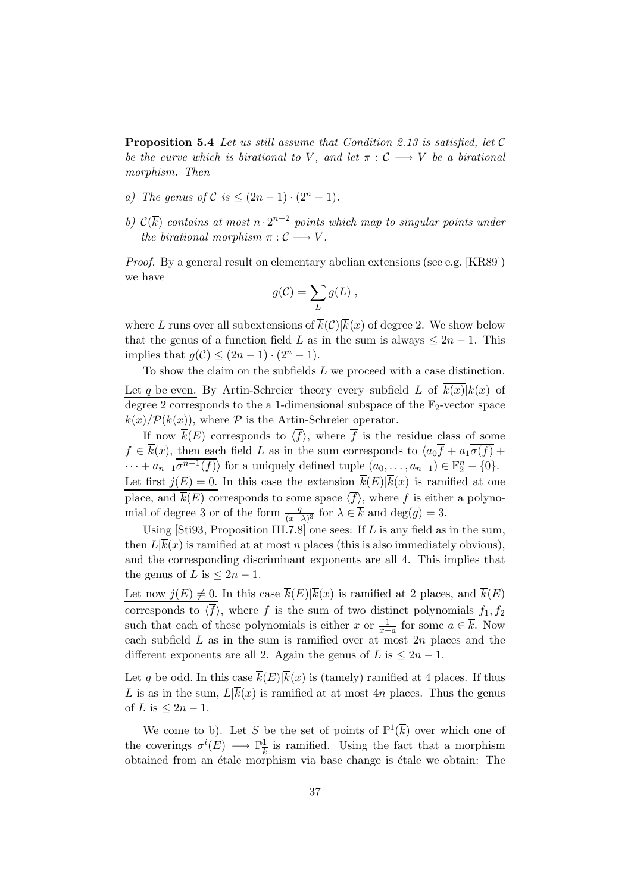Proposition 5.4 Let us still assume that Condition 2.13 is satisfied, let C be the curve which is birational to V, and let  $\pi : \mathcal{C} \longrightarrow V$  be a birational morphism. Then

- a) The genus of  $\mathcal{C}$  is  $\leq (2n-1) \cdot (2^n-1)$ .
- b)  $\mathcal{C}(\overline{k})$  contains at most  $n \cdot 2^{n+2}$  points which map to singular points under the birational morphism  $\pi : \mathcal{C} \longrightarrow V$ .

Proof. By a general result on elementary abelian extensions (see e.g. [KR89]) we have

$$
g(\mathcal{C}) = \sum_{L} g(L) ,
$$

where L runs over all subextensions of  $\overline{k}(\mathcal{C})|\overline{k}(x)$  of degree 2. We show below that the genus of a function field L as in the sum is always  $\leq 2n - 1$ . This implies that  $q(\mathcal{C}) \leq (2n-1) \cdot (2^n-1)$ .

To show the claim on the subfields  $L$  we proceed with a case distinction. Let q be even. By Artin-Schreier theory every subfield L of  $\overline{k(x)}|k(x)$  of degree 2 corresponds to the a 1-dimensional subspace of the  $\mathbb{F}_2$ -vector space  $\overline{k}(x)/\mathcal{P}(\overline{k}(x))$ , where  $\mathcal P$  is the Artin-Schreier operator.

If now  $\overline{k}(E)$  corresponds to  $\langle \overline{f} \rangle$ , where  $\overline{f}$  is the residue class of some  $f \in \overline{k}(x)$ , then each field L as in the sum corresponds to  $\langle a_0 \overline{f} + a_1 \overline{\sigma(f)} +$  $\cdots + a_{n-1}\overline{\sigma^{n-1}(f)}\rangle$  for a uniquely defined tuple  $(a_0,\ldots,a_{n-1}) \in \mathbb{F}_2^n - \{0\}.$ Let first  $j(E) = 0$ . In this case the extension  $\overline{k}(E)|\overline{k}(x)$  is ramified at one place, and  $\overline{k}(E)$  corresponds to some space  $\langle \overline{f} \rangle$ , where f is either a polynomial of degree 3 or of the form  $\frac{g}{(x-\lambda)^3}$  for  $\lambda \in \overline{k}$  and  $\deg(g) = 3$ .

Using [Sti93, Proposition III.7.8] one sees: If  $L$  is any field as in the sum, then  $L[\overline{k}(x)]$  is ramified at at most n places (this is also immediately obvious), and the corresponding discriminant exponents are all 4. This implies that the genus of L is  $\leq 2n-1$ .

Let now  $j(E) \neq 0$ . In this case  $\overline{k}(E)|\overline{k}(x)$  is ramified at 2 places, and  $\overline{k}(E)$ corresponds to  $\langle \overline{f} \rangle$ , where f is the sum of two distinct polynomials  $f_1, f_2$ such that each of these polynomials is either x or  $\frac{1}{x-a}$  for some  $a \in \overline{k}$ . Now each subfield  $L$  as in the sum is ramified over at most  $2n$  places and the different exponents are all 2. Again the genus of L is  $\leq 2n-1$ .

Let q be odd. In this case  $\overline{k}(E)|\overline{k}(x)$  is (tamely) ramified at 4 places. If thus L is as in the sum,  $L|\overline{k}(x)|$  is ramified at at most 4n places. Thus the genus of L is  $\leq 2n-1$ .

We come to b). Let S be the set of points of  $\mathbb{P}^1(\overline{k})$  over which one of the coverings  $\sigma^{i}(E) \longrightarrow \mathbb{P}_{\overline{k}}^1$  $\frac{1}{k}$  is ramified. Using the fact that a morphism obtained from an étale morphism via base change is étale we obtain: The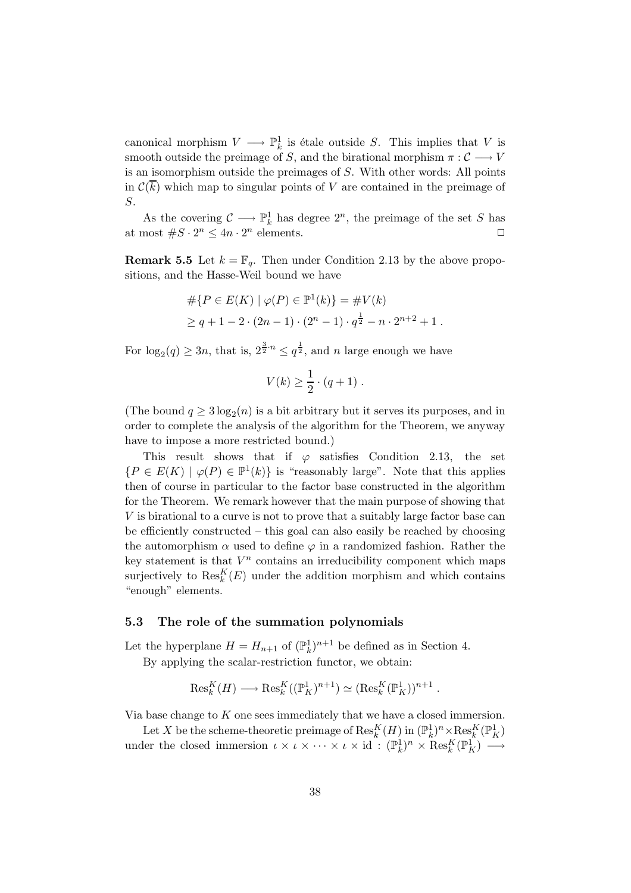canonical morphism  $V \longrightarrow \mathbb{P}^1_k$  is étale outside S. This implies that V is smooth outside the preimage of S, and the birational morphism  $\pi : \mathcal{C} \longrightarrow V$ is an isomorphism outside the preimages of S. With other words: All points in  $\mathcal{C}(k)$  which map to singular points of V are contained in the preimage of S.

As the covering  $\mathcal{C} \longrightarrow \mathbb{P}^1_k$  has degree  $2^n$ , the preimage of the set S has at most  $\#S \cdot 2^n \leq 4n \cdot 2^n$  elements.

**Remark 5.5** Let  $k = \mathbb{F}_q$ . Then under Condition 2.13 by the above propositions, and the Hasse-Weil bound we have

$$
#\{P \in E(K) \mid \varphi(P) \in \mathbb{P}^1(k)\} = #V(k)
$$
  
\n
$$
\geq q + 1 - 2 \cdot (2n - 1) \cdot (2^n - 1) \cdot q^{\frac{1}{2}} - n \cdot 2^{n+2} + 1.
$$

For  $\log_2(q) \ge 3n$ , that is,  $2^{\frac{3}{2} \cdot n} \le q^{\frac{1}{2}}$ , and n large enough we have

$$
V(k) \geq \frac{1}{2} \cdot (q+1) \; .
$$

(The bound  $q \geq 3 \log_2(n)$  is a bit arbitrary but it serves its purposes, and in order to complete the analysis of the algorithm for the Theorem, we anyway have to impose a more restricted bound.)

This result shows that if  $\varphi$  satisfies Condition 2.13, the set  $\{P \in E(K) \mid \varphi(P) \in \mathbb{P}^1(k)\}\$ is "reasonably large". Note that this applies then of course in particular to the factor base constructed in the algorithm for the Theorem. We remark however that the main purpose of showing that V is birational to a curve is not to prove that a suitably large factor base can be efficiently constructed – this goal can also easily be reached by choosing the automorphism  $\alpha$  used to define  $\varphi$  in a randomized fashion. Rather the key statement is that  $V^n$  contains an irreducibility component which maps surjectively to  $\operatorname{Res}_{k}^{K}(E)$  under the addition morphism and which contains "enough" elements.

#### 5.3 The role of the summation polynomials

Let the hyperplane  $H = H_{n+1}$  of  $(\mathbb{P}_k^1)^{n+1}$  be defined as in Section 4.

By applying the scalar-restriction functor, we obtain:

$$
\text{Res}^K_k(H)\longrightarrow \text{Res}^K_k((\mathbb{P}^1_K)^{n+1})\simeq (\text{Res}^K_k(\mathbb{P}^1_K))^{n+1}
$$

.

Via base change to  $K$  one sees immediately that we have a closed immersion.

Let X be the scheme-theoretic preimage of  $\mathrm{Res}^K_k(H)$  in  $(\mathbb{P}^1_k)^n \times \mathrm{Res}^K_k(\mathbb{P}^1_K)$ under the closed immersion  $\iota \times \iota \times \cdots \times \iota \times id : (\mathbb{P}_k^1)^n \times \operatorname{Res}_k^K(\mathbb{P}_K^1) \longrightarrow$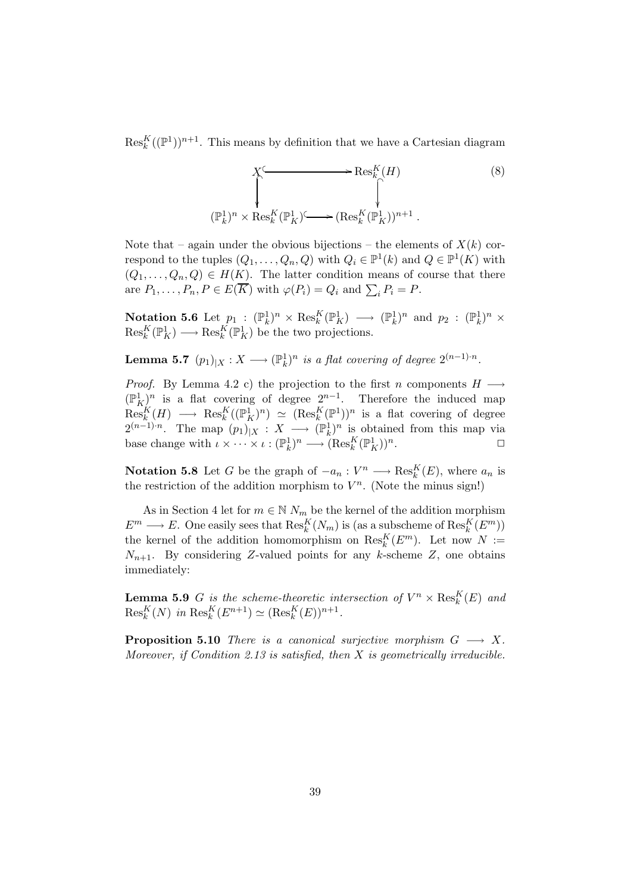$\mathrm{Res}_{k}^{K}((\mathbb{P}^{1}))^{n+1}$ . This means by definition that we have a Cartesian diagram

$$
\begin{array}{ccc}\nX^{\mathcal{L}} & \longrightarrow & \operatorname{Res}_{k}^{K}(H) \\
\downarrow & & \downarrow \\
(\mathbb{P}_{k}^{1})^{n} \times \operatorname{Res}_{k}^{K}(\mathbb{P}_{K}^{1})^{\mathcal{L}} & \longrightarrow (\operatorname{Res}_{k}^{K}(\mathbb{P}_{K}^{1}))^{n+1}\n\end{array} \tag{8}
$$

Note that – again under the obvious bijections – the elements of  $X(k)$  correspond to the tuples  $(Q_1, \ldots, Q_n, Q)$  with  $Q_i \in \mathbb{P}^1(k)$  and  $Q \in \mathbb{P}^1(K)$  with  $(Q_1, \ldots, Q_n, Q) \in H(K)$ . The latter condition means of course that there are  $P_1, \ldots, P_n, P \in E(K)$  with  $\varphi(P_i) = Q_i$  and  $\sum_i P_i = P$ .

Notation 5.6 Let  $p_1 : (\mathbb{P}_k^1)^n \times \operatorname{Res}_k^K(\mathbb{P}_K^1) \longrightarrow (\mathbb{P}_k^1)^n$  and  $p_2 : (\mathbb{P}_k^1)^n \times$  $\operatorname{Res}_{k}^{K}(\mathbb{P}_{K}^{1}) \longrightarrow \operatorname{Res}_{k}^{K}(\mathbb{P}_{K}^{1})$  be the two projections.

**Lemma 5.7**  $(p_1)_{|X}: X \longrightarrow (\mathbb{P}^1_k)^n$  is a flat covering of degree  $2^{(n-1)\cdot n}$ .

*Proof.* By Lemma 4.2 c) the projection to the first n components  $H \longrightarrow$  $(\mathbb{P}_K^1)$ <sup>n</sup> is a flat covering of degree  $2^{n-1}$ . Therefore the induced map  $\text{Res}_{k}^K(H) \longrightarrow \text{Res}_{k}^K((\mathbb{P}^1_K)^n) \simeq (\text{Res}_{k}^K(\mathbb{P}^1))^n$  is a flat covering of degree  $2^{(n-1)\cdot n}$ . The map  $(p_1)_{|X}: X \longrightarrow (\mathbb{P}_k^1)^n$  is obtained from this map via base change with  $\iota \times \cdots \times \iota : (\mathbb{P}_k^1)^n \longrightarrow (\operatorname{Res}_k^K(\mathbb{P}_K^1))^n$ .

**Notation 5.8** Let G be the graph of  $-a_n: V^n \longrightarrow \text{Res}_k^K(E)$ , where  $a_n$  is the restriction of the addition morphism to  $V^n$ . (Note the minus sign!)

As in Section 4 let for  $m \in \mathbb{N}$   $N_m$  be the kernel of the addition morphism  $E^m \longrightarrow E$ . One easily sees that  $\text{Res}_k^K(N_m)$  is (as a subscheme of  $\text{Res}_k^K(E^m)$ ) the kernel of the addition homomorphism on  $\text{Res}_{k}^{K}(E^{m})$ . Let now  $N :=$  $N_{n+1}$ . By considering Z-valued points for any k-scheme Z, one obtains immediately:

**Lemma 5.9** G is the scheme-theoretic intersection of  $V^n \times \text{Res}_k^K(E)$  and  $\text{Res}_{k}^{K}(N)$  in  $\text{Res}_{k}^{K}(E^{n+1}) \simeq (\text{Res}_{k}^{K}(E))^{n+1}$ .

**Proposition 5.10** There is a canonical surjective morphism  $G \longrightarrow X$ . Moreover, if Condition 2.13 is satisfied, then  $X$  is geometrically irreducible.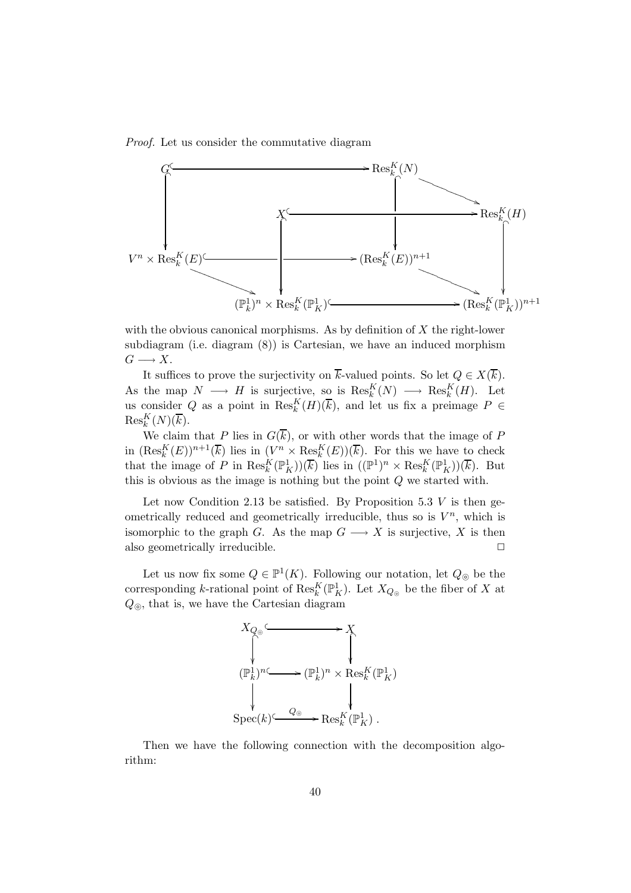Proof. Let us consider the commutative diagram



with the obvious canonical morphisms. As by definition of  $X$  the right-lower subdiagram (i.e. diagram (8)) is Cartesian, we have an induced morphism  $G \longrightarrow X$ .

It suffices to prove the surjectivity on  $\overline{k}$ -valued points. So let  $Q \in X(\overline{k})$ . As the map  $N \longrightarrow H$  is surjective, so is  $\text{Res}_{k}^{K}(N) \longrightarrow \text{Res}_{k}^{K}(H)$ . Let us consider Q as a point in  $\text{Res}_{k}^{K}(H)(\overline{k})$ , and let us fix a preimage  $P \in$  $\mathrm{Res}^K_k(N)(\overline{k}).$ 

We claim that P lies in  $G(\overline{k})$ , or with other words that the image of P in  $(\text{Res}_k^K(E))^{n+1}(\overline{k})$  lies in  $(V^n \times \text{Res}_k^K(E))(\overline{k})$ . For this we have to check that the image of P in  $\text{Res}_{k}^{K}(\mathbb{P}_{K}^{1})(\overline{k})$  lies in  $((\mathbb{P}^{1})^{n} \times \text{Res}_{k}^{K}(\mathbb{P}_{K}^{1}))(\overline{k})$ . But this is obvious as the image is nothing but the point Q we started with.

Let now Condition 2.13 be satisfied. By Proposition 5.3  $V$  is then geometrically reduced and geometrically irreducible, thus so is  $V^n$ , which is isomorphic to the graph G. As the map  $G \longrightarrow X$  is surjective, X is then also geometrically irreducible.  $\Box$ 

Let us now fix some  $Q \in \mathbb{P}^1(K)$ . Following our notation, let  $Q_{\odot}$  be the corresponding k-rational point of  $\mathrm{Res}_{k}^{K}(\mathbb{P}^{1}_{K})$ . Let  $X_{Q_{\circledcirc}}$  be the fiber of X at  $Q_{\odot}$ , that is, we have the Cartesian diagram



Then we have the following connection with the decomposition algorithm: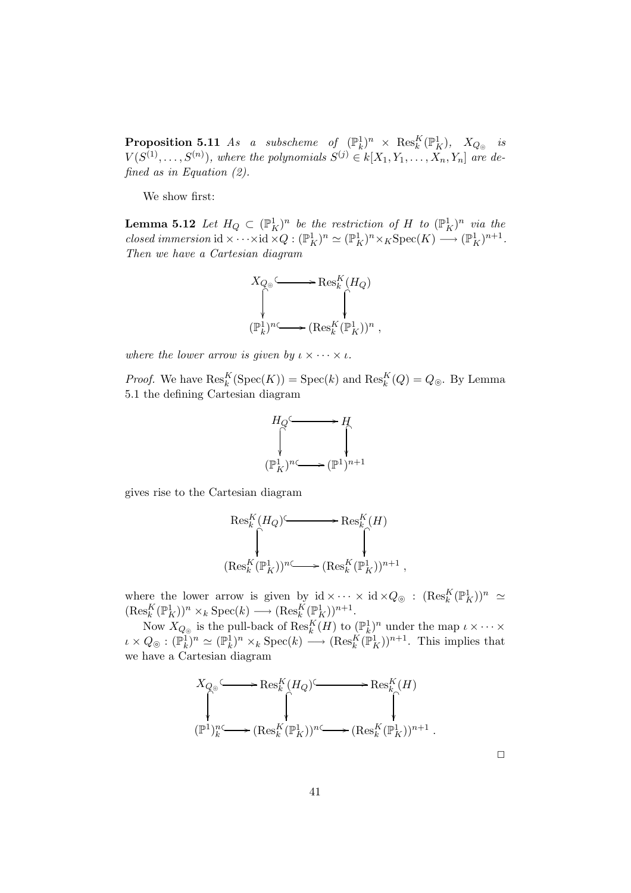$\bf{Proposition 5.11}$  As a subscheme of  $(\mathbb{P}^1_k)^n$   $\times$   $\mathrm{Res}^K_k(\mathbb{P}^1_K)$ ,  $X_{Q_\circledast}$  is  $V(S^{(1)}, \ldots, S^{(n)})$ , where the polynomials  $S^{(j)} \in k[X_1, Y_1, \ldots, X_n, Y_n]$  are defined as in Equation (2).

We show first:

**Lemma 5.12** Let  $H_Q \subset (\mathbb{P}^1_K)^n$  be the restriction of H to  $(\mathbb{P}^1_K)^n$  via the closed immersion  $\mathrm{id} \times \cdots \times \mathrm{id} \times Q : (\mathbb{P}^1_K)^n \simeq (\mathbb{P}^1_K)^n \times_K \mathrm{Spec}(K) \longrightarrow (\mathbb{P}^1_K)^{n+1}.$ Then we have a Cartesian diagram



where the lower arrow is given by  $\iota \times \cdots \times \iota$ .

*Proof.* We have  $\text{Res}_{k}^{K}(\text{Spec}(K)) = \text{Spec}(k)$  and  $\text{Res}_{k}^{K}(Q) = Q_{\odot}$ . By Lemma 5.1 the defining Cartesian diagram

$$
H_Q \xrightarrow{\hspace{1.5cm}} H_Q
$$
  

$$
\downarrow^{\hspace{1.5cm}} \downarrow^{\hspace{1.5cm}} \downarrow^{\hspace{1.5cm}} \downarrow^{\hspace{1.5cm}} \downarrow^{\hspace{1.5cm}} \downarrow^{\hspace{1.5cm}} \downarrow^{\hspace{1.5cm}} \downarrow^{\hspace{1.5cm}} \downarrow^{\hspace{1.5cm}} \downarrow^{\hspace{1.5cm}} \downarrow^{\hspace{1.5cm}} \downarrow^{\hspace{1.5cm}} \downarrow^{\hspace{1.5cm}} \downarrow^{\hspace{1.5cm}} \downarrow^{\hspace{1.5cm}} \downarrow^{\hspace{1.5cm}} \downarrow^{\hspace{1cm}} \downarrow^{\hspace{1cm}} \downarrow^{\hspace{1cm}} \downarrow^{\hspace{1cm}} \downarrow^{\hspace{1cm}} \downarrow^{\hspace{1cm}} \downarrow^{\hspace{1cm}} \downarrow^{\hspace{1cm}} \downarrow^{\hspace{1cm}} \downarrow^{\hspace{1cm}} \downarrow^{\hspace{1cm}} \downarrow^{\hspace{1cm}} \downarrow^{\hspace{1cm}} \downarrow^{\hspace{1cm}} \downarrow^{\hspace{1cm}} \downarrow^{\hspace{1cm}} \downarrow^{\hspace{1cm}} \downarrow^{\hspace{1cm}} \downarrow^{\hspace{1cm}} \downarrow^{\hspace{1cm}} \downarrow^{\hspace{1cm}} \downarrow^{\hspace{1cm}} \downarrow^{\hspace{1cm}} \downarrow^{\hspace{1cm}} \downarrow^{\hspace{1cm}} \downarrow^{\hspace{1cm}} \downarrow^{\hspace{1cm}} \downarrow^{\hspace{1cm}} \downarrow^{\hspace{1cm}} \downarrow^{\hspace{1cm}} \downarrow^{\hspace{1cm}} \downarrow^{\hspace{1cm}} \downarrow^{\hspace{1cm}} \downarrow^{\hspace{1cm}} \downarrow^{\hspace{1cm}} \downarrow^{\hspace{1cm}} \downarrow^{\hspace{1cm}} \downarrow^{\hspace{1cm}} \downarrow^{\hspace{1cm}} \downarrow^{\hspace{1cm}} \downarrow^{\hspace{1cm}} \downarrow^{\hspace{1cm}} \downarrow^{\hspace{1cm}} \downarrow^{\hspace{1cm}} \downarrow^{\hspace{1cm}} \downarrow^{\hspace{1cm}} \downarrow^{\hspace{1cm}} \downarrow^{\hspace{1
$$

gives rise to the Cartesian diagram

$$
\operatorname{Res}^K_k(H_Q) \overset{}{\underset{\scriptstyle{\leftarrow \\ \scriptstyle}}{\bigcap}} \operatorname{Res}^K_k(H) \longrightarrow \operatorname{Res}^K_k(H) \\ \qquad \qquad \downarrow \\ (\operatorname{Res}^K_k(\mathbb{P}^1_K))^{n} \overset{}{\underset{\scriptstyle{\leftarrow \\ \scriptstyle}}{\longleftarrow}} \operatorname{Res}^K_k(\mathbb{P}^1_K))^{n+1}
$$

,

where the lower arrow is given by  $\mathrm{id} \times \cdots \times \mathrm{id} \times Q_{\odot} : (\mathrm{Res}_k^K(\mathbb{P}_K^1))^{n} \simeq$  $(\text{Res}_k^K(\mathbb{P}_K^1))^{n} \times_k \text{Spec}(k) \longrightarrow (\text{Res}_k^K(\mathbb{P}_K^1))^{n+1}.$  $k \left( \mathbb{L}(K) \right) \longrightarrow k \cup \text{pec}(N) \longrightarrow (\text{res}_k)$ 

Now  $X_{Q_{\odot}}$  is the pull-back of  $\mathrm{Res}_{k}^{K}(H)$  to  $(\mathbb{P}^{1}_{k})^{n}$  under the map  $\iota \times \cdots \times$  $\iota \times Q_{\odot} : (\mathbb{P}_k^1)^n \simeq (\mathbb{P}_k^1)^n \times_k \text{Spec}(k) \longrightarrow (\text{Res}_k^K(\mathbb{P}_K^1))^{n+1}$ . This implies that we have a Cartesian diagram



 $\Box$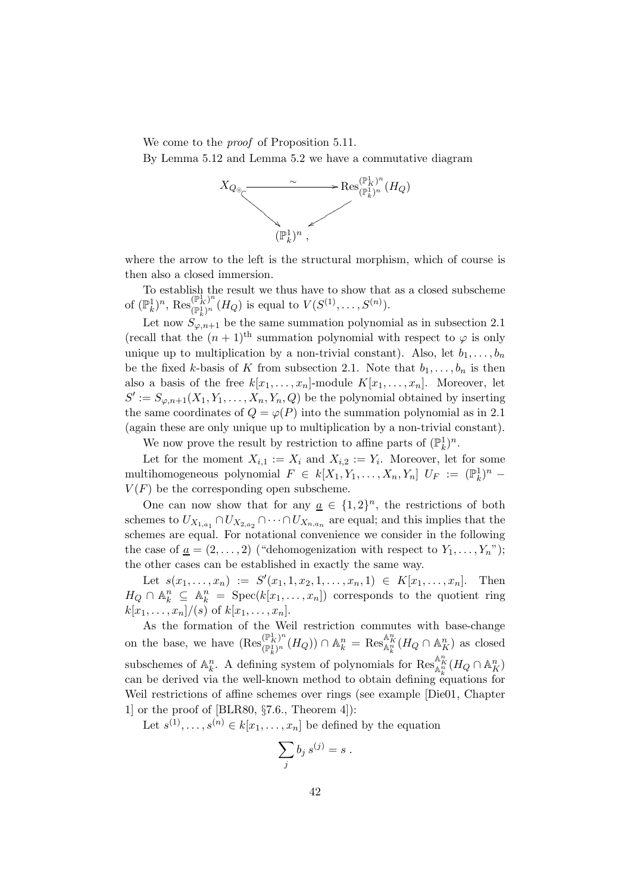We come to the *proof* of Proposition 5.11.

By Lemma 5.12 and Lemma 5.2 we have a commutative diagram



where the arrow to the left is the structural morphism, which of course is then also a closed immersion.

To establish the result we thus have to show that as a closed subscheme of  $(\mathbb{P}_k^1)^n$ ,  $\operatorname{Res}_{(\mathbb{P}_k^1)^n}^{(\mathbb{P}_k^1)^n}$  $(\mathbb{P}_K^1)^n$   $(H_Q)$  is equal to  $V(S^{(1)}, \ldots, S^{(n)})$ .

Let now  $S_{\varphi,n+1}$  be the same summation polynomial as in subsection 2.1 (recall that the  $(n + 1)$ <sup>th</sup> summation polynomial with respect to  $\varphi$  is only unique up to multiplication by a non-trivial constant). Also, let  $b_1, \ldots, b_n$ be the fixed k-basis of K from subsection 2.1. Note that  $b_1, \ldots, b_n$  is then also a basis of the free  $k[x_1, \ldots, x_n]$ -module  $K[x_1, \ldots, x_n]$ . Moreover, let  $S' := S_{\varphi,n+1}(X_1, Y_1, \ldots, X_n, Y_n, Q)$  be the polynomial obtained by inserting the same coordinates of  $Q = \varphi(P)$  into the summation polynomial as in 2.1 (again these are only unique up to multiplication by a non-trivial constant). We now prove the result by restriction to affine parts of  $(\mathbb{P}_k^1)^n$ .

Let for the moment  $X_{i,1} := X_i$  and  $X_{i,2} := Y_i$ . Moreover, let for some multihomogeneous polynomial  $F \in k[X_1, Y_1, \ldots, X_n, Y_n]$   $U_F := (\mathbb{P}_k^1)^n$  $V(F)$  be the corresponding open subscheme.

One can now show that for any  $\underline{a} \in \{1,2\}^n$ , the restrictions of both schemes to  $U_{X_{1,a_1}} \cap U_{X_{2,a_2}} \cap \cdots \cap U_{X_{n,a_n}}$  are equal; and this implies that the schemes are equal. For notational convenience we consider in the following the case of  $\underline{a} = (2, \ldots, 2)$  ("dehomogenization with respect to  $Y_1, \ldots, Y_n$ "); the other cases can be established in exactly the same way.

Let  $s(x_1,...,x_n) := S'(x_1, 1, x_2, 1,...,x_n, 1) \in K[x_1,...,x_n]$ . Then  $H_Q \cap \mathbb{A}_k^n \subseteq \mathbb{A}_k^n = \text{Spec}(k[x_1,\ldots,x_n])$  corresponds to the quotient ring  $k[x_1, \ldots, x_n]/(s)$  of  $k[x_1, \ldots, x_n].$ 

As the formation of the Weil restriction commutes with base-change on the base, we have  $(\operatorname{Res}_{\binom{m}{k}n}^{\lfloor n\rfloor}$  $(\mathbb{P}_k^1)^n (H_Q)$   $\cap$   $\mathbb{A}_k^n$  =  $\text{Res}_{\mathbb{A}_k^n}^{\mathbb{A}_k^n} (H_Q \cap \mathbb{A}_K^n)$  as closed subschemes of  $\mathbb{A}_k^n$ . A defining system of polynomials for  $\operatorname{Res}_{\mathbb{A}_k^n}^{\mathbb{A}_k^n} (H_Q \cap \mathbb{A}_K^n)$ can be derived via the well-known method to obtain defining equations for Weil restrictions of affine schemes over rings (see example [Die01, Chapter 1] or the proof of [BLR80, §7.6., Theorem 4]):

Let  $s^{(1)}, \ldots, s^{(n)} \in k[x_1, \ldots, x_n]$  be defined by the equation

$$
\sum_j b_j s^{(j)} = s .
$$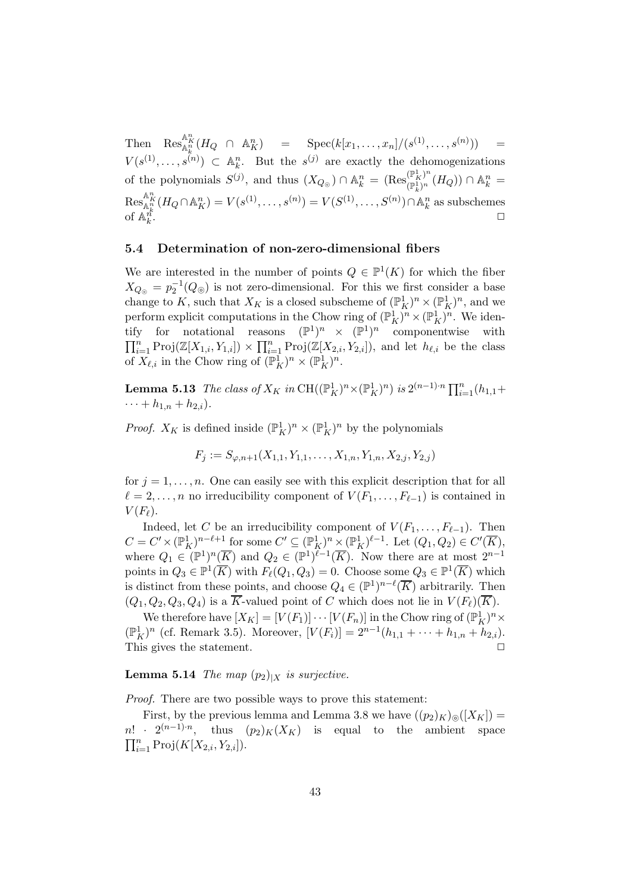Then  $\operatorname{Res}_{\mathbb{A}_k^n}^{\mathbb{A}_k^n} (H_Q \cap \mathbb{A}_K^n) = \operatorname{Spec}(k[x_1,\ldots,x_n]/(s^{(1)},\ldots,s^{(n)})) =$  $V(s^{(1)},\ldots,s^{(n)}) \subset \mathbb{A}_k^n$ . But the  $s^{(j)}$  are exactly the dehomogenizations of the polynomials  $S^{(j)}$ , and thus  $(X_{Q_{\odot}}) \cap \mathbb{A}_{k}^{n} = (\text{Res}_{(\mathbb{P}_{k}^{1})^{n}}^{(\mathbb{P}_{K}^{1})^{n}})$  $\binom{(\mathbb{P}_K^x)^n}{(\mathbb{P}_k^1)^n}(H_Q)) \cap \mathbb{A}_k^n =$  $\text{Res}_{\mathbb{A}^n_k}^{\mathbb{A}^n_K} (H_Q \cap \mathbb{A}^n_K) = V(s^{(1)}, \ldots, s^{(n)}) = V(S^{(1)}, \ldots, S^{(n)}) \cap \mathbb{A}^n_k$  as subschemes of  $\mathbb{A}_k^{n_k}$ . ✷

# 5.4 Determination of non-zero-dimensional fibers

We are interested in the number of points  $Q \in \mathbb{P}^1(K)$  for which the fiber  $X_{Q_{\circledcirc}} = p_2^{-1}(Q_{\circledcirc})$  is not zero-dimensional. For this we first consider a base change to K, such that  $X_K$  is a closed subscheme of  $(\mathbb{P}^1_K)^n \times (\mathbb{P}^1_K)^n$ , and we perform explicit computations in the Chow ring of  $(\mathbb{P}^1_K)^n \times (\mathbb{P}^1_K)^n$ . We identify for notational reasons  $(\mathbb{P}^1)^n \times (\mathbb{P}^1)^n$  componentwise with  $\prod_{i=1}^n \text{Proj}(\mathbb{Z}[X_{1,i}, Y_{1,i}]) \times \prod_{i=1}^n \text{Proj}(\mathbb{Z}[X_{2,i}, Y_{2,i}]),$  and let  $h_{\ell,i}$  be the class of  $X_{\ell,i}$  in the Chow ring of  $(\mathbb{P}^1_K)^n \times (\mathbb{P}^1_K)^n$ .

**Lemma 5.13** The class of  $X_K$  in  $\mathrm{CH}((\mathbb{P}^1_K)^n \times (\mathbb{P}^1_K)^n)$  is  $2^{(n-1)\cdot n} \prod_{i=1}^n (h_{1,1} +$  $\cdots + h_{1,n} + h_{2,i}$ .

*Proof.*  $X_K$  is defined inside  $(\mathbb{P}_K^1)^n \times (\mathbb{P}_K^1)^n$  by the polynomials

$$
F_j := S_{\varphi, n+1}(X_{1,1}, Y_{1,1}, \dots, X_{1,n}, Y_{1,n}, X_{2,j}, Y_{2,j})
$$

for  $j = 1, \ldots, n$ . One can easily see with this explicit description that for all  $\ell = 2, \ldots, n$  no irreducibility component of  $V(F_1, \ldots, F_{\ell-1})$  is contained in  $V(F_{\ell}).$ 

Indeed, let C be an irreducibility component of  $V(F_1, \ldots, F_{\ell-1})$ . Then  $C = C' \times (\mathbb{P}_K^1)^{n-\ell+1}$  for some  $C' \subseteq (\mathbb{P}_K^1)^n \times (\mathbb{P}_K^1)^{\ell-1}$ . Let  $(Q_1, Q_2) \in C'(\overline{K}),$ where  $Q_1 \in (\mathbb{P}^1)^n(\overline{K})$  and  $Q_2 \in (\mathbb{P}^1)^{\ell-1}(\overline{K})$ . Now there are at most  $2^{n-1}$ points in  $Q_3 \in \mathbb{P}^1(\overline{K})$  with  $F_{\ell}(Q_1, Q_3) = 0$ . Choose some  $Q_3 \in \mathbb{P}^1(\overline{K})$  which is distinct from these points, and choose  $Q_4 \in (\mathbb{P}^1)^{n-\ell}(\overline{K})$  arbitrarily. Then  $(Q_1, Q_2, Q_3, Q_4)$  is a  $\overline{K}$ -valued point of C which does not lie in  $V(F_{\ell})(\overline{K})$ .

We therefore have  $[X_K] = [V(F_1)] \cdots [V(F_n)]$  in the Chow ring of  $(\mathbb{P}_K^1)^n \times$  $(\mathbb{P}_K^1)^n$  (cf. Remark 3.5). Moreover,  $[V(F_i)] = 2^{n-1}(h_{1,1} + \cdots + h_{1,n} + h_{2,i}).$ This gives the statement.  $\Box$ 

# **Lemma 5.14** The map  $(p_2)_{|X}$  is surjective.

Proof. There are two possible ways to prove this statement:

First, by the previous lemma and Lemma 3.8 we have  $((p_2)_K)_{\odot}([X_K])$  =  $n!$  ·  $2^{(n-1)n}$  $(p_2)_K(X_K)$  is equal to the ambient space  $\prod_{i=1}^{n} \text{Proj}(K[X_{2,i}, Y_{2,i}]).$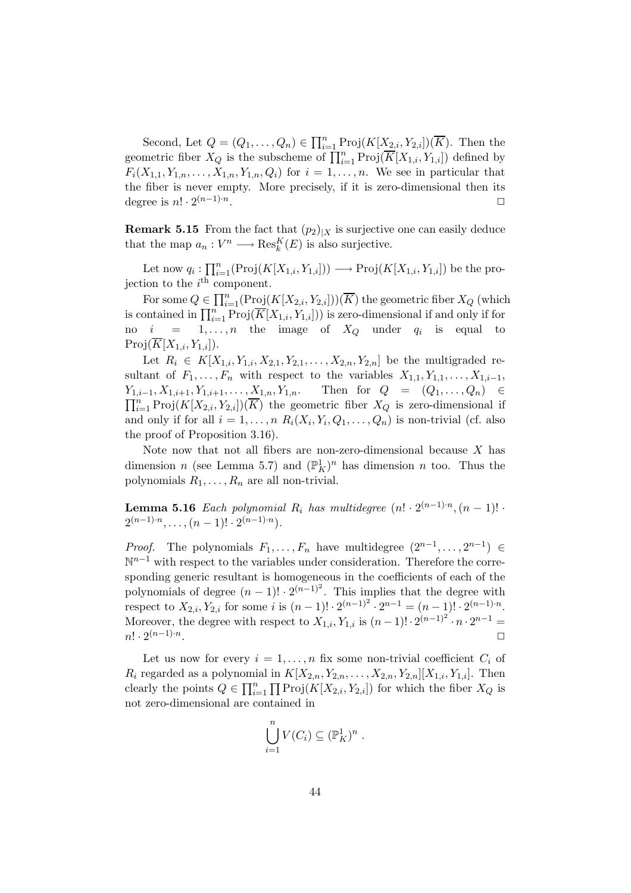Second, Let  $Q = (Q_1, \ldots, Q_n) \in \prod_{i=1}^n \text{Proj}(K[X_{2,i}, Y_{2,i}])(\overline{K})$ . Then the geometric fiber  $X_Q$  is the subscheme of  $\prod_{i=1}^n \text{Proj}(\overline{K}[X_{1,i}, Y_{1,i}])$  defined by  $F_i(X_{1,1}, Y_{1,n}, \ldots, X_{1,n}, Y_{1,n}, Q_i)$  for  $i = 1, \ldots, n$ . We see in particular that the fiber is never empty. More precisely, if it is zero-dimensional then its degree is  $n! \cdot 2^{(n-1)\cdot n}$ . ✷

**Remark 5.15** From the fact that  $(p_2)|_X$  is surjective one can easily deduce that the map  $a_n: V^n \longrightarrow \text{Res}_k^K(E)$  is also surjective.

Let now  $q_i: \prod_{i=1}^n(\text{Proj}(K[X_{1,i}, Y_{1,i}])) \longrightarrow \text{Proj}(K[X_{1,i}, Y_{1,i}])$  be the projection to the  $i^{\text{th}}$  component.

For some  $Q \in \prod_{i=1}^n (\text{Proj}(K[X_{2,i}, Y_{2,i}]))(\overline{K})$  the geometric fiber  $X_Q$  (which is contained in  $\prod_{i=1}^n \text{Proj}(\overline{K}[X_{1,i}, Y_{1,i}]))$  is zero-dimensional if and only if for no  $i = 1, \ldots, n$  the image of  $X_Q$  under  $q_i$  is equal to  $Proj(\overline{K}[X_{1,i}, Y_{1,i}]).$ 

Let  $R_i \in K[X_{1,i}, Y_{1,i}, X_{2,1}, Y_{2,1}, \ldots, X_{2,n}, Y_{2,n}]$  be the multigraded resultant of  $F_1, \ldots, F_n$  with respect to the variables  $X_{1,1}, Y_{1,1}, \ldots, X_{1,i-1}$ ,  $Y_{1,i-1}, X_{1,i+1}, Y_{1,i+1}, \ldots, X_{1,n}, Y_{1,n}.$  Then for  $Q = (Q_1, \ldots, Q_n)$  ∈  $\prod_{i=1}^n \text{Proj}(K[X_{2,i}, Y_{2,i}])(\overline{K})$  the geometric fiber  $X_Q$  is zero-dimensional if and only if for all  $i = 1, ..., n$   $R_i(X_i, Y_i, Q_1, ..., Q_n)$  is non-trivial (cf. also the proof of Proposition 3.16).

Note now that not all fibers are non-zero-dimensional because  $X$  has dimension *n* (see Lemma 5.7) and  $(\mathbb{P}_{K}^{1})^{n}$  has dimension *n* too. Thus the polynomials  $R_1, \ldots, R_n$  are all non-trivial.

**Lemma 5.16** Each polynomial  $R_i$  has multidegree  $(n! \cdot 2^{(n-1)\cdot n}, (n-1)! \cdot$  $2^{(n-1)\cdot n}, \ldots, (n-1)! \cdot 2^{(n-1)\cdot n}.$ 

*Proof.* The polynomials  $F_1, \ldots, F_n$  have multidegree  $(2^{n-1}, \ldots, 2^{n-1}) \in$ N<sup>n-1</sup> with respect to the variables under consideration. Therefore the corresponding generic resultant is homogeneous in the coefficients of each of the polynomials of degree  $(n-1)! \cdot 2^{(n-1)^2}$ . This implies that the degree with respect to  $X_{2,i}, Y_{2,i}$  for some i is  $(n-1)! \cdot 2^{(n-1)^2} \cdot 2^{n-1} = (n-1)! \cdot 2^{(n-1)n}$ . Moreover, the degree with respect to  $X_{1,i}, Y_{1,i}$  is  $(n-1)! \cdot 2^{(n-1)^2} \cdot n \cdot 2^{n-1} =$  $n! \cdot 2^{(n-1)\cdot n}$ . ✷

Let us now for every  $i = 1, ..., n$  fix some non-trivial coefficient  $C_i$  of  $R_i$  regarded as a polynomial in  $K[X_{2,n}, Y_{2,n}, \ldots, X_{2,n}, Y_{2,n}][X_{1,i}, Y_{1,i}]$ . Then clearly the points  $Q \in \prod_{i=1}^n \prod \text{Proj}(K[X_{2,i}, Y_{2,i}])$  for which the fiber  $X_Q$  is not zero-dimensional are contained in

$$
\bigcup_{i=1}^n V(C_i) \subseteq (\mathbb{P}^1_K)^n .
$$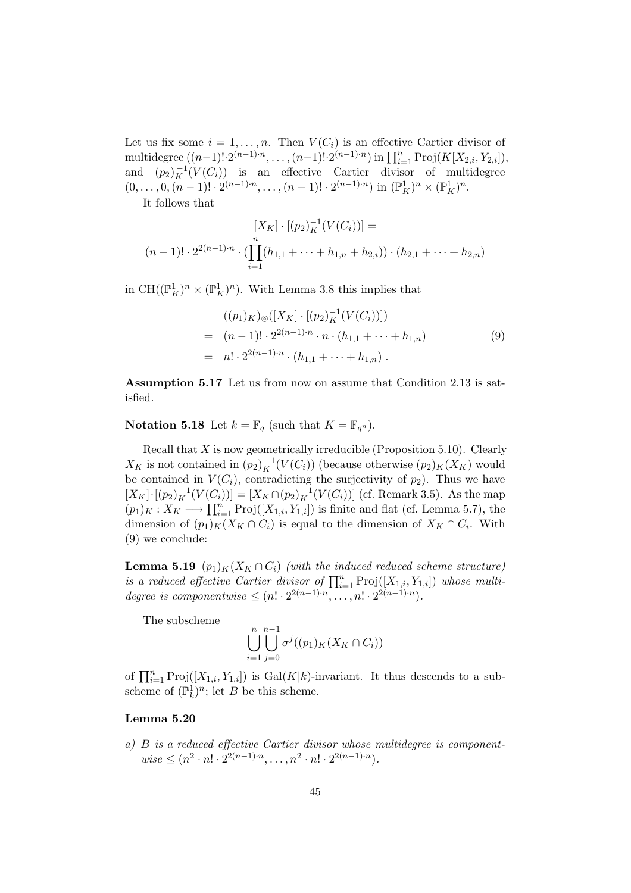Let us fix some  $i = 1, \ldots, n$ . Then  $V(C_i)$  is an effective Cartier divisor of multidegree  $((n-1)! \cdot 2^{(n-1)\cdot n}, \ldots, (n-1)! \cdot 2^{(n-1)\cdot n})$  in  $\prod_{i=1}^{n} \text{Proj}(K[X_{2,i}, Y_{2,i}]),$ and  $(p_2)_K^{-1}(V(C_i))$  is an effective Cartier divisor of multidegree  $(0,\ldots,0,(n-1)! \cdot 2^{(n-1)\cdot n},\ldots,(n-1)! \cdot 2^{(n-1)\cdot n})$  in  $(\mathbb{P}^1_K)^n \times (\mathbb{P}^1_K)^n$ .

It follows that

$$
[X_K] \cdot [(p_2)_K^{-1}(V(C_i))] =
$$
  

$$
(n-1)! \cdot 2^{2(n-1)\cdot n} \cdot (\prod_{i=1}^n (h_{1,1} + \dots + h_{1,n} + h_{2,i})) \cdot (h_{2,1} + \dots + h_{2,n})
$$

in CH( $(\mathbb{P}^1_K)^n \times (\mathbb{P}^1_K)^n$ ). With Lemma 3.8 this implies that

$$
((p_1)_K)_{\circledcirc}([X_K] \cdot [(p_2)_K^{-1}(V(C_i))])
$$
  
=  $(n-1)! \cdot 2^{2(n-1)\cdot n} \cdot n \cdot (h_{1,1} + \cdots + h_{1,n})$  (9)  
=  $n! \cdot 2^{2(n-1)\cdot n} \cdot (h_{1,1} + \cdots + h_{1,n}).$ 

Assumption 5.17 Let us from now on assume that Condition 2.13 is satisfied.

**Notation 5.18** Let  $k = \mathbb{F}_q$  (such that  $K = \mathbb{F}_{q^n}$ ).

Recall that  $X$  is now geometrically irreducible (Proposition 5.10). Clearly  $X_K$  is not contained in  $(p_2)_K^{-1}(V(C_i))$  (because otherwise  $(p_2)_K(X_K)$  would be contained in  $V(C_i)$ , contradicting the surjectivity of  $p_2$ ). Thus we have  $[X_K] \cdot [(p_2)_K^{-1}(V(C_i))] = [X_K \cap (p_2)_K^{-1}(V(C_i))]$  (cf. Remark 3.5). As the map  $(p_1)_K : X_K \longrightarrow \prod_{i=1}^n \text{Proj}([X_{1,i}, Y_{1,i}])$  is finite and flat (cf. Lemma 5.7), the dimension of  $(p_1)_K(X_K \cap C_i)$  is equal to the dimension of  $X_K \cap C_i$ . With (9) we conclude:

**Lemma 5.19**  $(p_1)_K(X_K \cap C_i)$  (with the induced reduced scheme structure) is a reduced effective Cartier divisor of  $\prod_{i=1}^{n} Proj([X_{1,i}, Y_{1,i}])$  whose multidegree is componentwise  $\leq (n! \cdot 2^{2(n-1)\cdot n}, \ldots, n! \cdot 2^{2(n-1)\cdot n}).$ 

The subscheme

$$
\bigcup_{i=1}^n \bigcup_{j=0}^{n-1} \sigma^j((p_1)_K(X_K \cap C_i))
$$

of  $\prod_{i=1}^n \text{Proj}([X_{1,i}, Y_{1,i}])$  is  $\text{Gal}(K|k)$ -invariant. It thus descends to a subscheme of  $(\mathbb{P}_k^1)^n$ ; let B be this scheme.

#### Lemma 5.20

a) B is a reduced effective Cartier divisor whose multidegree is component $wise \leq (n^2 \cdot n! \cdot 2^{2(n-1)\cdot n}, \ldots, n^2 \cdot n! \cdot 2^{2(n-1)\cdot n}).$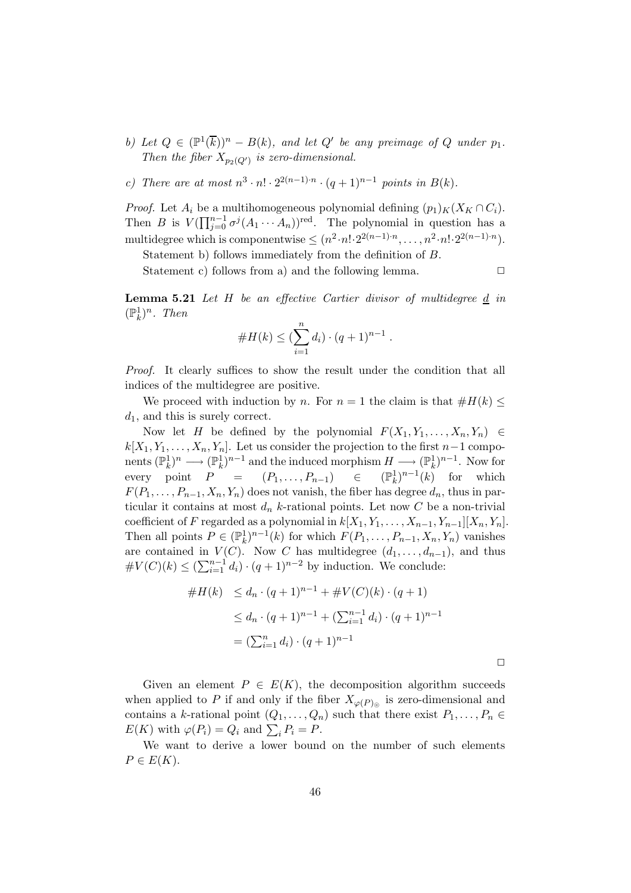- b) Let  $Q \in (\mathbb{P}^1(\overline{k}))^n B(k)$ , and let  $Q'$  be any preimage of  $Q$  under  $p_1$ . Then the fiber  $X_{p_2(Q')}$  is zero-dimensional.
- c) There are at most  $n^3 \cdot n! \cdot 2^{2(n-1)\cdot n} \cdot (q+1)^{n-1}$  points in  $B(k)$ .

*Proof.* Let  $A_i$  be a multihomogeneous polynomial defining  $(p_1)_K(X_K \cap C_i)$ . Then B is  $V(\prod_{j=0}^{n-1} \sigma^{j}(A_1 \cdots A_n))^{\text{red}}$ . The polynomial in question has a multidegree which is componentwise  $\leq (n^2 \cdot n! \cdot 2^{2(n-1)\cdot n}, \ldots, n^2 \cdot n! \cdot 2^{2(n-1)\cdot n}).$ 

Statement b) follows immediately from the definition of B.

Statement c) follows from a) and the following lemma.  $\Box$ 

Lemma 5.21 Let H be an effective Cartier divisor of multidegree d in  $(\mathbb{P}_k^1)^n$ . Then

#H(k) ≤ ( Xn i=1 di) · (q + 1)n−<sup>1</sup> .

Proof. It clearly suffices to show the result under the condition that all indices of the multidegree are positive.

We proceed with induction by n. For  $n = 1$  the claim is that  $#H(k) \leq$  $d_1$ , and this is surely correct.

Now let H be defined by the polynomial  $F(X_1, Y_1, \ldots, X_n, Y_n) \in$  $k[X_1, Y_1, \ldots, X_n, Y_n]$ . Let us consider the projection to the first  $n-1$  components  $(\mathbb{P}_k^1)^n \longrightarrow (\mathbb{P}_k^1)^{n-1}$  and the induced morphism  $H \longrightarrow (\mathbb{P}_k^1)^{n-1}$ . Now for every point  $P = (P_1, \ldots, P_{n-1}) \in$  $\binom{1}{k}$  for which  $F(P_1, \ldots, P_{n-1}, X_n, Y_n)$  does not vanish, the fiber has degree  $d_n$ , thus in particular it contains at most  $d_n$  k-rational points. Let now C be a non-trivial coefficient of F regarded as a polynomial in  $k[X_1, Y_1, \ldots, X_{n-1}, Y_{n-1}][X_n, Y_n]$ . Then all points  $P \in (\mathbb{P}_k^1)^{n-1}(k)$  for which  $F(P_1, \ldots, P_{n-1}, X_n, Y_n)$  vanishes are contained in  $V(C)$ . Now C has multidegree  $(d_1, \ldots, d_{n-1})$ , and thus  $\#V(C)(k) \leq (\sum_{i=1}^{n-1} d_i) \cdot (q+1)^{n-2}$  by induction. We conclude:

$$
\#H(k) \le d_n \cdot (q+1)^{n-1} + \#V(C)(k) \cdot (q+1)
$$
  
\n
$$
\le d_n \cdot (q+1)^{n-1} + (\sum_{i=1}^{n-1} d_i) \cdot (q+1)^{n-1}
$$
  
\n
$$
= (\sum_{i=1}^n d_i) \cdot (q+1)^{n-1}
$$

Given an element  $P \in E(K)$ , the decomposition algorithm succeeds when applied to P if and only if the fiber  $X_{\varphi(P)_{\odot}}$  is zero-dimensional and contains a k-rational point  $(Q_1, \ldots, Q_n)$  such that there exist  $P_1, \ldots, P_n \in$  $E(K)$  with  $\varphi(P_i) = Q_i$  and  $\sum_i P_i = P$ .

We want to derive a lower bound on the number of such elements  $P \in E(K)$ .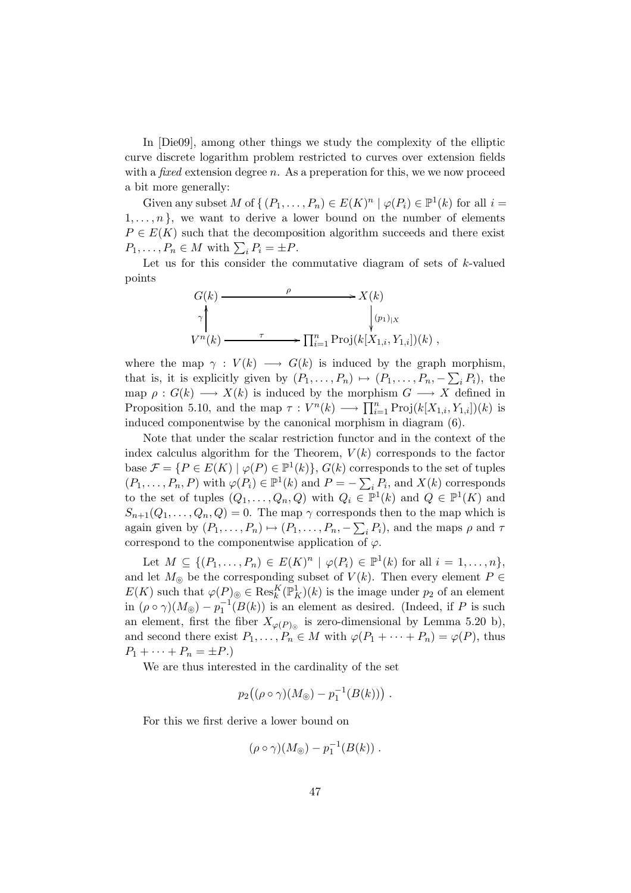In [Die09], among other things we study the complexity of the elliptic curve discrete logarithm problem restricted to curves over extension fields with a *fixed* extension degree n. As a preperation for this, we we now proceed a bit more generally:

Given any subset M of  $\{ (P_1, \ldots, P_n) \in E(K)^n \mid \varphi(P_i) \in \mathbb{P}^1(k) \text{ for all } i =$  $1, \ldots, n$ , we want to derive a lower bound on the number of elements  $P \in E(K)$  such that the decomposition algorithm succeeds and there exist  $P_1, \ldots, P_n \in M$  with  $\sum_i P_i = \pm P$ .

Let us for this consider the commutative diagram of sets of  $k$ -valued points

$$
G(k) \longrightarrow K(k)
$$
  
\n
$$
\gamma \downarrow \qquad \qquad \downarrow (p_1)_{|X}
$$
  
\n
$$
V^n(k) \longrightarrow T^n_{i=1} \operatorname{Proj}(k[X_{1,i}, Y_{1,i}]) (k) ,
$$

where the map  $\gamma : V(k) \longrightarrow G(k)$  is induced by the graph morphism, that is, it is explicitly given by  $(P_1, \ldots, P_n) \mapsto (P_1, \ldots, P_n, -\sum_i P_i)$ , the map  $\rho: G(k) \longrightarrow X(k)$  is induced by the morphism  $G \longrightarrow X$  defined in Proposition 5.10, and the map  $\tau: V^{n}(k) \longrightarrow \prod_{i=1}^{n} \text{Proj}(k[X_{1,i}, Y_{1,i}])$ (k) is induced componentwise by the canonical morphism in diagram (6).

Note that under the scalar restriction functor and in the context of the index calculus algorithm for the Theorem,  $V(k)$  corresponds to the factor base  $\mathcal{F} = \{P \in E(K) \mid \varphi(P) \in \mathbb{P}^1(k)\}, G(k)$  corresponds to the set of tuples  $(P_1, \ldots, P_n, P)$  with  $\varphi(P_i) \in \mathbb{P}^1(k)$  and  $P = -\sum_i P_i$ , and  $X(k)$  corresponds to the set of tuples  $(Q_1, \ldots, Q_n, Q)$  with  $Q_i \in \mathbb{P}^1(k)$  and  $Q \in \mathbb{P}^1(K)$  and  $S_{n+1}(Q_1,\ldots,Q_n,Q)=0$ . The map  $\gamma$  corresponds then to the map which is again given by  $(P_1, \ldots, P_n) \mapsto (P_1, \ldots, P_n, -\sum_i P_i)$ , and the maps  $\rho$  and  $\tau$ correspond to the componentwise application of  $\varphi$ .

Let  $M \subseteq \{(P_1,\ldots,P_n) \in E(K)^n \mid \varphi(P_i) \in \mathbb{P}^1(k) \text{ for all } i=1,\ldots,n\},\$ and let  $M_{\odot}$  be the corresponding subset of  $V(k)$ . Then every element  $P \in$  $E(K)$  such that  $\varphi(P)_{\odot} \in \text{Res}_{k}^{K}(\mathbb{P}_{K}^{1})(k)$  is the image under  $p_{2}$  of an element in  $(\rho \circ \gamma)(M_{\odot}) - p_1^{-1}(B(k))$  is an element as desired. (Indeed, if P is such an element, first the fiber  $X_{\varphi(P)_{\odot}}$  is zero-dimensional by Lemma 5.20 b), and second there exist  $P_1, \ldots, P_n \in M$  with  $\varphi(P_1 + \cdots + P_n) = \varphi(P)$ , thus  $P_1 + \cdots + P_n = \pm P.$ 

We are thus interested in the cardinality of the set

$$
p_2((\rho \circ \gamma)(M_{\odot}) - p_1^{-1}(B(k))) .
$$

For this we first derive a lower bound on

$$
(\rho \circ \gamma)(M_{\odot}) - p_1^{-1}(B(k)) .
$$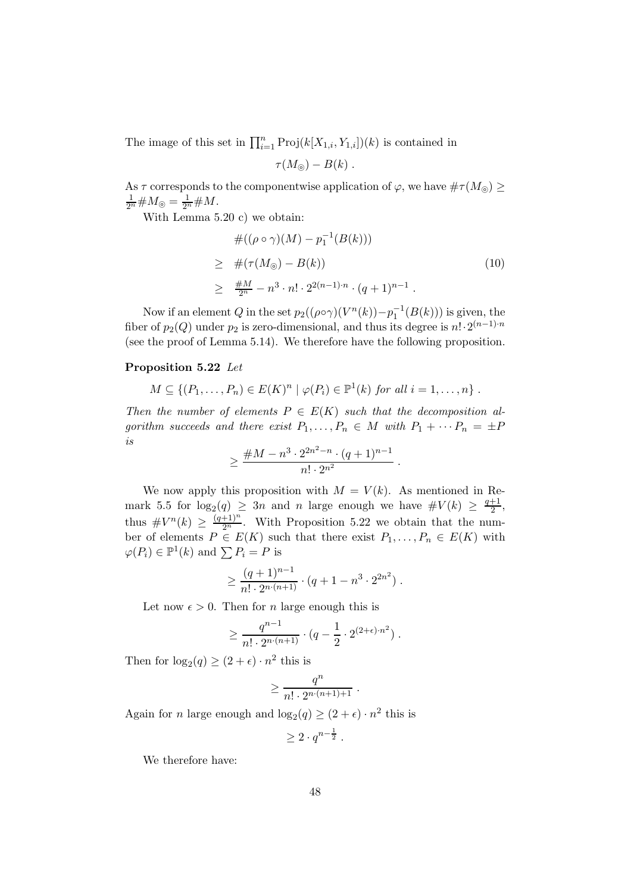The image of this set in  $\prod_{i=1}^{n} Proj(k[X_{1,i}, Y_{1,i}])$ (k) is contained in

$$
\tau(M_{\odot})-B(k) .
$$

As  $\tau$  corresponds to the componentwise application of  $\varphi$ , we have  $\#\tau(M_{\odot}) \geq$  $\frac{1}{2^n}$ # $M_{\odot} = \frac{1}{2^n}$ # $M$ .

With Lemma 5.20 c) we obtain:

$$
\#((\rho \circ \gamma)(M) - p_1^{-1}(B(k)))
$$
\n
$$
\geq \#(\tau(M_{\odot}) - B(k))
$$
\n
$$
\geq \frac{\#M}{2^n} - n^3 \cdot n! \cdot 2^{2(n-1)\cdot n} \cdot (q+1)^{n-1} .
$$
\n(10)

.

Now if an element Q in the set  $p_2((\rho \circ \gamma)(V^n(k)) - p_1^{-1}(B(k)))$  is given, the fiber of  $p_2(Q)$  under  $p_2$  is zero-dimensional, and thus its degree is  $n! \cdot 2^{(n-1)\cdot n}$ (see the proof of Lemma 5.14). We therefore have the following proposition.

## Proposition 5.22 Let

$$
M \subseteq \{(P_1,\ldots,P_n) \in E(K)^n \mid \varphi(P_i) \in \mathbb{P}^1(k) \text{ for all } i=1,\ldots,n\}.
$$

Then the number of elements  $P \in E(K)$  such that the decomposition algorithm succeeds and there exist  $P_1, \ldots, P_n \in M$  with  $P_1 + \cdots + P_n = \pm P$ is

$$
\geq \frac{\#M - n^3 \cdot 2^{2n^2 - n} \cdot (q+1)^{n-1}}{n! \cdot 2^{n^2}}
$$

We now apply this proposition with  $M = V(k)$ . As mentioned in Remark 5.5 for  $log_2(q) \geq 3n$  and n large enough we have  $\#V(k) \geq \frac{q+1}{2}$ , 2 thus  $\#V^n(k) \geq \frac{(q+1)^n}{2^n}$ . With Proposition 5.22 we obtain that the number of elements  $P \in E(K)$  such that there exist  $P_1, \ldots, P_n \in E(K)$  with  $\varphi(P_i) \in \mathbb{P}^1(k)$  and  $\sum P_i = P$  is

$$
\geq \frac{(q+1)^{n-1}}{n! \cdot 2^{n \cdot (n+1)}} \cdot (q+1-n^3 \cdot 2^{2n^2}).
$$

Let now  $\epsilon > 0$ . Then for *n* large enough this is

$$
\geq \frac{q^{n-1}}{n! \cdot 2^{n \cdot (n+1)}} \cdot (q - \frac{1}{2} \cdot 2^{(2+\epsilon) \cdot n^2}).
$$

Then for  $\log_2(q) \ge (2 + \epsilon) \cdot n^2$  this is

$$
\geq \frac{q^n}{n!\cdot 2^{n\cdot (n+1)+1}}\ .
$$

Again for *n* large enough and  $log_2(q) \ge (2 + \epsilon) \cdot n^2$  this is

 $\geq 2\cdot q^{n-\frac{1}{2}}$  .

We therefore have: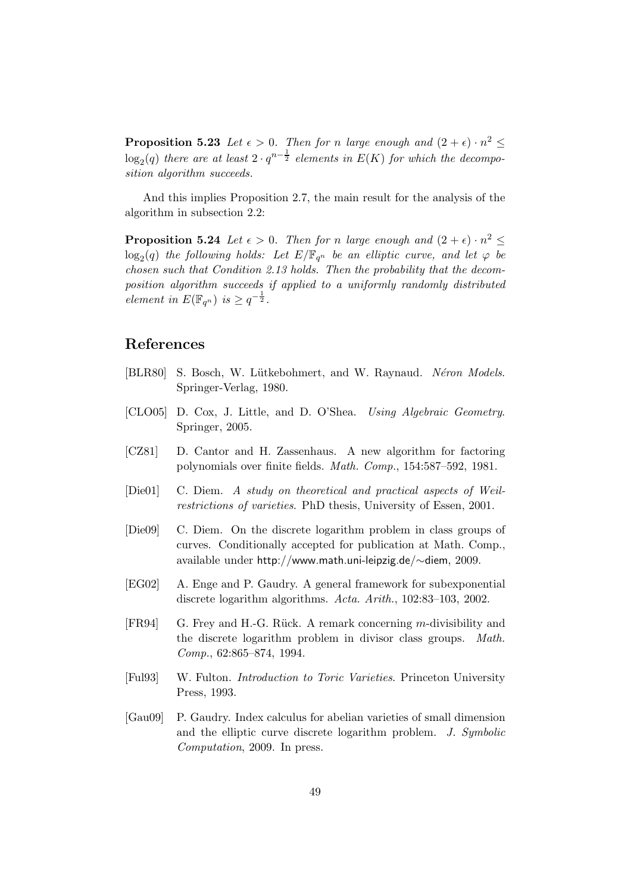**Proposition 5.23** Let  $\epsilon > 0$ . Then for n large enough and  $(2 + \epsilon) \cdot n^2 \leq$  $\log_2(q)$  there are at least  $2 \cdot q^{n-\frac{1}{2}}$  elements in  $E(K)$  for which the decomposition algorithm succeeds.

And this implies Proposition 2.7, the main result for the analysis of the algorithm in subsection 2.2:

**Proposition 5.24** Let  $\epsilon > 0$ . Then for n large enough and  $(2 + \epsilon) \cdot n^2 \leq$  $\log_2(q)$  the following holds: Let  $E/\mathbb{F}_{q^n}$  be an elliptic curve, and let  $\varphi$  be chosen such that Condition 2.13 holds. Then the probability that the decomposition algorithm succeeds if applied to a uniformly randomly distributed element in  $E(\mathbb{F}_{q^n})$  is  $\geq q^{-\frac{1}{2}}$ .

# References

- [BLR80] S. Bosch, W. Lütkebohmert, and W. Raynaud. Néron Models. Springer-Verlag, 1980.
- [CLO05] D. Cox, J. Little, and D. O'Shea. Using Algebraic Geometry. Springer, 2005.
- [CZ81] D. Cantor and H. Zassenhaus. A new algorithm for factoring polynomials over finite fields. Math. Comp., 154:587–592, 1981.
- [Die01] C. Diem. A study on theoretical and practical aspects of Weilrestrictions of varieties. PhD thesis, University of Essen, 2001.
- [Die09] C. Diem. On the discrete logarithm problem in class groups of curves. Conditionally accepted for publication at Math. Comp., available under http://www.math.uni-leipzig.de/∼diem, 2009.
- [EG02] A. Enge and P. Gaudry. A general framework for subexponential discrete logarithm algorithms. Acta. Arith., 102:83–103, 2002.
- [FR94] G. Frey and H.-G. Rück. A remark concerning m-divisibility and the discrete logarithm problem in divisor class groups. Math. Comp., 62:865–874, 1994.
- [Ful93] W. Fulton. Introduction to Toric Varieties. Princeton University Press, 1993.
- [Gau09] P. Gaudry. Index calculus for abelian varieties of small dimension and the elliptic curve discrete logarithm problem. J. Symbolic Computation, 2009. In press.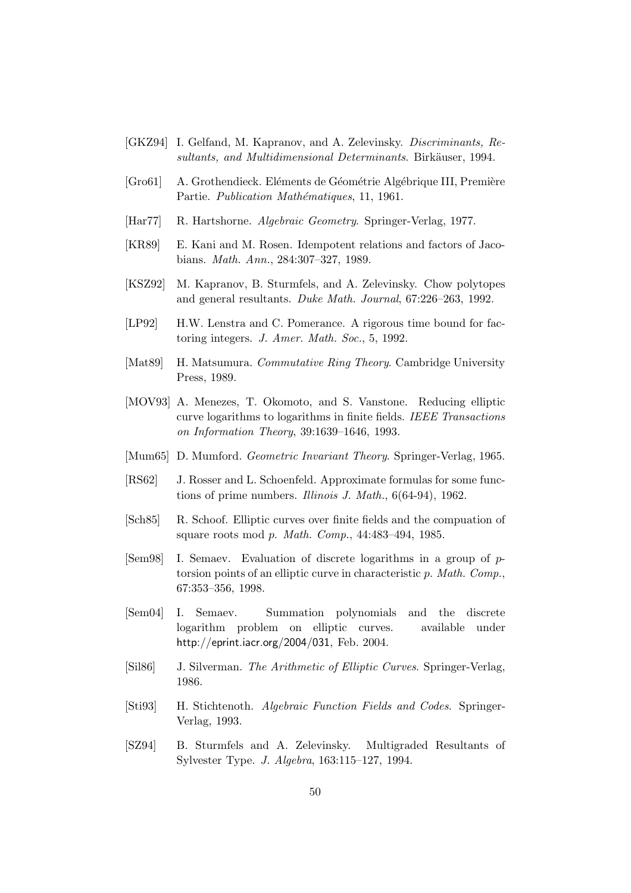- [GKZ94] I. Gelfand, M. Kapranov, and A. Zelevinsky. Discriminants, Resultants, and Multidimensional Determinants. Birkäuser, 1994.
- [Gro61] A. Grothendieck. Eléments de Géométrie Algébrique III, Première Partie. Publication Mathématiques, 11, 1961.
- [Har77] R. Hartshorne. Algebraic Geometry. Springer-Verlag, 1977.
- [KR89] E. Kani and M. Rosen. Idempotent relations and factors of Jacobians. Math. Ann., 284:307–327, 1989.
- [KSZ92] M. Kapranov, B. Sturmfels, and A. Zelevinsky. Chow polytopes and general resultants. Duke Math. Journal, 67:226–263, 1992.
- [LP92] H.W. Lenstra and C. Pomerance. A rigorous time bound for factoring integers. J. Amer. Math. Soc., 5, 1992.
- [Mat89] H. Matsumura. Commutative Ring Theory. Cambridge University Press, 1989.
- [MOV93] A. Menezes, T. Okomoto, and S. Vanstone. Reducing elliptic curve logarithms to logarithms in finite fields. IEEE Transactions on Information Theory, 39:1639–1646, 1993.
- [Mum65] D. Mumford. Geometric Invariant Theory. Springer-Verlag, 1965.
- [RS62] J. Rosser and L. Schoenfeld. Approximate formulas for some functions of prime numbers. Illinois J. Math., 6(64-94), 1962.
- [Sch85] R. Schoof. Elliptic curves over finite fields and the compuation of square roots mod p. Math. Comp., 44:483–494, 1985.
- [Sem98] I. Semaev. Evaluation of discrete logarithms in a group of ptorsion points of an elliptic curve in characteristic p. Math. Comp., 67:353–356, 1998.
- [Sem04] I. Semaev. Summation polynomials and the discrete logarithm problem on elliptic curves. available under http://eprint.iacr.org/2004/031, Feb. 2004.
- [Sil86] J. Silverman. The Arithmetic of Elliptic Curves. Springer-Verlag, 1986.
- [Sti93] H. Stichtenoth. Algebraic Function Fields and Codes. Springer-Verlag, 1993.
- [SZ94] B. Sturmfels and A. Zelevinsky. Multigraded Resultants of Sylvester Type. J. Algebra, 163:115–127, 1994.